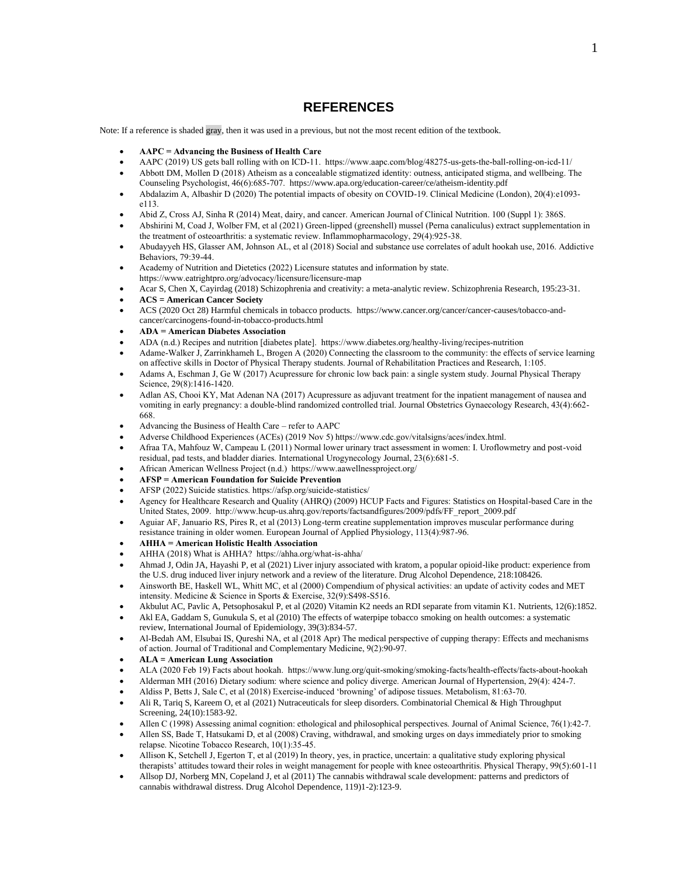## **REFERENCES**

Note: If a reference is shaded gray, then it was used in a previous, but not the most recent edition of the textbook.

- **AAPC = Advancing the Business of Health Care**
- AAPC (2019) US gets ball rolling with on ICD-11. https://www.aapc.com/blog/48275-us-gets-the-ball-rolling-on-icd-11/
- Abbott DM, Mollen D (2018) Atheism as a concealable stigmatized identity: outness, anticipated stigma, and wellbeing. The Counseling Psychologist, 46(6):685-707. <https://www.apa.org/education-career/ce/atheism-identity.pdf>
- Abdalazim A, Albashir D (2020) The potential impacts of obesity on COVID-19. Clinical Medicine (London), 20(4):e1093 e113.
- Abid Z, Cross AJ, Sinha R (2014) Meat, dairy, and cancer. American Journal of Clinical Nutrition. 100 (Suppl 1): 386S.
- Abshirini M, Coad J, Wolber FM, et al (2021) Green-lipped (greenshell) mussel (Perna canaliculus) extract supplementation in the treatment of osteoarthritis: a systematic review. Inflammopharmacology, 29(4):925-38.
- Abudayyeh HS, Glasser AM, Johnson AL, et al (2018) Social and substance use correlates of adult hookah use, 2016. Addictive Behaviors, 79:39-44.
- Academy of Nutrition and Dietetics (2022) Licensure statutes and information by state. https://www.eatrightpro.org/advocacy/licensure/licensure-map
- Acar S, Chen X, Cayirdag (2018) Schizophrenia and creativity: a meta-analytic review. Schizophrenia Research, 195:23-31.
- **ACS = American Cancer Society**
- ACS (2020 Oct 28) Harmful chemicals in tobacco products. https://www.cancer.org/cancer/cancer-causes/tobacco-andcancer/carcinogens-found-in-tobacco-products.html
- **ADA = American Diabetes Association**
- ADA (n.d.) Recipes and nutrition [diabetes plate]. https://www.diabetes.org/healthy-living/recipes-nutrition
- Adame-Walker J, Zarrinkhameh L, Brogen A (2020) Connecting the classroom to the community: the effects of service learning on affective skills in Doctor of Physical Therapy students. Journal of Rehabilitation Practices and Research, 1:105.
- Adams A, Eschman J, Ge W (2017) Acupressure for chronic low back pain: a single system study. Journal Physical Therapy Science, 29(8):1416-1420.
- Adlan AS, Chooi KY, Mat Adenan NA (2017) Acupressure as adjuvant treatment for the inpatient management of nausea and vomiting in early pregnancy: a double-blind randomized controlled trial. Journal Obstetrics Gynaecology Research, 43(4):662- 668.
- Advancing the Business of Health Care refer to AAPC
- Adverse Childhood Experiences (ACEs) (2019 Nov 5) https:/[/www.cdc.gov/vitalsigns/aces/index.html.](http://www.cdc.gov/vitalsigns/aces/index.html)
- Afraa TA, Mahfouz W, Campeau L (2011) Normal lower urinary tract assessment in women: I. Uroflowmetry and post-void residual, pad tests, and bladder diaries. International Urogynecology Journal, 23(6):681-5.
- African American Wellness Project (n.d.) https:[//www.aawellnessproject.org/](http://www.aawellnessproject.org/)
- **AFSP = American Foundation for Suicide Prevention**
- AFSP (2022) Suicide statistics. https://afsp.org/suicide-statistics/
- Agency for Healthcare Research and Quality (AHRQ) (2009) HCUP Facts and Figures: Statistics on Hospital-based Care in the United States, 2009. [http://www.hcup-us.ahrq.gov/reports/factsandfigures/2009/pdfs/FF\\_report\\_2009.pdf](http://www.hcup-us.ahrq.gov/reports/factsandfigures/2009/pdfs/FF_report_2009.pdf)
- Aguiar AF, Januario RS, Pires R, et al (2013) Long-term creatine supplementation improves muscular performance during resistance training in older women. European Journal of Applied Physiology, 113(4):987-96.
- **AHHA = American Holistic Health Association**
- AHHA (2018) What is AHHA? https://ahha.org/what-is-ahha/
- Ahmad J, Odin JA, Hayashi P, et al (2021) Liver injury associated with kratom, a popular opioid-like product: experience from the U.S. drug induced liver injury network and a review of the literature. Drug Alcohol Dependence, 218:108426.
- Ainsworth BE, Haskell WL, Whitt MC, et al (2000) Compendium of physical activities: an update of activity codes and MET intensity. Medicine & Science in Sports & Exercise, 32(9):S498-S516.
- Akbulut AC, Pavlic A, Petsophosakul P, et al (2020) Vitamin K2 needs an RDI separate from vitamin K1. Nutrients, 12(6):1852.
- Akl EA, Gaddam S, Gunukula S, et al (2010) The effects of waterpipe tobacco smoking on health outcomes: a systematic review, International Journal of Epidemiology, 39(3):834-57.
- Al-Bedah AM, Elsubai IS, Qureshi NA, et al (2018 Apr) The medical perspective of cupping therapy: Effects and mechanisms of action. Journal of Traditional and Complementary Medicine, 9(2):90-97.
- **ALA = American Lung Association**
- ALA (2020 Feb 19) Facts about hookah.<https://www.lung.org/quit-smoking/smoking-facts/health-effects/facts-about-hookah>
- Alderman MH (2016) Dietary sodium: where science and policy diverge. American Journal of Hypertension, 29(4): 424-7.
- Aldiss P, Betts J, Sale C, et al (2018) Exercise-induced 'browning' of adipose tissues. Metabolism, 81:63-70.
- Ali R, Tariq S, Kareem O, et al (2021) Nutraceuticals for sleep disorders. Combinatorial Chemical & High Throughput Screening, 24(10):1583-92.
- Allen C (1998) Assessing animal cognition: ethological and philosophical perspectives. Journal of Animal Science, 76(1):42-7.
- Allen SS, Bade T, Hatsukami D, et al (2008) Craving, withdrawal, and smoking urges on days immediately prior to smoking relapse. Nicotine Tobacco Research, 10(1):35-45.
- Allison K, Setchell J, Egerton T, et al (2019) In theory, yes, in practice, uncertain: a qualitative study exploring physical therapists' attitudes toward their roles in weight management for people with knee osteoarthritis. Physical Therapy, 99(5):601-11
- Allsop DJ, Norberg MN, Copeland J, et al (2011) The cannabis withdrawal scale development: patterns and predictors of cannabis withdrawal distress. Drug Alcohol Dependence, 119)1-2):123-9.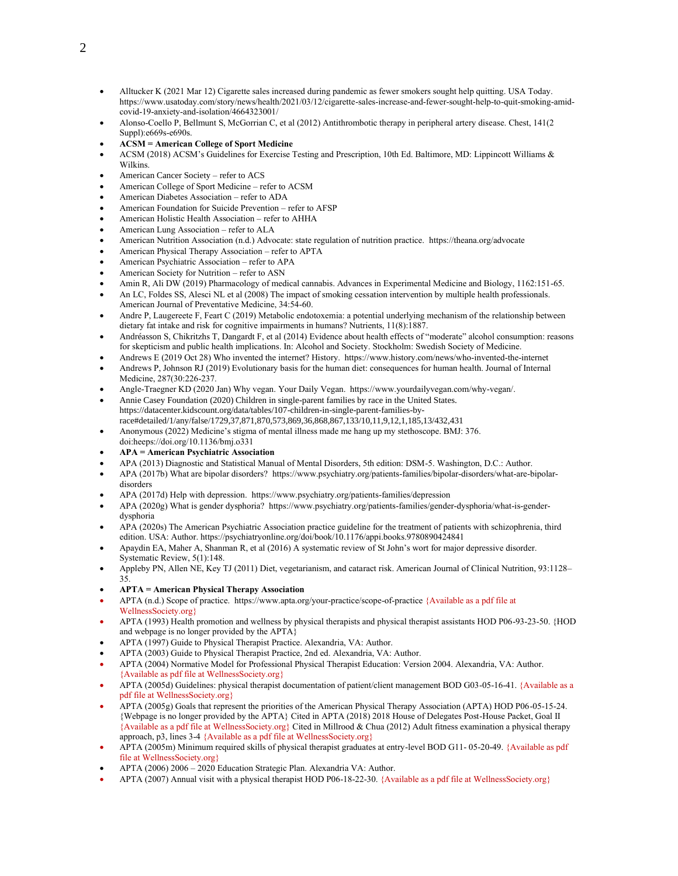- Alltucker K (2021 Mar 12) Cigarette sales increased during pandemic as fewer smokers sought help quitting. USA Today. https://www.usatoday.com/story/news/health/2021/03/12/cigarette-sales-increase-and-fewer-sought-help-to-quit-smoking-amidcovid-19-anxiety-and-isolation/4664323001/
- Alonso-Coello P, Bellmunt S, McGorrian C, et al (2012) Antithrombotic therapy in peripheral artery disease. Chest, 141(2 Suppl):e669s-e690s.
- **ACSM = American College of Sport Medicine**
- ACSM (2018) ACSM's Guidelines for Exercise Testing and Prescription, 10th Ed. Baltimore, MD: Lippincott Williams & Wilkins.
- American Cancer Society refer to ACS
- American College of Sport Medicine refer to ACSM
- American Diabetes Association refer to ADA
- American Foundation for Suicide Prevention refer to AFSP
- American Holistic Health Association refer to AHHA
- American Lung Association refer to ALA
- American Nutrition Association (n.d.) Advocate: state regulation of nutrition practice.<https://theana.org/advocate>
- American Physical Therapy Association refer to APTA
- American Psychiatric Association refer to APA
- American Society for Nutrition refer to ASN
- Amin R, Ali DW (2019) Pharmacology of medical cannabis. Advances in Experimental Medicine and Biology, 1162:151-65.
- An LC, Foldes SS, Alesci NL et al (2008) The impact of smoking cessation intervention by multiple health professionals. American Journal of Preventative Medicine, 34:54-60.
- Andre P, Laugereete F, Feart C (2019) Metabolic endotoxemia: a potential underlying mechanism of the relationship between dietary fat intake and risk for cognitive impairments in humans? Nutrients, 11(8):1887.
- Andréasson S, Chikritzhs T, Dangardt F, et al (2014) Evidence about health effects of "moderate" alcohol consumption: reasons for skepticism and public health implications. In: Alcohol and Society. Stockholm: Swedish Society of Medicine.
- Andrews E (2019 Oct 28) Who invented the internet? History. https:[//www.history.com/news/who-invented-the-internet](http://www.history.com/news/who-invented-the-internet)
- Andrews P, Johnson RJ (2019) Evolutionary basis for the human diet: consequences for human health. Journal of Internal Medicine, 287(30:226-237.
- Angle-Traegner KD (2020 Jan) Why vegan. Your Daily Vegan. https:[//www.yourdailyvegan.com/why-vegan/.](http://www.yourdailyvegan.com/why-vegan/)
- Annie Casey Foundation (2020) Children in single-parent families by race in the United States. https://datacenter.kidscount.org/data/tables/107-children-in-single-parent-families-byrace#detailed/1/any/false/1729,37,871,870,573,869,36,868,867,133/10,11,9,12,1,185,13/432,431
- Anonymous (2022) Medicine's stigma of mental illness made me hang up my stethoscope. BMJ: 376. doi:heeps://doi.org/10.1136/bmj.o331
- **APA = American Psychiatric Association**
- APA (2013) Diagnostic and Statistical Manual of Mental Disorders, 5th edition: DSM-5. Washington, D.C.: Author.
- APA (2017b) What are bipolar disorders? [https://www.ps](https://www.ps/)[ychiatry.org/patients-families/bipolar-disorders/what-are-bipolar](http://www.psychiatry.org/patients-families/bipolar-disorders/what-are-bipolar-disorders)[disorders](http://www.psychiatry.org/patients-families/bipolar-disorders/what-are-bipolar-disorders)
- APA (2017d) Help with depression. [https://www.ps](https://www.ps/)[ychiatry.org/patients-families/depression](http://www.psychiatry.org/patients-families/depression)
- APA (2020g) What is gender dysphoria? https://www.psychiatry.org/patients-families/gender-dysphoria/what-is-genderdysphoria
- APA (2020s) The American Psychiatric Association practice guideline for the treatment of patients with schizophrenia, third edition. USA: Author. https://psychiatryonline.org/doi/book/10.1176/appi.books.9780890424841
- Apaydin EA, Maher A, Shanman R, et al (2016) A systematic review of St John's wort for major depressive disorder. Systematic Review, 5(1):148.
- Appleby PN, Allen NE, Key TJ (2011) Diet, vegetarianism, and cataract risk. American Journal of Clinical Nutrition, 93:1128– 35.
- **APTA = American Physical Therapy Association**
- APTA (n.d.) Scope of practice. <https://www.apta.org/your-practice/scope-of-practice> {Available as a pdf file at WellnessSociety.org}
- APTA (1993) Health promotion and wellness by physical therapists and physical therapist assistants HOD P06-93-23-50. {HOD and webpage is no longer provided by the APTA}
- APTA (1997) Guide to Physical Therapist Practice. Alexandria, VA: Author.
- APTA (2003) Guide to Physical Therapist Practice, 2nd ed. Alexandria, VA: Author.
- APTA (2004) Normative Model for Professional Physical Therapist Education: Version 2004. Alexandria, VA: Author. {Available as pdf file at WellnessSociety.org}
- APTA (2005d) Guidelines: physical therapist documentation of patient/client management BOD G03-05-16-41. {Available as a pdf file at WellnessSociety.org}
- APTA (2005g) Goals that represent the priorities of the American Physical Therapy Association (APTA) HOD P06-05-15-24. {Webpage is no longer provided by the APTA} Cited in APTA (2018) 2018 House of Delegates Post-House Packet, Goal II {Available as a pdf file at WellnessSociety.org} Cited in Millrood & Chua (2012) Adult fitness examination a physical therapy approach, p3, lines 3-4 {Available as a pdf file at WellnessSociety.org}
- APTA (2005m) Minimum required skills of physical therapist graduates at entry-level BOD G11- 05-20-49. {Available as pdf file at WellnessSociety.org}
- APTA (2006) 2006 2020 Education Strategic Plan. Alexandria VA: Author.
- APTA (2007) Annual visit with a physical therapist HOD P06-18-22-30. {Available as a pdf file at WellnessSociety.org}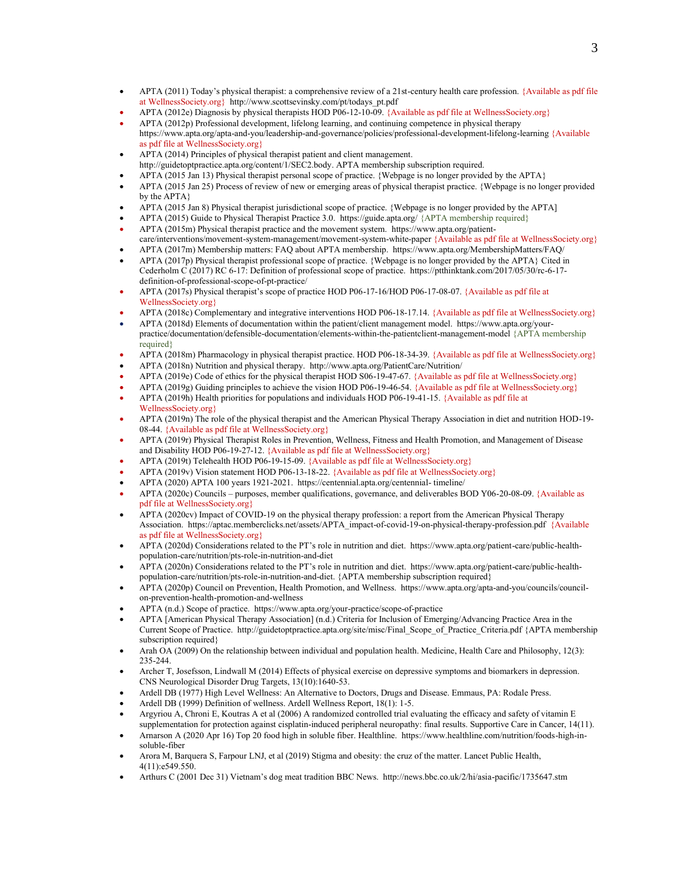- APTA (2011) Today's physical therapist: a comprehensive review of a 21st-century health care profession. {Available as pdf file at WellnessSociety.org} [http://www.scottsevinsky.com/pt/todays\\_pt.pdf](http://www.scottsevinsky.com/pt/todays_pt.pdf)
- APTA (2012e) Diagnosis by physical therapists HOD P06-12-10-09. {Available as pdf file at WellnessSociety.org}
- APTA (2012p) Professional development, lifelong learning, and continuing competence in physical therapy <https://www.apta.org/apta-and-you/leadership-and-governance/policies/professional-development-lifelong-learning> {Available as pdf file at WellnessSociety.org}
- APTA (2014) Principles of physical therapist patient and client management.
- [http://guidetoptpractice.apta.org/content/1/SEC2.body.](http://guidetoptpractice.apta.org/content/1/SEC2.body) APTA membership subscription required.
- APTA (2015 Jan 13) Physical therapist personal scope of practice. {Webpage is no longer provided by the APTA}
- APTA (2015 Jan 25) Process of review of new or emerging areas of physical therapist practice. {Webpage is no longer provided by the APTA}
- APTA (2015 Jan 8) Physical therapist jurisdictional scope of practice. {Webpage is no longer provided by the APTA]
- APTA (2015) Guide to Physical Therapist Practice 3.0.<https://guide.apta.org/> {APTA membership required}
- APTA (2015m) Physical therapist practice and the movement system. [https://www.apta.org/patient](https://www.apta.org/patient-care/interventions/movement-system-management/movement-system-white-paper)[care/interventions/movement-system-management/movement-system-white-paper](https://www.apta.org/patient-care/interventions/movement-system-management/movement-system-white-paper) {Available as pdf file at WellnessSociety.org}
- APTA (2017m) Membership matters: FAQ about APTA membership. https:/[/www.apta.org/MembershipMatters/FAQ/](http://www.apta.org/MembershipMatters/FAQ/)
- APTA (2017p) Physical therapist professional scope of practice. {Webpage is no longer provided by the APTA} Cited in Cederholm C (2017) RC 6-17: Definition of professional scope of practice. https://ptthinktank.com/2017/05/30/rc-6-17 definition-of-professional-scope-of-pt-practice/
- APTA (2017s) Physical therapist's scope of practice HOD P06-17-16/HOD P06-17-08-07. {Available as pdf file at WellnessSociety.org}
- APTA (2018c) Complementary and integrative interventions HOD P06-18-17.14. {Available as pdf file at WellnessSociety.org}
- APTA (2018d) Elements of documentation within the patient/client management model. https://www.apta.org/yourpractice/documentation/defensible-documentation/elements-within-the-patientclient-management-model {APTA membership required}
- APTA (2018m) Pharmacology in physical therapist practice. HOD P06-18-34-39. {Available as pdf file at WellnessSociety.org}
- APTA (2018n) Nutrition and physical therapy. <http://www.apta.org/PatientCare/Nutrition/>
- APTA (2019e) Code of ethics for the physical therapist HOD S06-19-47-67. {Available as pdf file at WellnessSociety.org}
- APTA (2019g) Guiding principles to achieve the vision HOD P06-19-46-54. {Available as pdf file at WellnessSociety.org}
- APTA (2019h) Health priorities for populations and individuals HOD P06-19-41-15. {Available as pdf file at WellnessSociety.org}
- APTA (2019n) The role of the physical therapist and the American Physical Therapy Association in diet and nutrition HOD-19- 08-44. {Available as pdf file at WellnessSociety.org}
- APTA (2019r) Physical Therapist Roles in Prevention, Wellness, Fitness and Health Promotion, and Management of Disease and Disability HOD P06-19-27-12. {Available as pdf file at WellnessSociety.org}
- APTA (2019t) Telehealth HOD P06-19-15-09. {Available as pdf file at WellnessSociety.org}
- APTA (2019v) Vision statement HOD P06-13-18-22. {Available as pdf file at WellnessSociety.org}
- APTA (2020) APTA 100 years 1921-2021. https://centennial.apta.org/centennial- timeline/
- APTA (2020c) Councils purposes, member qualifications, governance, and deliverables BOD Y06-20-08-09. {Available as pdf file at WellnessSociety.org}
- APTA (2020cv) Impact of COVID-19 on the physical therapy profession: a report from the American Physical Therapy Association. [https://aptac.memberclicks.net/assets/APTA\\_impact-of-covid-19-on-physical-therapy-profession.pdf](https://aptac.memberclicks.net/assets/APTA_impact-of-covid-19-on-physical-therapy-profession.pdf) {Available as pdf file at WellnessSociety.org}
- APTA (2020d) Considerations related to the PT's role in nutrition and diet. https://www.apta.org/patient-care/public-healthpopulation-care/nutrition/pts-role-in-nutrition-and-diet
- APTA (2020n) Considerations related to the PT's role in nutrition and diet. https://www.apta.org/patient-care/public-healthpopulation-care/nutrition/pts-role-in-nutrition-and-diet. {APTA membership subscription required}
- APTA (2020p) Council on Prevention, Health Promotion, and Wellness. https:[//www.apta.org/apta-and-you/councils/council](http://www.apta.org/apta-and-you/councils/council-on-prevention-health-promotion-and-wellness)[on-prevention-health-promotion-and-wellness](http://www.apta.org/apta-and-you/councils/council-on-prevention-health-promotion-and-wellness)
- APTA (n.d.) Scope of practice. https://www.apta.org/your-practice/scope-of-practice
- APTA [American Physical Therapy Association] (n.d.) Criteria for Inclusion of Emerging/Advancing Practice Area in the Current Scope of Practice. [http://guidetoptpractice.apta.org/site/misc/Final\\_Scope\\_of\\_Practice\\_Criteria.pdf](http://guidetoptpractice.apta.org/site/misc/Final_Scope_of_Practice_Criteria.pdf) {APTA membership subscription required}
- Arah OA (2009) On the relationship between individual and population health. Medicine, Health Care and Philosophy, 12(3): 235-244.
- Archer T, Josefsson, Lindwall M (2014) Effects of physical exercise on depressive symptoms and biomarkers in depression. CNS Neurological Disorder Drug Targets, 13(10):1640-53.
- Ardell DB (1977) High Level Wellness: An Alternative to Doctors, Drugs and Disease. Emmaus, PA: Rodale Press.
- Ardell DB (1999) Definition of wellness. Ardell Wellness Report, 18(1): 1-5.
- Argyriou A, Chroni E, Koutras A et al (2006) A randomized controlled trial evaluating the efficacy and safety of vitamin E supplementation for protection against cisplatin-induced peripheral neuropathy: final results. Supportive Care in Cancer, 14(11).
- Arnarson A (2020 Apr 16) Top 20 food high in soluble fiber. Healthline. https://www.healthline.com/nutrition/foods-high-insoluble-fiber
- Arora M, Barquera S, Farpour LNJ, et al (2019) Stigma and obesity: the cruz of the matter. Lancet Public Health, 4(11):e549.550.
- Arthurs C (2001 Dec 31) Vietnam's dog meat tradition BBC News. http://news.bbc.co.uk/2/hi/asia-pacific/1735647.stm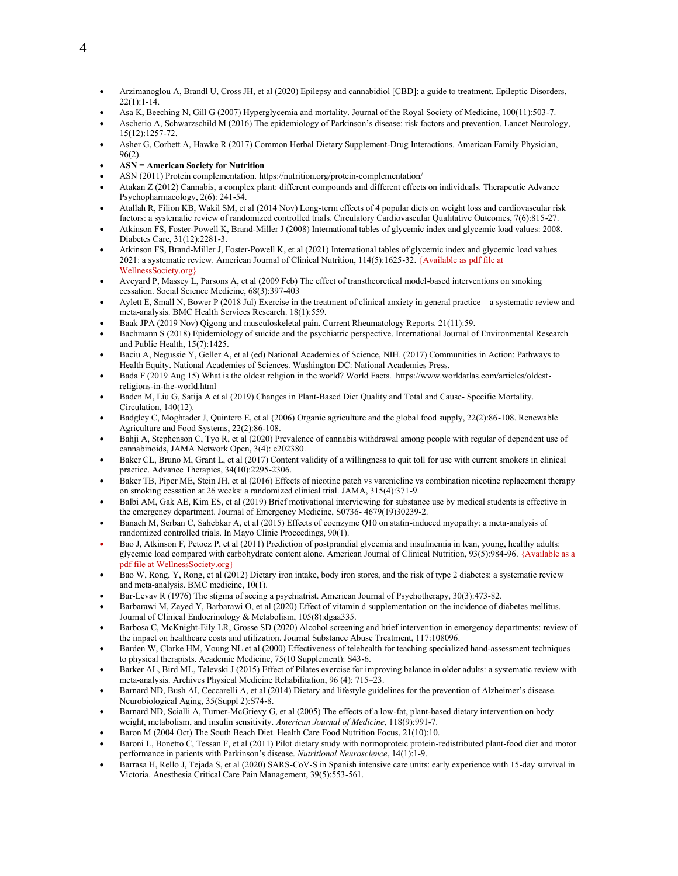- Arzimanoglou A, Brandl U, Cross JH, et al (2020) Epilepsy and cannabidiol [CBD]: a guide to treatment. Epileptic Disorders, 22(1):1-14.
- Asa K, Beeching N, Gill G (2007) Hyperglycemia and mortality. Journal of the Royal Society of Medicine, 100(11):503-7.
- Ascherio A, Schwarzschild M (2016) The epidemiology of Parkinson's disease: risk factors and prevention. Lancet Neurology, 15(12):1257-72.
- Asher G, Corbett A, Hawke R (2017) Common Herbal Dietary Supplement-Drug Interactions. American Family Physician, 96(2).
- **ASN = American Society for Nutrition**
- ASN (2011) Protein complementation. https://nutrition.org/protein-complementation/
- Atakan Z (2012) Cannabis, a complex plant: different compounds and different effects on individuals. Therapeutic Advance Psychopharmacology, 2(6): 241-54.
- Atallah R, Filion KB, Wakil SM, et al (2014 Nov) Long-term effects of 4 popular diets on weight loss and cardiovascular risk factors: a systematic review of randomized controlled trials. Circulatory Cardiovascular Qualitative Outcomes, 7(6):815-27.
- Atkinson FS, Foster-Powell K, Brand-Miller J (2008) International tables of glycemic index and glycemic load values: 2008. Diabetes Care, 31(12):2281-3.
- Atkinson FS, Brand-Miller J, Foster-Powell K, et al (2021) International tables of glycemic index and glycemic load values 2021: a systematic review. American Journal of Clinical Nutrition, 114(5):1625-32. {Available as pdf file at WellnessSociety.org}
- Aveyard P, Massey L, Parsons A, et al (2009 Feb) The effect of transtheoretical model-based interventions on smoking cessation. Social Science Medicine, 68(3):397-403
- Aylett E, Small N, Bower P (2018 Jul) Exercise in the treatment of clinical anxiety in general practice a systematic review and meta-analysis. BMC Health Services Research. 18(1):559.
- Baak JPA (2019 Nov) Qigong and musculoskeletal pain. Current Rheumatology Reports. 21(11):59.
- Bachmann S (2018) Epidemiology of suicide and the psychiatric perspective. International Journal of Environmental Research and Public Health, 15(7):1425.
- Baciu A, Negussie Y, Geller A, et al (ed) National Academies of Science, NIH. (2017) Communities in Action: Pathways to Health Equity. National Academies of Sciences. Washington DC: National Academies Press.
- Bada F (2019 Aug 15) What is the oldest religion in the world? World Facts. https://www.worldatlas.com/articles/oldestreligions-in-the-world.html
- Baden M, Liu G, Satija A et al (2019) Changes in Plant-Based Diet Quality and Total and Cause- Specific Mortality. Circulation, 140(12).
- Badgley C, Moghtader J, Quintero E, et al (2006) Organic agriculture and the global food supply, 22(2):86-108. Renewable Agriculture and Food Systems, 22(2):86-108.
- Bahji A, Stephenson C, Tyo R, et al (2020) Prevalence of cannabis withdrawal among people with regular of dependent use of cannabinoids, JAMA Network Open, 3(4): e202380.
- Baker CL, Bruno M, Grant L, et al (2017) Content validity of a willingness to quit toll for use with current smokers in clinical practice. Advance Therapies, 34(10):2295-2306.
- Baker TB, Piper ME, Stein JH, et al (2016) Effects of nicotine patch vs varenicline vs combination nicotine replacement therapy on smoking cessation at 26 weeks: a randomized clinical trial. JAMA, 315(4):371-9.
- Balbi AM, Gak AE, Kim ES, et al (2019) Brief motivational interviewing for substance use by medical students is effective in the emergency department. Journal of Emergency Medicine, S0736- 4679(19)30239-2.
- Banach M, Serban C, Sahebkar A, et al (2015) Effects of coenzyme Q10 on statin-induced myopathy: a meta-analysis of randomized controlled trials. In Mayo Clinic Proceedings, 90(1).
- Bao J, Atkinson F, Petocz P, et al (2011) Prediction of postprandial glycemia and insulinemia in lean, young, healthy adults: glycemic load compared with carbohydrate content alone. American Journal of Clinical Nutrition, 93(5):984-96. {Available as a pdf file at WellnessSociety.org}
- Bao W, Rong, Y, Rong, et al (2012) Dietary iron intake, body iron stores, and the risk of type 2 diabetes: a systematic review and meta-analysis. BMC medicine, 10(1).
- Bar-Levav R (1976) The stigma of seeing a psychiatrist. American Journal of Psychotherapy, 30(3):473-82.
- Barbarawi M, Zayed Y, Barbarawi O, et al (2020) Effect of vitamin d supplementation on the incidence of diabetes mellitus. Journal of Clinical Endocrinology & Metabolism, 105(8):dgaa335.
- Barbosa C, McKnight-Eily LR, Grosse SD (2020) Alcohol screening and brief intervention in emergency departments: review of the impact on healthcare costs and utilization. Journal Substance Abuse Treatment, 117:108096.
- Barden W, Clarke HM, Young NL et al (2000) Effectiveness of telehealth for teaching specialized hand-assessment techniques to physical therapists. Academic Medicine, 75(10 Supplement): S43-6.
- Barker AL, Bird ML, Talevski J (2015) Effect of Pilates exercise for improving balance in older adults: a systematic review with meta-analysis. Archives Physical Medicine Rehabilitation, 96 (4): 715–23.
- Barnard ND, Bush AI, Ceccarelli A, et al (2014) Dietary and lifestyle guidelines for the prevention of Alzheimer's disease. Neurobiological Aging, 35(Suppl 2):S74-8.
- Barnard ND, Scialli A, Turner-McGrievy G, et al (2005) The effects of a low-fat, plant-based dietary intervention on body weight, metabolism, and insulin sensitivity. *American Journal of Medicine*, 118(9):991-7.
- Baron M (2004 Oct) The South Beach Diet. Health Care Food Nutrition Focus, 21(10):10.
- Baroni L, Bonetto C, Tessan F, et al (2011) Pilot dietary study with normoproteic protein-redistributed plant-food diet and motor performance in patients with Parkinson's disease. *Nutritional Neuroscience*, 14(1):1-9.
- Barrasa H, Rello J, Tejada S, et al (2020) SARS-CoV-S in Spanish intensive care units: early experience with 15-day survival in Victoria. Anesthesia Critical Care Pain Management, 39(5):553-561.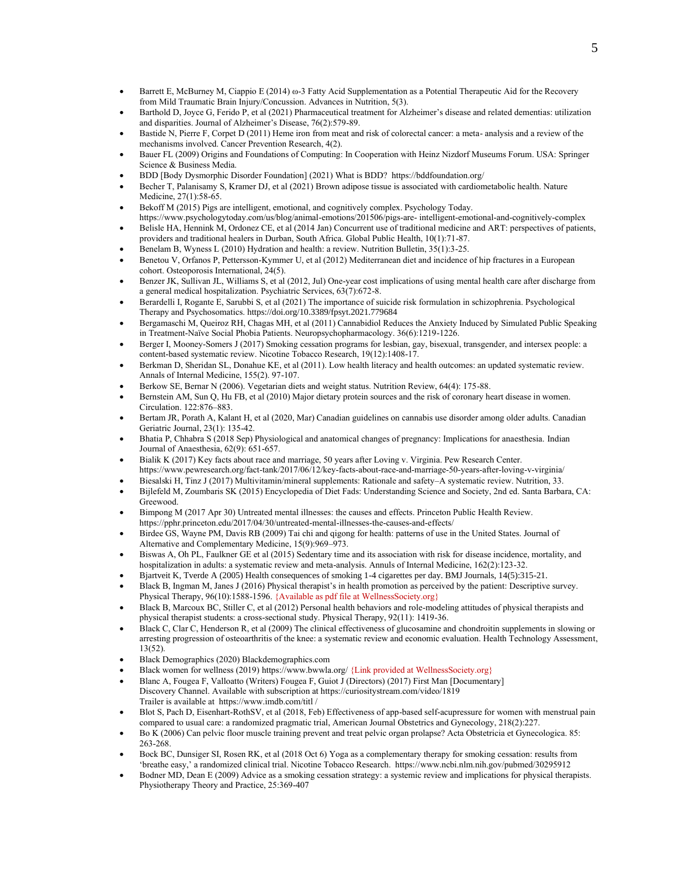- Barrett E, McBurney M, Ciappio E (2014) ω-3 Fatty Acid Supplementation as a Potential Therapeutic Aid for the Recovery from Mild Traumatic Brain Injury/Concussion. Advances in Nutrition, 5(3).
- Barthold D, Joyce G, Ferido P, et al (2021) Pharmaceutical treatment for Alzheimer's disease and related dementias: utilization and disparities. Journal of Alzheimer's Disease, 76(2):579-89.
- Bastide N, Pierre F, Corpet D (2011) Heme iron from meat and risk of colorectal cancer: a meta- analysis and a review of the mechanisms involved. Cancer Prevention Research, 4(2).
- Bauer FL (2009) Origins and Foundations of Computing: In Cooperation with Heinz Nizdorf Museums Forum. USA: Springer Science & Business Media.
- BDD [Body Dysmorphic Disorder Foundation] (2021) What is BDD? https://bddfoundation.org/
- Becher T, Palanisamy S, Kramer DJ, et al (2021) Brown adipose tissue is associated with cardiometabolic health. Nature Medicine, 27(1):58-65.
- Bekoff M (2015) Pigs are intelligent, emotional, and cognitively complex. Psychology Today. https:[//www.psychologytoday.com/us/blog/animal-emotions/201506/pigs-are-](http://www.psychologytoday.com/us/blog/animal-emotions/201506/pigs-are-) intelligent-emotional-and-cognitively-complex
- Belisle HA, Hennink M, Ordonez CE, et al (2014 Jan) Concurrent use of traditional medicine and ART: perspectives of patients, providers and traditional healers in Durban, South Africa. Global Public Health, 10(1):71-87.
- Benelam B, Wyness L (2010) Hydration and health: a review. Nutrition Bulletin, 35(1):3-25.
- Benetou V, Orfanos P, Pettersson-Kymmer U, et al (2012) Mediterranean diet and incidence of hip fractures in a European cohort. Osteoporosis International, 24(5).
- Benzer JK, Sullivan JL, Williams S, et al (2012, Jul) One-year cost implications of using mental health care after discharge from a general medical hospitalization. Psychiatric Services, 63(7):672-8.
- Berardelli I, Rogante E, Sarubbi S, et al (2021) The importance of suicide risk formulation in schizophrenia. Psychological Therapy and Psychosomatics. <https://doi.org/10.3389/fpsyt.2021.779684>
- Bergamaschi M, Queiroz RH, Chagas MH, et al (2011) Cannabidiol Reduces the Anxiety Induced by Simulated Public Speaking in Treatment-Naïve Social Phobia Patients. Neuropsychopharmacology. 36(6):1219-1226.
- Berger I, Mooney-Somers J (2017) Smoking cessation programs for lesbian, gay, bisexual, transgender, and intersex people: a content-based systematic review. Nicotine Tobacco Research, 19(12):1408-17.
- Berkman D, Sheridan SL, Donahue KE, et al (2011). Low health literacy and health outcomes: an updated systematic review. Annals of Internal Medicine, 155(2). 97-107.
- Berkow SE, Bernar N (2006). Vegetarian diets and weight status. Nutrition Review, 64(4): 175-88.
- Bernstein AM, Sun Q, Hu FB, et al (2010) Major dietary protein sources and the risk of coronary heart disease in women. Circulation. 122:876–883.
- Bertam JR, Porath A, Kalant H, et al (2020, Mar) Canadian guidelines on cannabis use disorder among older adults. Canadian Geriatric Journal, 23(1): 135-42.
- Bhatia P, Chhabra S (2018 Sep) Physiological and anatomical changes of pregnancy: Implications for anaesthesia. Indian Journal of Anaesthesia, 62(9): 651-657.
- Bialik K (2017) Key facts about race and marriage, 50 years after Loving v. Virginia. Pew Research Center. https://www.pewresearch.org/fact-tank/2017/06/12/key-facts-about-race-and-marriage-50-years-after-loving-v-virginia/
- Biesalski H, Tinz J (2017) Multivitamin/mineral supplements: Rationale and safety–A systematic review. Nutrition, 33.
- Bijlefeld M, Zoumbaris SK (2015) Encyclopedia of Diet Fads: Understanding Science and Society, 2nd ed. Santa Barbara, CA: Greewood.
- Bimpong M (2017 Apr 30) Untreated mental illnesses: the causes and effects. Princeton Public Health Review. https://pphr.princeton.edu/2017/04/30/untreated-mental-illnesses-the-causes-and-effects/
- Birdee GS, Wayne PM, Davis RB (2009) Tai chi and qigong for health: patterns of use in the United States. Journal of Alternative and Complementary Medicine, 15(9):969–973.
- Biswas A, Oh PL, Faulkner GE et al (2015) Sedentary time and its association with risk for disease incidence, mortality, and hospitalization in adults: a systematic review and meta-analysis. Annuls of Internal Medicine, 162(2):123-32.
- Bjartveit K, Tverde A (2005) Health consequences of smoking 1-4 cigarettes per day. BMJ Journals, 14(5):315-21.
- Black B, Ingman M, Janes J (2016) Physical therapist's in health promotion as perceived by the patient: Descriptive survey. Physical Therapy, 96(10):1588-1596. {Available as pdf file at WellnessSociety.org}
- Black B, Marcoux BC, Stiller C, et al (2012) Personal health behaviors and role-modeling attitudes of physical therapists and physical therapist students: a cross-sectional study. Physical Therapy, 92(11): 1419-36.
- Black C, Clar C, Henderson R, et al (2009) The clinical effectiveness of glucosamine and chondroitin supplements in slowing or arresting progression of osteoarthritis of the knee: a systematic review and economic evaluation. Health Technology Assessment, 13(52).
- Black Demographics (2020) Blackdemographics.com
- Black women for wellness (2019) https:[//www.bwwla.org/](http://www.bwwla.org/) {Link provided at WellnessSociety.org}
- Blanc A, Fougea F, Valloatto (Writers) Fougea F, Guiot J (Directors) (2017) First Man [Documentary] Discovery Channel. Available with subscription at https://curiositystream.com/video/1819 Trailer is available at [https://www.imdb.com/titl /](https://www.imdb.com/title/tt7027210/)
- Blot S, Pach D, Eisenhart-RothSV, et al (2018, Feb) Effectiveness of app-based self-acupressure for women with menstrual pain compared to usual care: a randomized pragmatic trial, American Journal Obstetrics and Gynecology, 218(2):227.
- Bo K (2006) Can pelvic floor muscle training prevent and treat pelvic organ prolapse? Acta Obstetricia et Gynecologica. 85: 263-268.
- Bock BC, Dunsiger SI, Rosen RK, et al (2018 Oct 6) Yoga as a complementary therapy for smoking cessation: results from 'breathe easy,' a randomized clinical trial. Nicotine Tobacco Research. https://[www.ncbi.nlm.nih.gov/pubmed/30295912](http://www.ncbi.nlm.nih.gov/pubmed/30295912)
- Bodner MD, Dean E (2009) Advice as a smoking cessation strategy: a systemic review and implications for physical therapists. Physiotherapy Theory and Practice, 25:369-407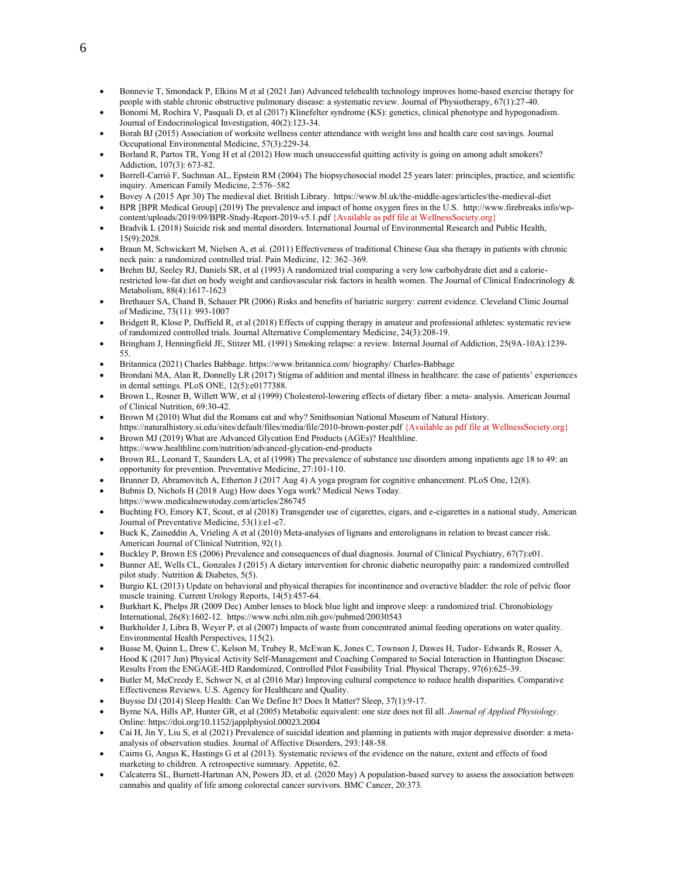- Bonnevie T, Smondack P, Elkins M et al (2021 Jan) Advanced telehealth technology improves home-based exercise therapy for people with stable chronic obstructive pulmonary disease: a systematic review. Journal of Physiotherapy, 67(1):27-40.
- Bonomi M, Rochira V, Pasquali D, et al (2017) Klinefelter syndrome (KS): genetics, clinical phenotype and hypogonadism. Journal of Endocrinological Investigation, 40(2):123-34.
- Borah BJ (2015) Association of worksite wellness center attendance with weight loss and health care cost savings. Journal Occupational Environmental Medicine, 57(3):229-34.
- Borland R, Partos TR, Yong H et al (2012) How much unsuccessful quitting activity is going on among adult smokers? Addiction, 107(3): 673-82.
- Borrell-Carrió F, Suchman AL, Epstein RM (2004) The biopsychosocial model 25 years later: principles, practice, and scientific inquiry. American Family Medicine, 2:576–582
- Bovey A (2015 Apr 30) The medieval diet. British Library. https://www.bl.uk/the-middle-ages/articles/the-medieval-diet
- BPR [BPR Medical Group] (2019) The prevalence and impact of home oxygen fires in the U.S. [http://www.firebreaks.info/wp](http://www.firebreaks.info/wp-content/uploads/2019/09/BPR-Study-Report-2019-v5.1.pdf)[content/uploads/2019/09/BPR-Study-Report-2019-v5.1.pdf](http://www.firebreaks.info/wp-content/uploads/2019/09/BPR-Study-Report-2019-v5.1.pdf) {Available as pdf file at WellnessSociety.org}
- Bradvik L (2018) Suicide risk and mental disorders. International Journal of Environmental Research and Public Health, 15(9):2028.
- Braun M, Schwickert M, Nielsen A, et al. (2011) Effectiveness of traditional Chinese Gua sha therapy in patients with chronic neck pain: a randomized controlled trial. Pain Medicine, 12: 362–369.
- Brehm BJ, Seeley RJ, Daniels SR, et al (1993) A randomized trial comparing a very low carbohydrate diet and a calorierestricted low-fat diet on body weight and cardiovascular risk factors in health women. The Journal of Clinical Endocrinology & Metabolism, 88(4):1617-1623
- Brethauer SA, Chand B, Schauer PR (2006) Risks and benefits of bariatric surgery: current evidence. Cleveland Clinic Journal of Medicine, 73(11): 993-1007
- Bridgett R, Klose P, Duffield R, et al (2018) Effects of cupping therapy in amateur and professional athletes: systematic review of randomized controlled trials. Journal Alternative Complementary Medicine, 24(3):208-19.
- Bringham J, Henningfield JE, Stitzer ML (1991) Smoking relapse: a review. Internal Journal of Addiction, 25(9A-10A):1239- 55.
- Britannica (2021) Charles Babbage[. https://www.britannica.com/](https://www.britannica.com/) biography/ Charles-Babbage
- Brondani MA, Alan R, Donnelly LR (2017) Stigma of addition and mental illness in healthcare: the case of patients' experiences in dental settings. PLoS ONE, 12(5):e0177388.
- Brown L, Rosner B, Willett WW, et al (1999) Cholesterol-lowering effects of dietary fiber: a meta- analysis. American Journal of Clinical Nutrition, 69:30-42.
- Brown M (2010) What did the Romans eat and why? Smithsonian National Museum of Natural History. <https://naturalhistory.si.edu/sites/default/files/media/file/2010-brown-poster.pdf> {Available as pdf file at WellnessSociety.org}
- Brown MJ (2019) What are Advanced Glycation End Products (AGEs)? Healthline. https://www.healthline.com/nutrition/advanced-glycation-end-products
- Brown RL, Leonard T, Saunders LA, et al (1998) The prevalence of substance use disorders among inpatients age 18 to 49: an opportunity for prevention. Preventative Medicine, 27:101-110.
- Brunner D, Abramovitch A, Etherton J (2017 Aug 4) A yoga program for cognitive enhancement. PLoS One, 12(8).
- Bubnis D, Nichols H (2018 Aug) How does Yoga work? Medical News Today. https:[//www.medicalnewstoday.com/articles/286745](http://www.medicalnewstoday.com/articles/286745)
- Buchting FO, Emory KT, Scout, et al (2018) Transgender use of cigarettes, cigars, and e-cigarettes in a national study, American Journal of Preventative Medicine, 53(1):e1-e7.
- Buck K, Zaineddin A, Vrieling A et al (2010) Meta-analyses of lignans and enterolignans in relation to breast cancer risk. American Journal of Clinical Nutrition, 92(1).
- Buckley P, Brown ES (2006) Prevalence and consequences of dual diagnosis. Journal of Clinical Psychiatry, 67(7):e01.
- Bunner AE, Wells CL, Gonzales J (2015) A dietary intervention for chronic diabetic neuropathy pain: a randomized controlled pilot study. Nutrition & Diabetes, 5(5).
- Burgio KL (2013) Update on behavioral and physical therapies for incontinence and overactive bladder: the role of pelvic floor muscle training. Current Urology Reports, 14(5):457-64.
- Burkhart K, Phelps JR (2009 Dec) Amber lenses to block blue light and improve sleep: a randomized trial. Chronobiology International, 26(8):1602-12. https:[//www.ncbi.nlm.nih.gov/pubmed/20030543](http://www.ncbi.nlm.nih.gov/pubmed/20030543)
- Burkholder J, Libra B, Weyer P, et al (2007) Impacts of waste from concentrated animal feeding operations on water quality. Environmental Health Perspectives, 115(2).
- Busse M, Quinn L, Drew C, Kelson M, Trubey R, McEwan K, Jones C, Townson J, Dawes H, Tudor- Edwards R, Rosser A, Hood K (2017 Jun) Physical Activity Self-Management and Coaching Compared to Social Interaction in Huntington Disease: Results From the ENGAGE-HD Randomized, Controlled Pilot Feasibility Trial. Physical Therapy, 97(6):625-39.
- Butler M, McCreedy E, Schwer N, et al (2016 Mar) Improving cultural competence to reduce health disparities. Comparative Effectiveness Reviews. U.S. Agency for Healthcare and Quality.
- Buysse DJ (2014) Sleep Health: Can We Define It? Does It Matter? Sleep, 37(1):9-17.
- Byrne NA, Hills AP, Hunter GR, et al (2005) Metabolic equivalent: one size does not fil all. *Journal of Applied Physiology*. Online: <https://doi.org/10.1152/japplphysiol.00023.2004>
- Cai H, Jin Y, Liu S, et al (2021) Prevalence of suicidal ideation and planning in patients with major depressive disorder: a metaanalysis of observation studies. Journal of Affective Disorders, 293:148-58.
- Cairns G, Angus K, Hastings G et al (2013). Systematic reviews of the evidence on the nature, extent and effects of food marketing to children. A retrospective summary. Appetite, 62.
- Calcaterra SL, Burnett-Hartman AN, Powers JD, et al. (2020 May) A population-based survey to assess the association between cannabis and quality of life among colorectal cancer survivors. BMC Cancer, 20:373.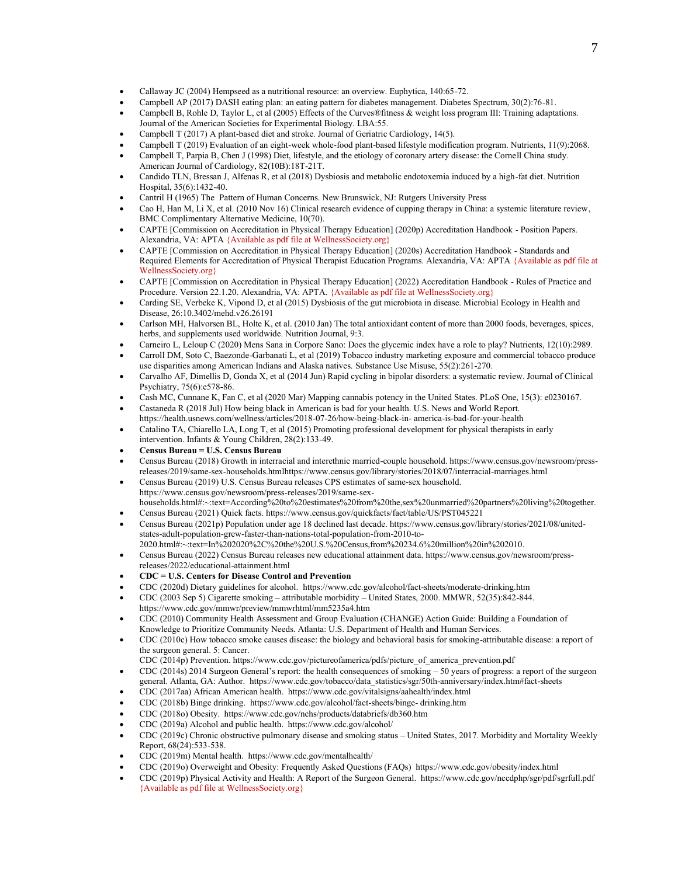- Callaway JC (2004) Hempseed as a nutritional resource: an overview. Euphytica, 140:65-72.
- Campbell AP (2017) DASH eating plan: an eating pattern for diabetes management. Diabetes Spectrum, 30(2):76-81.
- Campbell B, Rohle D, Taylor L, et al (2005) Effects of the Curves®fitness & weight loss program III: Training adaptations. Journal of the American Societies for Experimental Biology. LBA:55.
- Campbell T (2017) A plant-based diet and stroke. Journal of Geriatric Cardiology, 14(5).
- Campbell T (2019) Evaluation of an eight-week whole-food plant-based lifestyle modification program. Nutrients, 11(9):2068.
- Campbell T, Parpia B, Chen J (1998) Diet, lifestyle, and the etiology of coronary artery disease: the Cornell China study. American Journal of Cardiology, 82(10B):18T-21T.
- Candido TLN, Bressan J, Alfenas R, et al (2018) Dysbiosis and metabolic endotoxemia induced by a high-fat diet. Nutrition Hospital, 35(6):1432-40.
- Cantril H (1965) The Pattern of Human Concerns. New Brunswick, NJ: Rutgers University Press
- Cao H, Han M, Li X, et al. (2010 Nov 16) Clinical research evidence of cupping therapy in China: a systemic literature review, BMC Complimentary Alternative Medicine, 10(70).
- CAPTE [Commission on Accreditation in Physical Therapy Education] (2020p) Accreditation Handbook Position Papers. Alexandria, VA: APTA {Available as pdf file at WellnessSociety.org}
- CAPTE [Commission on Accreditation in Physical Therapy Education] (2020s) Accreditation Handbook Standards and Required Elements for Accreditation of Physical Therapist Education Programs. Alexandria, VA: APTA {Available as pdf file at WellnessSociety.org}
- CAPTE [Commission on Accreditation in Physical Therapy Education] (2022) Accreditation Handbook Rules of Practice and Procedure. Version 22.1.20. Alexandria, VA: APTA. {Available as pdf file at WellnessSociety.org}
- Carding SE, Verbeke K, Vipond D, et al (2015) Dysbiosis of the gut microbiota in disease. Microbial Ecology in Health and Disease, 26:10.3402/mehd.v26.26191
- Carlson MH, Halvorsen BL, Holte K, et al. (2010 Jan) The total antioxidant content of more than 2000 foods, beverages, spices, herbs, and supplements used worldwide. Nutrition Journal, 9:3.
- Carneiro L, Leloup C (2020) Mens Sana in Corpore Sano: Does the glycemic index have a role to play? Nutrients, 12(10):2989. • Carroll DM, Soto C, Baezonde-Garbanati L, et al (2019) Tobacco industry marketing exposure and commercial tobacco produce
- use disparities among American Indians and Alaska natives. Substance Use Misuse, 55(2):261-270.
- Carvalho AF, Dimellis D, Gonda X, et al (2014 Jun) Rapid cycling in bipolar disorders: a systematic review. Journal of Clinical Psychiatry, 75(6):e578-86.
- Cash MC, Cunnane K, Fan C, et al (2020 Mar) Mapping cannabis potency in the United States. PLoS One, 15(3): e0230167.
- Castaneda R (2018 Jul) How being black in American is bad for your health. U.S. News and World Report. https://health.usnews.com/wellness/articles/2018-07-26/how-being-black-in- america-is-bad-for-your-health
- Catalino TA, Chiarello LA, Long T, et al (2015) Promoting professional development for physical therapists in early intervention. Infants & Young Children, 28(2):133-49.
- **Census Bureau = U.S. Census Bureau**
- Census Bureau (2018) Growth in interracial and interethnic married-couple household. https://www.census.gov/newsroom/pressreleases/2019/same-sex-households.htmlhttps://www.census.gov/library/stories/2018/07/interracial-marriages.html
- Census Bureau (2019) U.S. Census Bureau releases CPS estimates of same-sex household. https://www.census.gov/newsroom/press-releases/2019/same-sexhouseholds.html#:~:text=According%20to%20estimates%20from%20the,sex%20unmarried%20partners%20living%20together.
- Census Bureau (2021) Quick facts. https://www.census.gov/quickfacts/fact/table/US/PST045221
- Census Bureau (2021p) Population under age 18 declined last decade. https://www.census.gov/library/stories/2021/08/unitedstates-adult-population-grew-faster-than-nations-total-population-from-2010-to-
- 2020.html#:~:text=In%202020%2C%20the%20U.S.%20Census,from%20234.6%20million%20in%202010. • Census Bureau (2022) Census Bureau releases new educational attainment data. https://www.census.gov/newsroom/press-
- releases/2022/educational-attainment.html
- **CDC = U.S. Centers for Disease Control and Prevention**
- CDC (2020d) Dietary guidelines for alcohol. https://www.cdc.gov/alcohol/fact-sheets/moderate-drinking.htm
- CDC (2003 Sep 5) Cigarette smoking attributable morbidity United States, 2000. MMWR, 52(35):842-844. https://www.cdc.gov/mmwr/preview/mmwrhtml/mm5235a4.htm
- CDC (2010) Community Health Assessment and Group Evaluation (CHANGE) Action Guide: Building a Foundation of Knowledge to Prioritize Community Needs. Atlanta: U.S. Department of Health and Human Services.
- CDC (2010c) How tobacco smoke causes disease: the biology and behavioral basis for smoking-attributable disease: a report of the surgeon general. 5: Cancer.
- CDC (2014p) Prevention. https:[//www.cdc.gov/pictureofamerica/pdfs/picture\\_of\\_america\\_prevention.pdf](http://www.cdc.gov/pictureofamerica/pdfs/picture_of_america_prevention.pdf)
- $\text{CDC}$  (2014s) 2014 Surgeon General's report: the health consequences of smoking  $-50$  years of progress: a report of the surgeon general. Atlanta, GA: Author. https://www.cdc.gov/tobacco/data\_statistics/sgr/50th-anniversary/index.htm#fact-sheets
- CDC (2017aa) African American health. https:[//www.cdc.gov/vitalsigns/aahealth/index.html](http://www.cdc.gov/vitalsigns/aahealth/index.html)
- CDC (2018b) Binge drinking. https:/[/www.cdc.gov/alcohol/fact-sheets/binge-](http://www.cdc.gov/alcohol/fact-sheets/binge-) drinking.htm
- CDC (2018o) Obesity. https://www.cdc.gov/nchs/products/databriefs/db360.htm
- CDC (2019a) Alcohol and public health. https:[//www.cdc.gov/alcohol/](http://www.cdc.gov/alcohol/)
- CDC (2019c) Chronic obstructive pulmonary disease and smoking status United States, 2017. Morbidity and Mortality Weekly Report, 68(24):533-538.
- CDC (2019m) Mental health. https:[//www.cdc.gov/mentalhealth/](http://www.cdc.gov/mentalhealth/)
- CDC (2019o) Overweight and Obesity: Frequently Asked Questions (FAQs) https:/[/www.cdc.gov/obesity/index.html](http://www.cdc.gov/obesity/index.html)
- CDC (2019p) Physical Activity and Health: A Report of the Surgeon General. https:[//www.cdc.gov/nccdphp/sgr/pdf/sgrfull.pdf](http://www.cdc.gov/nccdphp/sgr/pdf/sgrfull.pdf) {Available as pdf file at WellnessSociety.org}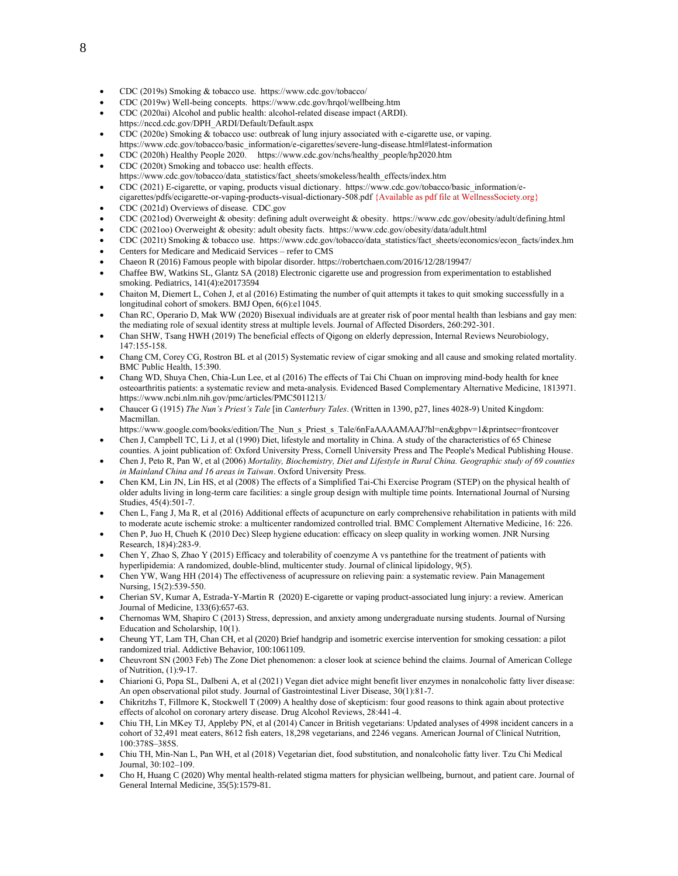- CDC (2019s) Smoking & tobacco use. https:/[/www.cdc.gov/tobacco/](http://www.cdc.gov/tobacco/)
- CDC (2019w) Well-being concepts. https:/[/www.cdc.gov/hrqol/wellbeing.htm](http://www.cdc.gov/hrqol/wellbeing.htm)
- CDC (2020ai) Alcohol and public health: alcohol-related disease impact (ARDI). https://nccd.cdc.gov/DPH\_ARDI/Default/Default.aspx
- CDC (2020e) Smoking & tobacco use: outbreak of lung injury associated with e-cigarette use, or vaping. https://www.cdc.gov/tobacco/basic\_information/e-cigarettes/severe-lung-disease.html#latest-information
- CDC (2020h) Healthy People 2020. https:/[/www.cdc.gov/nchs/healthy\\_people/hp2020.htm](http://www.cdc.gov/nchs/healthy_people/hp2020.htm)
- CDC (2020t) Smoking and tobacco use: health effects.
- https://www.cdc.gov/tobacco/data\_statistics/fact\_sheets/smokeless/health\_effects/index.htm
- CDC (2021) E-cigarette, or vaping, products visual dictionary. https://www.cdc.gov/tobacco/basic\_information/ecigarettes/pdfs/ecigarette-or-vaping-products-visual-dictionary-508.pdf {Available as pdf file at WellnessSociety.org}
- CDC (2021d) Overviews of disease. CDC.gov
- CDC (2021od) Overweight & obesity: defining adult overweight & obesity. https://www.cdc.gov/obesity/adult/defining.html
- CDC (2021oo) Overweight & obesity: adult obesity facts.<https://www.cdc.gov/obesity/data/adult.html>
- CDC (2021t) Smoking & tobacco use. [https://www.cdc.gov/tobacco/data\\_statistics/fact\\_sheets/economics/econ\\_facts/index.hm](https://www.cdc.gov/tobacco/data_statistics/fact_sheets/economics/econ_facts/index.hm)
- Centers for Medicare and Medicaid Services refer to CMS
- Chaeon R (2016) Famous people with bipolar disorder. https://robertchaen.com/2016/12/28/19947/
- Chaffee BW, Watkins SL, Glantz SA (2018) Electronic cigarette use and progression from experimentation to established smoking. Pediatrics, 141(4):e20173594
- Chaiton M, Diemert L, Cohen J, et al (2016) Estimating the number of quit attempts it takes to quit smoking successfully in a longitudinal cohort of smokers. BMJ Open, 6(6):e11045.
- Chan RC, Operario D, Mak WW (2020) Bisexual individuals are at greater risk of poor mental health than lesbians and gay men: the mediating role of sexual identity stress at multiple levels. Journal of Affected Disorders, 260:292-301.
- Chan SHW, Tsang HWH (2019) The beneficial effects of Qigong on elderly depression, Internal Reviews Neurobiology, 147:155-158.
- Chang CM, Corey CG, Rostron BL et al (2015) Systematic review of cigar smoking and all cause and smoking related mortality. BMC Public Health, 15:390.
- Chang WD, Shuya Chen, Chia-Lun Lee, et al (2016) The effects of Tai Chi Chuan on improving mind-body health for knee osteoarthritis patients: a systematic review and meta-analysis. Evidenced Based Complementary Alternative Medicine, 1813971. https:[//www.ncbi.nlm.nih.gov/pmc/articles/PMC5011213/](http://www.ncbi.nlm.nih.gov/pmc/articles/PMC5011213/)
- Chaucer G (1915) *The Nun's Priest's Tale* [in *Canterbury Tales*. (Written in 1390, p27, lines 4028-9) United Kingdom: Macmillan.
- https://www.google.com/books/edition/The\_Nun\_s\_Priest\_s\_Tale/6nFaAAAAMAAJ?hl=en&gbpv=1&printsec=frontcover • Chen J, Campbell TC, Li J, et al (1990) Diet, lifestyle and mortality in China. A study of the characteristics of 65 Chinese
- counties. A joint publication of: Oxford University Press, Cornell University Press and The People's Medical Publishing House. • Chen J, Peto R, Pan W, et al (2006) *Mortality, Biochemistry, Diet and Lifestyle in Rural China. Geographic study of 69 counties in Mainland China and 16 areas in Taiwan*. Oxford University Press.
- Chen KM, Lin JN, Lin HS, et al (2008) The effects of a Simplified Tai-Chi Exercise Program (STEP) on the physical health of older adults living in long-term care facilities: a single group design with multiple time points. International Journal of Nursing Studies, 45(4):501-7.
- Chen L, Fang J, Ma R, et al (2016) Additional effects of acupuncture on early comprehensive rehabilitation in patients with mild to moderate acute ischemic stroke: a multicenter randomized controlled trial. BMC Complement Alternative Medicine, 16: 226.
- Chen P, Juo H, Chueh K (2010 Dec) Sleep hygiene education: efficacy on sleep quality in working women. JNR Nursing Research, 18)4):283-9.
- Chen Y, Zhao S, Zhao Y (2015) Efficacy and tolerability of coenzyme A vs pantethine for the treatment of patients with hyperlipidemia: A randomized, double-blind, multicenter study. Journal of clinical lipidology, 9(5).
- Chen YW, Wang HH (2014) The effectiveness of acupressure on relieving pain: a systematic review. Pain Management Nursing, 15(2):539-550.
- Cherian SV, Kumar A, Estrada-Y-Martin R (2020) E-cigarette or vaping product-associated lung injury: a review. American Journal of Medicine, 133(6):657-63.
- Chernomas WM, Shapiro C (2013) Stress, depression, and anxiety among undergraduate nursing students. Journal of Nursing Education and Scholarship, 10(1).
- Cheung YT, Lam TH, Chan CH, et al (2020) Brief handgrip and isometric exercise intervention for smoking cessation: a pilot randomized trial. Addictive Behavior, 100:1061109.
- Cheuvront SN (2003 Feb) The Zone Diet phenomenon: a closer look at science behind the claims. Journal of American College of Nutrition, (1):9-17.
- Chiarioni G, Popa SL, Dalbeni A, et al (2021) Vegan diet advice might benefit liver enzymes in nonalcoholic fatty liver disease: An open observational pilot study. Journal of Gastrointestinal Liver Disease, 30(1):81-7.
- Chikritzhs T, Fillmore K, Stockwell T (2009) A healthy dose of skepticism: four good reasons to think again about protective effects of alcohol on coronary artery disease. Drug Alcohol Reviews, 28:441-4.
- Chiu TH, Lin MKey TJ, Appleby PN, et al (2014) Cancer in British vegetarians: Updated analyses of 4998 incident cancers in a cohort of 32,491 meat eaters, 8612 fish eaters, 18,298 vegetarians, and 2246 vegans. American Journal of Clinical Nutrition, 100:378S–385S.
- Chiu TH, Min-Nan L, Pan WH, et al (2018) Vegetarian diet, food substitution, and nonalcoholic fatty liver. Tzu Chi Medical Journal, 30:102–109.
- Cho H, Huang C (2020) Why mental health-related stigma matters for physician wellbeing, burnout, and patient care. Journal of General Internal Medicine, 35(5):1579-81.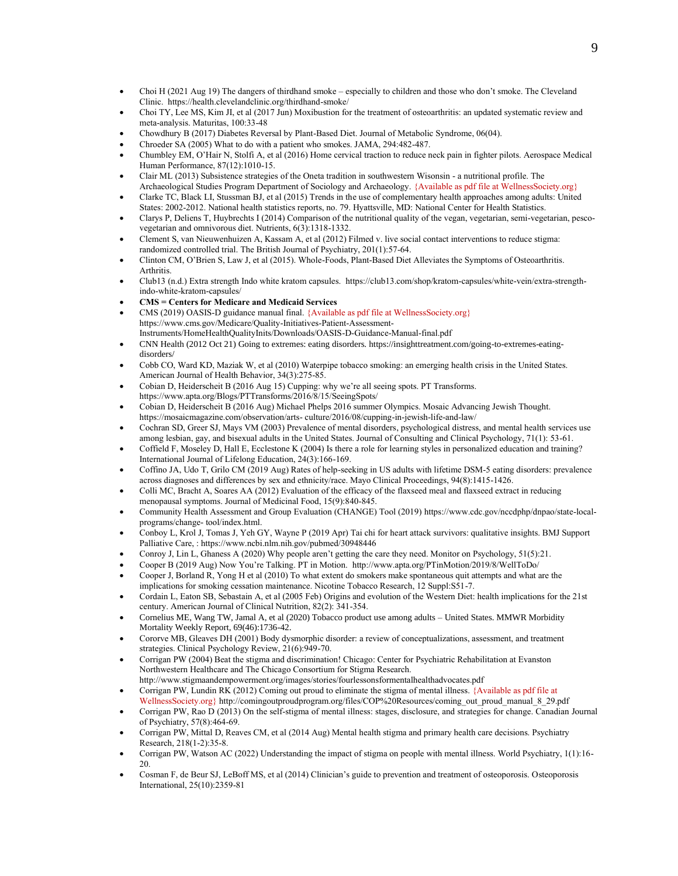- Choi H (2021 Aug 19) The dangers of thirdhand smoke especially to children and those who don't smoke. The Cleveland Clinic. https://health.clevelandclinic.org/thirdhand-smoke/
- Choi TY, Lee MS, Kim JI, et al (2017 Jun) Moxibustion for the treatment of osteoarthritis: an updated systematic review and meta-analysis. Maturitas, 100:33-48
- Chowdhury B (2017) Diabetes Reversal by Plant-Based Diet. Journal of Metabolic Syndrome, 06(04).
- Chroeder SA (2005) What to do with a patient who smokes. JAMA, 294:482-487.
- Chumbley EM, O'Hair N, Stolfi A, et al (2016) Home cervical traction to reduce neck pain in fighter pilots. Aerospace Medical Human Performance, 87(12):1010-15.
- Clair ML (2013) Subsistence strategies of the Oneta tradition in southwestern Wisonsin a nutritional profile. The Archaeological Studies Program Department of Sociology and Archaeology. {Available as pdf file at WellnessSociety.org}
- Clarke TC, Black LI, Stussman BJ, et al (2015) Trends in the use of complementary health approaches among adults: United States: 2002-2012. National health statistics reports, no. 79. Hyattsville, MD: National Center for Health Statistics.
- Clarys P, Deliens T, Huybrechts I (2014) Comparison of the nutritional quality of the vegan, vegetarian, semi-vegetarian, pescovegetarian and omnivorous diet. Nutrients, 6(3):1318-1332.
- Clement S, van Nieuwenhuizen A, Kassam A, et al (2012) Filmed v. live social contact interventions to reduce stigma: randomized controlled trial. The British Journal of Psychiatry, 201(1):57-64.
- Clinton CM, O'Brien S, Law J, et al (2015). Whole-Foods, Plant-Based Diet Alleviates the Symptoms of Osteoarthritis. Arthritis.
- Club13 (n.d.) Extra strength Indo white kratom capsules. [https://club13.com/shop/kratom-capsules/white-vein/extra-strength](https://club13.com/shop/kratom-capsules/white-vein/extra-strength-indo-white-kratom-capsules/)[indo-white-kratom-capsules/](https://club13.com/shop/kratom-capsules/white-vein/extra-strength-indo-white-kratom-capsules/)
- **CMS = Centers for Medicare and Medicaid Services**
- CMS (2019) OASIS-D guidance manual final. {Available as pdf file at WellnessSociety.org} https://www.cms.gov/Medicare/Quality-Initiatives-Patient-Assessment-Instruments/HomeHealthQualityInits/Downloads/OASIS-D-Guidance-Manual-final.pdf
- CNN Health (2012 Oct 21) Going to extremes: eating disorders. https://insighttreatment.com/going-to-extremes-eatingdisorders/
- Cobb CO, Ward KD, Maziak W, et al (2010) Waterpipe tobacco smoking: an emerging health crisis in the United States. American Journal of Health Behavior, 34(3):275-85.
- Cobian D, Heiderscheit B (2016 Aug 15) Cupping: why we're all seeing spots. PT Transforms.
- https:[//www.apta.org/Blogs/PTTransforms/2016/8/15/SeeingSpots/](http://www.apta.org/Blogs/PTTransforms/2016/8/15/SeeingSpots/) • Cobian D, Heiderscheit B (2016 Aug) Michael Phelps 2016 summer Olympics. Mosaic Advancing Jewish Thought. https://mosaicmagazine.com/observation/arts- [culture/2016/08/cupping-in-jewish-life-and-law/](https://mosaicmagazine.com/observation/arts-%20culture/2016/08/cupping-in-jewish-life-and-law/)
- Cochran SD, Greer SJ, Mays VM (2003) Prevalence of mental disorders, psychological distress, and mental health services use among lesbian, gay, and bisexual adults in the United States. Journal of Consulting and Clinical Psychology, 71(1): 53-61.
- Coffield F, Moseley D, Hall E, Ecclestone K (2004) Is there a role for learning styles in personalized education and training? International Journal of Lifelong Education, 24(3):166-169.
- Coffino JA, Udo T, Grilo CM (2019 Aug) Rates of help-seeking in US adults with lifetime DSM-5 eating disorders: prevalence across diagnoses and differences by sex and ethnicity/race. Mayo Clinical Proceedings, 94(8):1415-1426.
- Colli MC, Bracht A, Soares AA (2012) Evaluation of the efficacy of the flaxseed meal and flaxseed extract in reducing menopausal symptoms. Journal of Medicinal Food, 15(9):840-845.
- Community Health Assessment and Group Evaluation (CHANGE) Tool (2019) https:[//www.cdc.gov/nccdphp/dnpao/state-local](http://www.cdc.gov/nccdphp/dnpao/state-local-programs/change-)[programs/change-](http://www.cdc.gov/nccdphp/dnpao/state-local-programs/change-) tool/index.html.
- Conboy L, Krol J, Tomas J, Yeh GY, Wayne P (2019 Apr) Tai chi for heart attack survivors: qualitative insights. BMJ Support Palliative Care, : https:/[/www.ncbi.nlm.nih.gov/pubmed/30948446](http://www.ncbi.nlm.nih.gov/pubmed/30948446)
- Conroy J, Lin L, Ghaness A (2020) Why people aren't getting the care they need. Monitor on Psychology, 51(5):21.
- Cooper B (2019 Aug) Now You're Talking. PT in Motion. <http://www.apta.org/PTinMotion/2019/8/WellToDo/>
- Cooper J, Borland R, Yong H et al (2010) To what extent do smokers make spontaneous quit attempts and what are the implications for smoking cessation maintenance. Nicotine Tobacco Research, 12 Suppl:S51-7.
- Cordain L, Eaton SB, Sebastain A, et al (2005 Feb) Origins and evolution of the Western Diet: health implications for the 21st century. American Journal of Clinical Nutrition, 82(2): 341-354.
- Cornelius ME, Wang TW, Jamal A, et al (2020) Tobacco product use among adults United States. MMWR Morbidity Mortality Weekly Report, 69(46):1736-42.
- Cororve MB, Gleaves DH (2001) Body dysmorphic disorder: a review of conceptualizations, assessment, and treatment strategies. Clinical Psychology Review, 21(6):949-70.
- Corrigan PW (2004) Beat the stigma and discrimination! Chicago: Center for Psychiatric Rehabilitation at Evanston Northwestern Healthcare and The Chicago Consortium for Stigma Research. http://www.stigmaandempowerment.org/images/stories/fourlessonsformentalhealthadvocates.pdf
- Corrigan PW, Lundin RK (2012) Coming out proud to eliminate the stigma of mental illness. {Available as pdf file at WellnessSociety.org} http://comingoutproudprogram.org/files/COP%20Resources/coming\_out\_proud\_manual\_8\_29.pdf
- Corrigan PW, Rao D (2013) On the self-stigma of mental illness: stages, disclosure, and strategies for change. Canadian Journal of Psychiatry, 57(8):464-69.
- Corrigan PW, Mittal D, Reaves CM, et al (2014 Aug) Mental health stigma and primary health care decisions. Psychiatry Research, 218(1-2):35-8.
- Corrigan PW, Watson AC (2022) Understanding the impact of stigma on people with mental illness. World Psychiatry, 1(1):16- 20.
- Cosman F, de Beur SJ, LeBoff MS, et al (2014) Clinician's guide to prevention and treatment of osteoporosis. Osteoporosis International, 25(10):2359-81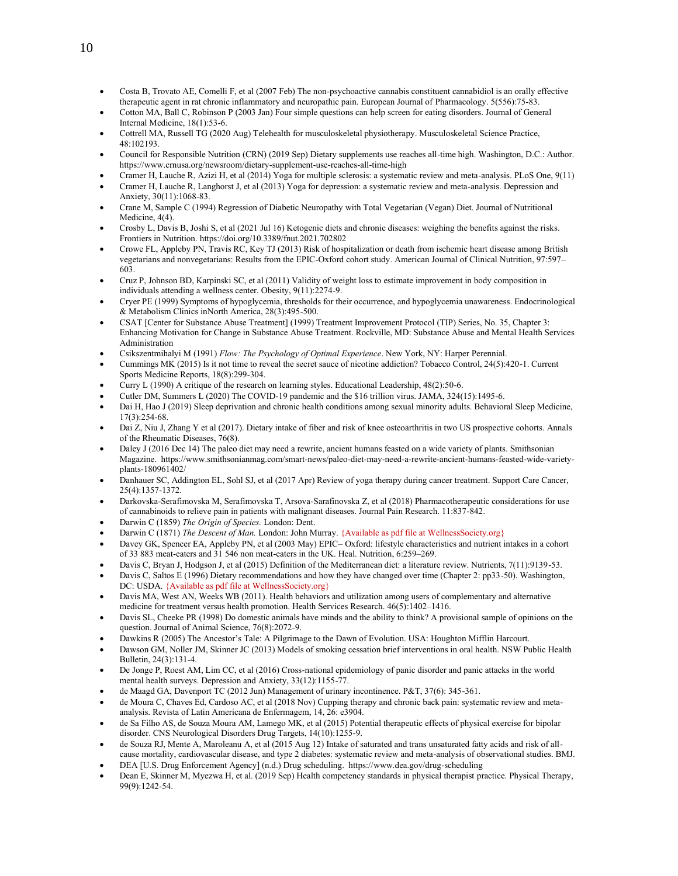- Costa B, Trovato AE, Comelli F, et al (2007 Feb) The non-psychoactive cannabis constituent cannabidiol is an orally effective therapeutic agent in rat chronic inflammatory and neuropathic pain. European Journal of Pharmacology. 5(556):75-83.
- Cotton MA, Ball C, Robinson P (2003 Jan) Four simple questions can help screen for eating disorders. Journal of General Internal Medicine, 18(1):53-6.
- Cottrell MA, Russell TG (2020 Aug) Telehealth for musculoskeletal physiotherapy. Musculoskeletal Science Practice, 48:102193.
- Council for Responsible Nutrition (CRN) (2019 Sep) Dietary supplements use reaches all-time high. Washington, D.C.: Author. https:[//www.crnusa.org/newsroom/dietary-supplement-use-reaches-all-time-high](http://www.crnusa.org/newsroom/dietary-supplement-use-reaches-all-time-high)
- Cramer H, Lauche R, Azizi H, et al (2014) Yoga for multiple sclerosis: a systematic review and meta-analysis. PLoS One, 9(11)
- Cramer H, Lauche R, Langhorst J, et al (2013) Yoga for depression: a systematic review and meta-analysis. Depression and Anxiety, 30(11):1068-83.
- Crane M, Sample C (1994) Regression of Diabetic Neuropathy with Total Vegetarian (Vegan) Diet. Journal of Nutritional Medicine, 4(4).
- Crosby L, Davis B, Joshi S, et al (2021 Jul 16) Ketogenic diets and chronic diseases: weighing the benefits against the risks. Frontiers in Nutrition[. https://doi.org/10.3389/fnut.2021.702802](https://doi.org/10.3389/fnut.2021.702802)
- Crowe FL, Appleby PN, Travis RC, Key TJ (2013) Risk of hospitalization or death from ischemic heart disease among British vegetarians and nonvegetarians: Results from the EPIC-Oxford cohort study. American Journal of Clinical Nutrition, 97:597– 603.
- Cruz P, Johnson BD, Karpinski SC, et al (2011) Validity of weight loss to estimate improvement in body composition in individuals attending a wellness center. Obesity, 9(11):2274-9.
- Cryer PE (1999) Symptoms of hypoglycemia, thresholds for their occurrence, and hypoglycemia unawareness. Endocrinological & Metabolism Clinics inNorth America, 28(3):495-500.
- CSAT [Center for Substance Abuse Treatment] (1999) Treatment Improvement Protocol (TIP) Series, No. 35, Chapter 3: Enhancing Motivation for Change in Substance Abuse Treatment. Rockville, MD: Substance Abuse and Mental Health Services Administration
- Csikszentmihalyi M (1991) *Flow: The Psychology of Optimal Experience*. New York, NY: Harper Perennial.
- Cummings MK (2015) Is it not time to reveal the secret sauce of nicotine addiction? Tobacco Control, 24(5):420-1. Current Sports Medicine Reports, 18(8):299-304.
- Curry L (1990) A critique of the research on learning styles. Educational Leadership, 48(2):50-6.
- Cutler DM, Summers L (2020) The COVID-19 pandemic and the \$16 trillion virus. JAMA, 324(15):1495-6.
- Dai H, Hao J (2019) Sleep deprivation and chronic health conditions among sexual minority adults. Behavioral Sleep Medicine, 17(3):254-68.
- Dai Z, Niu J, Zhang Y et al (2017). Dietary intake of fiber and risk of knee osteoarthritis in two US prospective cohorts. Annals of the Rheumatic Diseases, 76(8).
- Daley J (2016 Dec 14) The paleo diet may need a rewrite, ancient humans feasted on a wide variety of plants. Smithsonian Magazine. https://www.smithsonianmag.com/smart-news/paleo-diet-may-need-a-rewrite-ancient-humans-feasted-wide-varietyplants-180961402/
- Danhauer SC, Addington EL, Sohl SJ, et al (2017 Apr) Review of yoga therapy during cancer treatment. Support Care Cancer, 25(4):1357-1372.
- Darkovska-Serafimovska M, Serafimovska T, Arsova-Sarafinovska Z, et al (2018) Pharmacotherapeutic considerations for use of cannabinoids to relieve pain in patients with malignant diseases. Journal Pain Research. 11:837-842.
- Darwin C (1859) *The Origin of Species.* London: Dent.
- Darwin C (1871) *The Descent of Man.* London: John Murray. {Available as pdf file at WellnessSociety.org}
- Davey GK, Spencer EA, Appleby PN, et al (2003 May) EPIC– Oxford: lifestyle characteristics and nutrient intakes in a cohort of 33 883 meat-eaters and 31 546 non meat-eaters in the UK. Heal. Nutrition, 6:259–269.
- Davis C, Bryan J, Hodgson J, et al (2015) Definition of the Mediterranean diet: a literature review. Nutrients, 7(11):9139-53.
- Davis C, Saltos E (1996) Dietary recommendations and how they have changed over time (Chapter 2: pp33-50). Washington, DC: USDA. {Available as pdf file at WellnessSociety.org}
- Davis MA, West AN, Weeks WB (2011). Health behaviors and utilization among users of complementary and alternative medicine for treatment versus health promotion. Health Services Research. 46(5):1402–1416.
- Davis SL, Cheeke PR (1998) Do domestic animals have minds and the ability to think? A provisional sample of opinions on the question. Journal of Animal Science, 76(8):2072-9.
- Dawkins R (2005) The Ancestor's Tale: A Pilgrimage to the Dawn of Evolution. USA: Houghton Mifflin Harcourt.
- Dawson GM, Noller JM, Skinner JC (2013) Models of smoking cessation brief interventions in oral health. NSW Public Health Bulletin, 24(3):131-4.
- De Jonge P, Roest AM, Lim CC, et al (2016) Cross-national epidemiology of panic disorder and panic attacks in the world mental health surveys. Depression and Anxiety, 33(12):1155-77.
- de Maagd GA, Davenport TC (2012 Jun) Management of urinary incontinence. P&T, 37(6): 345-361.
- de Moura C, Chaves Ed, Cardoso AC, et al (2018 Nov) Cupping therapy and chronic back pain: systematic review and metaanalysis. Revista of Latin Americana de Enfermagem, 14, 26: e3904.
- de Sa Filho AS, de Souza Moura AM, Lamego MK, et al (2015) Potential therapeutic effects of physical exercise for bipolar disorder. CNS Neurological Disorders Drug Targets, 14(10):1255-9.
- de Souza RJ, Mente A, Maroleanu A, et al (2015 Aug 12) Intake of saturated and trans unsaturated fatty acids and risk of allcause mortality, cardiovascular disease, and type 2 diabetes: systematic review and meta-analysis of observational studies. BMJ.
- DEA [U.S. Drug Enforcement Agency] (n.d.) Drug scheduling. https:/[/www.dea.gov/drug-scheduling](http://www.dea.gov/drug-scheduling)
- Dean E, Skinner M, Myezwa H, et al. (2019 Sep) Health competency standards in physical therapist practice. Physical Therapy, 99(9):1242-54.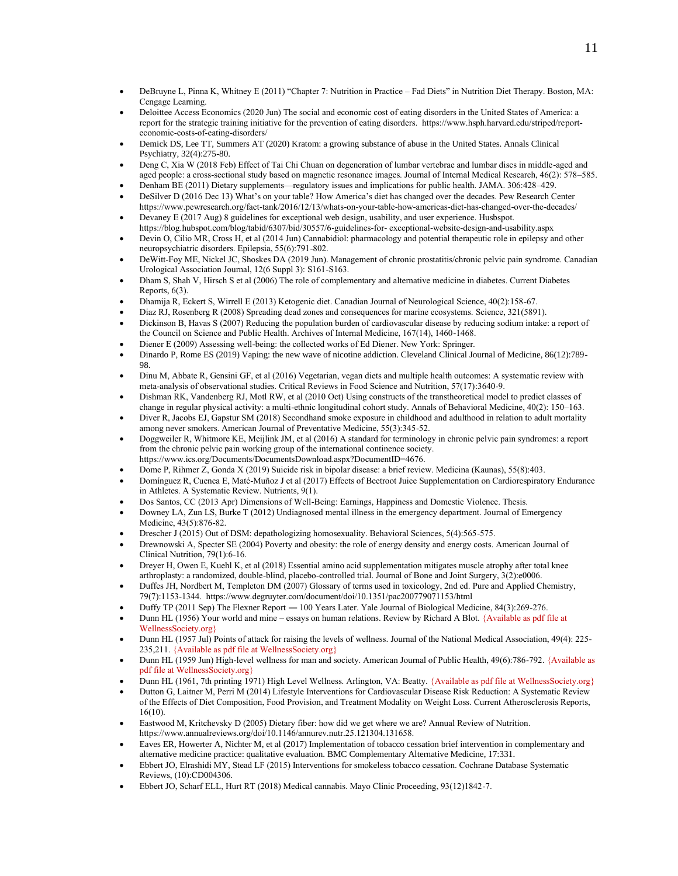- DeBruyne L, Pinna K, Whitney E (2011) "Chapter 7: Nutrition in Practice Fad Diets" in Nutrition Diet Therapy. Boston, MA: Cengage Learning.
- Deloittee Access Economics (2020 Jun) The social and economic cost of eating disorders in the United States of America: a report for the strategic training initiative for the prevention of eating disorders. https://www.hsph.harvard.edu/striped/reporteconomic-costs-of-eating-disorders/
- Demick DS, Lee TT, Summers AT (2020) Kratom: a growing substance of abuse in the United States. Annals Clinical Psychiatry, 32(4):275-80.
- Deng C, Xia W (2018 Feb) Effect of Tai Chi Chuan on degeneration of lumbar vertebrae and lumbar discs in middle-aged and aged people: a cross-sectional study based on magnetic resonance images. Journal of Internal Medical Research, 46(2): 578–585.
- Denham BE (2011) Dietary supplements—regulatory issues and implications for public health. JAMA. 306:428–429.
- DeSilver D (2016 Dec 13) What's on your table? How America's diet has changed over the decades. Pew Research Center <https://www.pewresearch.org/fact-tank/2016/12/13/whats-on-your-table-how-americas-diet-has-changed-over-the-decades/>
- Devaney E (2017 Aug) 8 guidelines for exceptional web design, usability, and user experience. Husbspot. https://blog.hubspot.com/blog/tabid/6307/bid/30557/6-guidelines-for- exceptional-website-design-and-usability.aspx
- Devin O, Cilio MR, Cross H, et al (2014 Jun) Cannabidiol: pharmacology and potential therapeutic role in epilepsy and other neuropsychiatric disorders. Epilepsia, 55(6):791-802.
- DeWitt-Foy ME, Nickel JC, Shoskes DA (2019 Jun). Management of chronic prostatitis/chronic pelvic pain syndrome. Canadian Urological Association Journal, 12(6 Suppl 3): S161-S163.
- Dham S, Shah V, Hirsch S et al (2006) The role of complementary and alternative medicine in diabetes. Current Diabetes Reports, 6(3).
- Dhamija R, Eckert S, Wirrell E (2013) Ketogenic diet. Canadian Journal of Neurological Science, 40(2):158-67.
- Diaz RJ, Rosenberg R (2008) Spreading dead zones and consequences for marine ecosystems. Science, 321(5891).
- Dickinson B, Havas S (2007) Reducing the population burden of cardiovascular disease by reducing sodium intake: a report of the Council on Science and Public Health. Archives of Internal Medicine, 167(14), 1460-1468.
- Diener E (2009) Assessing well-being: the collected works of Ed Diener. New York: Springer.
- Dinardo P, Rome ES (2019) Vaping: the new wave of nicotine addiction. Cleveland Clinical Journal of Medicine, 86(12):789- 98.
- Dinu M, Abbate R, Gensini GF, et al (2016) Vegetarian, vegan diets and multiple health outcomes: A systematic review with meta-analysis of observational studies. Critical Reviews in Food Science and Nutrition, 57(17):3640-9.
- Dishman RK, Vandenberg RJ, Motl RW, et al (2010 Oct) Using constructs of the transtheoretical model to predict classes of change in regular physical activity: a multi-ethnic longitudinal cohort study. Annals of Behavioral Medicine, 40(2): 150–163.
- Diver R, Jacobs EJ, Gapstur SM (2018) Secondhand smoke exposure in childhood and adulthood in relation to adult mortality among never smokers. American Journal of Preventative Medicine, 55(3):345-52.
- Doggweiler R, Whitmore KE, Meijlink JM, et al (2016) A standard for terminology in chronic pelvic pain syndromes: a report from the chronic pelvic pain working group of the international continence society. https:[//www.ics.org/Documents/DocumentsDownload.aspx?DocumentID=4676.](http://www.ics.org/Documents/DocumentsDownload.aspx?DocumentID=4676)
- Dome P, Rihmer Z, Gonda X (2019) Suicide risk in bipolar disease: a brief review. Medicina (Kaunas), 55(8):403.
- Domínguez R, Cuenca E, Maté-Muñoz J et al (2017) Effects of Beetroot Juice Supplementation on Cardiorespiratory Endurance in Athletes. A Systematic Review. Nutrients, 9(1).
- Dos Santos, CC (2013 Apr) Dimensions of Well-Being: Earnings, Happiness and Domestic Violence. Thesis.
- Downey LA, Zun LS, Burke T (2012) Undiagnosed mental illness in the emergency department. Journal of Emergency Medicine, 43(5):876-82.
- Drescher J (2015) Out of DSM: depathologizing homosexuality. Behavioral Sciences, 5(4):565-575.
- Drewnowski A, Specter SE (2004) Poverty and obesity: the role of energy density and energy costs. American Journal of Clinical Nutrition, 79(1):6-16.
- Dreyer H, Owen E, Kuehl K, et al (2018) Essential amino acid supplementation mitigates muscle atrophy after total knee arthroplasty: a randomized, double-blind, placebo-controlled trial. Journal of Bone and Joint Surgery, 3(2):e0006.
- Duffes JH, Nordbert M, Templeton DM (2007) Glossary of terms used in toxicology, 2nd ed. Pure and Applied Chemistry, 79(7):1153-1344. https://www.degruyter.com/document/doi/10.1351/pac200779071153/html
- Duffy TP (2011 Sep) The Flexner Report ― 100 Years Later. Yale Journal of Biological Medicine, 84(3):269-276.
- Dunn HL (1956) Your world and mine essays on human relations. Review by Richard A Blot. {Available as pdf file at WellnessSociety.org}
- Dunn HL (1957 Jul) Points of attack for raising the levels of wellness. Journal of the National Medical Association, 49(4): 225- 235,211. {Available as pdf file at WellnessSociety.org}
- Dunn HL (1959 Jun) High-level wellness for man and society. American Journal of Public Health, 49(6):786-792. {Available as pdf file at WellnessSociety.org}
- Dunn HL (1961, 7th printing 1971) High Level Wellness. Arlington, VA: Beatty. {Available as pdf file at WellnessSociety.org}
- Dutton G, Laitner M, Perri M (2014) Lifestyle Interventions for Cardiovascular Disease Risk Reduction: A Systematic Review of the Effects of Diet Composition, Food Provision, and Treatment Modality on Weight Loss. Current Atherosclerosis Reports, 16(10).
- Eastwood M, Kritchevsky D (2005) Dietary fiber: how did we get where we are? Annual Review of Nutrition. https:[//www.annualreviews.org/doi/10.1146/annurev.nutr.25.121304.131658.](http://www.annualreviews.org/doi/10.1146/annurev.nutr.25.121304.131658)
- Eaves ER, Howerter A, Nichter M, et al (2017) Implementation of tobacco cessation brief intervention in complementary and alternative medicine practice: qualitative evaluation. BMC Complementary Alternative Medicine, 17:331.
- Ebbert JO, Elrashidi MY, Stead LF (2015) Interventions for smokeless tobacco cessation. Cochrane Database Systematic Reviews, (10):CD004306.
- Ebbert JO, Scharf ELL, Hurt RT (2018) Medical cannabis. Mayo Clinic Proceeding, 93(12)1842-7.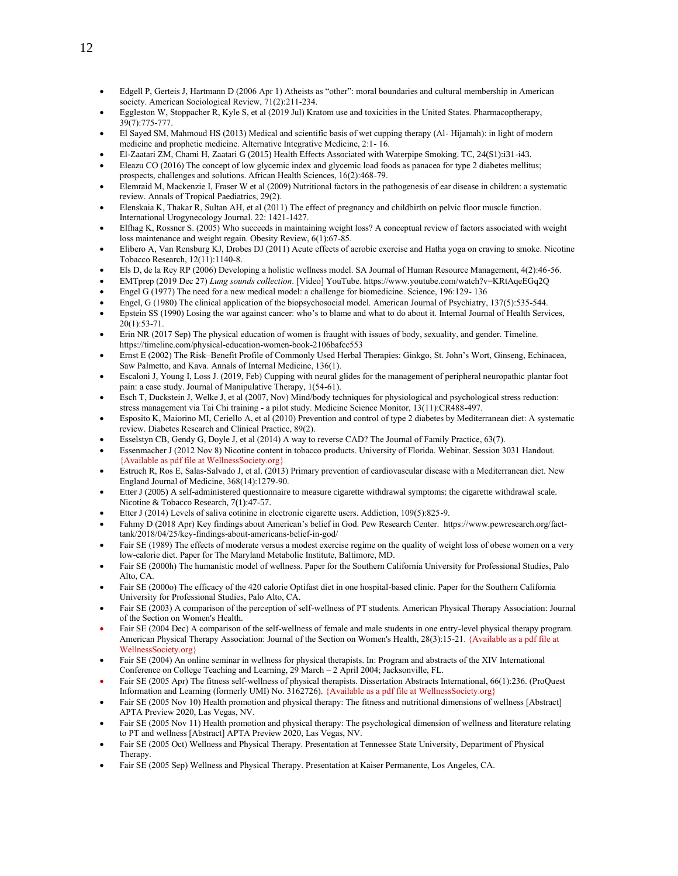- Edgell P, Gerteis J, Hartmann D (2006 Apr 1) Atheists as "other": moral boundaries and cultural membership in American society. American Sociological Review, 71(2):211-234.
- Eggleston W, Stoppacher R, Kyle S, et al (2019 Jul) Kratom use and toxicities in the United States. Pharmacoptherapy, 39(7):775-777.
- El Sayed SM, Mahmoud HS (2013) Medical and scientific basis of wet cupping therapy (Al- Hijamah): in light of modern medicine and prophetic medicine. Alternative Integrative Medicine, 2:1- 16.
- El-Zaatari ZM, Chami H, Zaatari G (2015) Health Effects Associated with Waterpipe Smoking. TC, 24(S1):i31-i43.
- Eleazu CO (2016) The concept of low glycemic index and glycemic load foods as panacea for type 2 diabetes mellitus; prospects, challenges and solutions. African Health Sciences, 16(2):468-79.
- Elemraid M, Mackenzie I, Fraser W et al (2009) Nutritional factors in the pathogenesis of ear disease in children: a systematic review. Annals of Tropical Paediatrics, 29(2).
- Elenskaia K, Thakar R, Sultan AH, et al (2011) The effect of pregnancy and childbirth on pelvic floor muscle function. International Urogynecology Journal. 22: 1421-1427.
- Elfhag K, Rossner S. (2005) Who succeeds in maintaining weight loss? A conceptual review of factors associated with weight loss maintenance and weight regain. Obesity Review, 6(1):67-85.
- Elibero A, Van Rensburg KJ, Drobes DJ (2011) Acute effects of aerobic exercise and Hatha yoga on craving to smoke. Nicotine Tobacco Research, 12(11):1140-8.
- Els D, de la Rey RP (2006) Developing a holistic wellness model. SA Journal of Human Resource Management, 4(2):46-56.
- EMTprep (2019 Dec 27) *Lung sounds collection*. [Video] YouTube. https://www.youtube.com/watch?v=KRtAqeEGq2Q
- Engel G (1977) The need for a new medical model: a challenge for biomedicine. Science, 196:129- 136
- Engel, G (1980) The clinical application of the biopsychosocial model. American Journal of Psychiatry, 137(5):535-544.
- Epstein SS (1990) Losing the war against cancer: who's to blame and what to do about it. Internal Journal of Health Services, 20(1):53-71.
- Erin NR (2017 Sep) The physical education of women is fraught with issues of body, sexuality, and gender. Timeline. https://timeline.com/physical-education-women-book-2106bafcc553
- Ernst E (2002) The Risk–Benefit Profile of Commonly Used Herbal Therapies: Ginkgo, St. John's Wort, Ginseng, Echinacea, Saw Palmetto, and Kava. Annals of Internal Medicine, 136(1).
- Escaloni J, Young I, Loss J. (2019, Feb) Cupping with neural glides for the management of peripheral neuropathic plantar foot pain: a case study. Journal of Manipulative Therapy, 1(54-61).
- Esch T, Duckstein J, Welke J, et al (2007, Nov) Mind/body techniques for physiological and psychological stress reduction: stress management via Tai Chi training - a pilot study. Medicine Science Monitor, 13(11):CR488-497.
- Esposito K, Maiorino MI, Ceriello A, et al (2010) Prevention and control of type 2 diabetes by Mediterranean diet: A systematic review. Diabetes Research and Clinical Practice, 89(2).
- Esselstyn CB, Gendy G, Doyle J, et al (2014) A way to reverse CAD? The Journal of Family Practice, 63(7).
- Essenmacher J (2012 Nov 8) Nicotine content in tobacco products. University of Florida. Webinar. Session 3031 Handout. {Available as pdf file at WellnessSociety.org}
- Estruch R, Ros E, Salas-Salvado J, et al. (2013) Primary prevention of cardiovascular disease with a Mediterranean diet. New England Journal of Medicine, 368(14):1279-90.
- Etter J (2005) A self-administered questionnaire to measure cigarette withdrawal symptoms: the cigarette withdrawal scale. Nicotine & Tobacco Research, 7(1):47-57.
- Etter J (2014) Levels of saliva cotinine in electronic cigarette users. Addiction, 109(5):825-9.
- Fahmy D (2018 Apr) Key findings about American's belief in God. Pew Research Center. https://[www.pewresearch.org/fact](http://www.pewresearch.org/fact-tank/2018/04/25/key-findings-about-americans-belief-in-god/)[tank/2018/04/25/key-findings-about-americans-belief-in-god/](http://www.pewresearch.org/fact-tank/2018/04/25/key-findings-about-americans-belief-in-god/)
- Fair SE (1989) The effects of moderate versus a modest exercise regime on the quality of weight loss of obese women on a very low-calorie diet. Paper for The Maryland Metabolic Institute, Baltimore, MD.
- Fair SE (2000h) The humanistic model of wellness. Paper for the Southern California University for Professional Studies, Palo Alto, CA.
- Fair SE (2000o) The efficacy of the 420 calorie Optifast diet in one hospital-based clinic. Paper for the Southern California University for Professional Studies, Palo Alto, CA.
- Fair SE (2003) A comparison of the perception of self-wellness of PT students. American Physical Therapy Association: Journal of the Section on Women's Health.
- Fair SE (2004 Dec) A comparison of the self-wellness of female and male students in one entry-level physical therapy program. American Physical Therapy Association: Journal of the Section on Women's Health, 28(3):15-21. {Available as a pdf file at WellnessSociety.org}
- Fair SE (2004) An online seminar in wellness for physical therapists. In: Program and abstracts of the XIV International Conference on College Teaching and Learning, 29 March – 2 April 2004; Jacksonville, FL.
- Fair SE (2005 Apr) The fitness self-wellness of physical therapists. Dissertation Abstracts International, 66(1):236. (ProQuest Information and Learning (formerly UMI) No. 3162726). {Available as a pdf file at WellnessSociety.org}
- Fair SE (2005 Nov 10) Health promotion and physical therapy: The fitness and nutritional dimensions of wellness [Abstract] APTA Preview 2020, Las Vegas, NV.
- Fair SE (2005 Nov 11) Health promotion and physical therapy: The psychological dimension of wellness and literature relating to PT and wellness [Abstract] APTA Preview 2020, Las Vegas, NV.
- Fair SE (2005 Oct) Wellness and Physical Therapy. Presentation at Tennessee State University, Department of Physical Therapy.
- Fair SE (2005 Sep) Wellness and Physical Therapy. Presentation at Kaiser Permanente, Los Angeles, CA.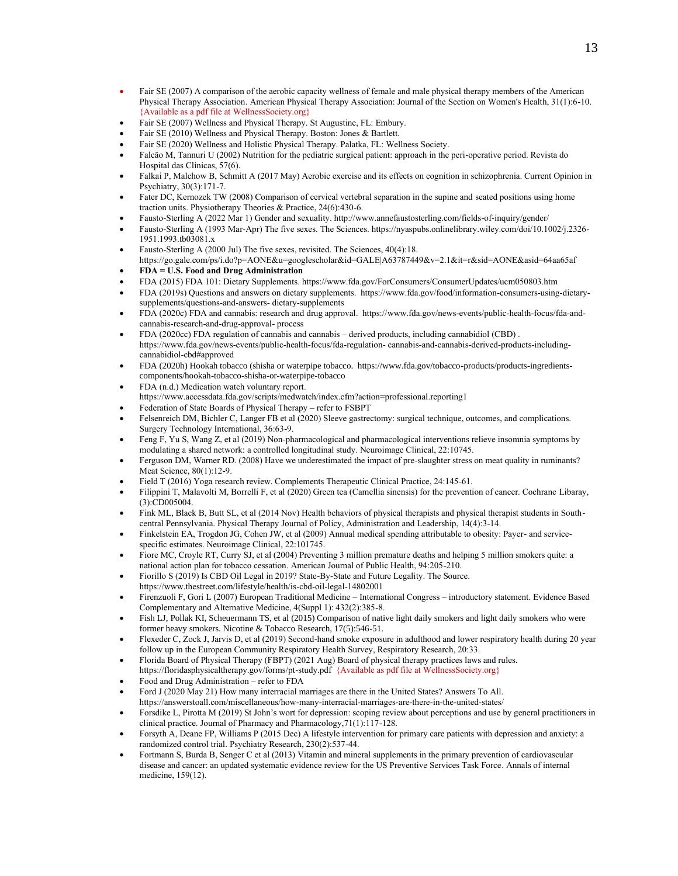- Fair SE (2007) A comparison of the aerobic capacity wellness of female and male physical therapy members of the American Physical Therapy Association. American Physical Therapy Association: Journal of the Section on Women's Health, 31(1):6-10. {Available as a pdf file at WellnessSociety.org}
- Fair SE (2007) Wellness and Physical Therapy. St Augustine, FL: Embury.
- Fair SE (2010) Wellness and Physical Therapy. Boston: Jones & Bartlett.
- Fair SE (2020) Wellness and Holistic Physical Therapy. Palatka, FL: Wellness Society.
- Falcão M, Tannuri U (2002) Nutrition for the pediatric surgical patient: approach in the peri-operative period. Revista do Hospital das Clínicas, 57(6).
- Falkai P, Malchow B, Schmitt A (2017 May) Aerobic exercise and its effects on cognition in schizophrenia. Current Opinion in Psychiatry, 30(3):171-7.
- Fater DC, Kernozek TW (2008) Comparison of cervical vertebral separation in the supine and seated positions using home traction units. Physiotherapy Theories & Practice, 24(6):430-6.
- Fausto-Sterling A (2022 Mar 1) Gender and sexuality. http://www.annefaustosterling.com/fields-of-inquiry/gender/
- Fausto-Sterling A (1993 Mar-Apr) The five sexes. The Sciences. https://nyaspubs.onlinelibrary.wiley.com/doi/10.1002/j.2326- 1951.1993.tb03081.x
- Fausto-Sterling A (2000 Jul) The five sexes, revisited. The Sciences, 40(4):18. https://go.gale.com/ps/i.do?p=AONE&u=googlescholar&id=GALE|A63787449&v=2.1&it=r&sid=AONE&asid=64aa65af
- **FDA = U.S. Food and Drug Administration**
- FDA (2015) FDA 101: Dietary Supplements. https:/[/www.fda.gov/ForConsumers/ConsumerUpdates/ucm050803.htm](http://www.fda.gov/ForConsumers/ConsumerUpdates/ucm050803.htm)
- FDA (2019s) Questions and answers on dietary supplements. https:/[/www.fda.gov/food/information-consumers-using-dietary](http://www.fda.gov/food/information-consumers-using-dietary-supplements/questions-and-answers-)[supplements/questions-and-answers-](http://www.fda.gov/food/information-consumers-using-dietary-supplements/questions-and-answers-) dietary-supplements
- FDA (2020c) FDA and cannabis: research and drug approval. https:[//www.fda.gov/news-events/public-health-focus/fda-and](http://www.fda.gov/news-events/public-health-focus/fda-and-cannabis-research-and-drug-approval-)[cannabis-research-and-drug-approval-](http://www.fda.gov/news-events/public-health-focus/fda-and-cannabis-research-and-drug-approval-) process
- FDA (2020cc) FDA regulation of cannabis and cannabis derived products, including cannabidiol (CBD) . https:[//www.fda.gov/news-events/public-health-focus/fda-regulation-](http://www.fda.gov/news-events/public-health-focus/fda-regulation-) cannabis-and-cannabis-derived-products-includingcannabidiol-cbd#approved
- FDA (2020h) Hookah tobacco (shisha or waterpipe tobacco. https://www.fda.gov/tobacco-products/products-ingredientscomponents/hookah-tobacco-shisha-or-waterpipe-tobacco
- FDA (n.d.) Medication watch voluntary report. https:[//www.accessdata.fda.gov/scripts/medwatch/index.cfm?action=professional.reporting1](http://www.accessdata.fda.gov/scripts/medwatch/index.cfm?action=professional.reporting1)
- Federation of State Boards of Physical Therapy refer to FSBPT
- Felsenreich DM, Bichler C, Langer FB et al (2020) Sleeve gastrectomy: surgical technique, outcomes, and complications. Surgery Technology International, 36:63-9.
- Feng F, Yu S, Wang Z, et al (2019) Non-pharmacological and pharmacological interventions relieve insomnia symptoms by modulating a shared network: a controlled longitudinal study. Neuroimage Clinical, 22:10745.
- Ferguson DM, Warner RD. (2008) Have we underestimated the impact of pre-slaughter stress on meat quality in ruminants? Meat Science, 80(1):12-9.
- Field T (2016) Yoga research review. Complements Therapeutic Clinical Practice, 24:145-61.
- Filippini T, Malavolti M, Borrelli F, et al (2020) Green tea (Camellia sinensis) for the prevention of cancer. Cochrane Libaray, (3):CD005004.
- Fink ML, Black B, Butt SL, et al (2014 Nov) Health behaviors of physical therapists and physical therapist students in Southcentral Pennsylvania. Physical Therapy Journal of Policy, Administration and Leadership, 14(4):3-14.
- Finkelstein EA, Trogdon JG, Cohen JW, et al (2009) Annual medical spending attributable to obesity: Payer- and servicespecific estimates. Neuroimage Clinical, 22:101745.
- Fiore MC, Croyle RT, Curry SJ, et al (2004) Preventing 3 million premature deaths and helping 5 million smokers quite: a national action plan for tobacco cessation. American Journal of Public Health, 94:205-210.
- Fiorillo S (2019) Is CBD Oil Legal in 2019? State-By-State and Future Legality. The Source.
- https:[//www.thestreet.com/lifestyle/health/is-cbd-oil-legal-14802001](http://www.thestreet.com/lifestyle/health/is-cbd-oil-legal-14802001)
- Firenzuoli F, Gori L (2007) European Traditional Medicine International Congress introductory statement. Evidence Based Complementary and Alternative Medicine, 4(Suppl 1): 432(2):385-8.
- Fish LJ, Pollak KI, Scheuermann TS, et al (2015) Comparison of native light daily smokers and light daily smokers who were former heavy smokers. Nicotine & Tobacco Research, 17(5):546-51.
- Flexeder C, Zock J, Jarvis D, et al (2019) Second-hand smoke exposure in adulthood and lower respiratory health during 20 year follow up in the European Community Respiratory Health Survey, Respiratory Research, 20:33.
- Florida Board of Physical Therapy (FBPT) (2021 Aug) Board of physical therapy practices laws and rules. https://floridasphysicaltherapy.gov/forms/pt-study.pdf {Available as pdf file at WellnessSociety.org}
- Food and Drug Administration refer to FDA
- Ford J (2020 May 21) How many interracial marriages are there in the United States? Answers To All. https://answerstoall.com/miscellaneous/how-many-interracial-marriages-are-there-in-the-united-states/
- Forsdike L, Pirotta M (2019) St John's wort for depression: scoping review about perceptions and use by general practitioners in clinical practice. Journal of Pharmacy and Pharmacology,71(1):117-128.
- Forsyth A, Deane FP, Williams P (2015 Dec) A lifestyle intervention for primary care patients with depression and anxiety: a randomized control trial. Psychiatry Research, 230(2):537-44.
- Fortmann S, Burda B, Senger C et al (2013) Vitamin and mineral supplements in the primary prevention of cardiovascular disease and cancer: an updated systematic evidence review for the US Preventive Services Task Force. Annals of internal medicine, 159(12).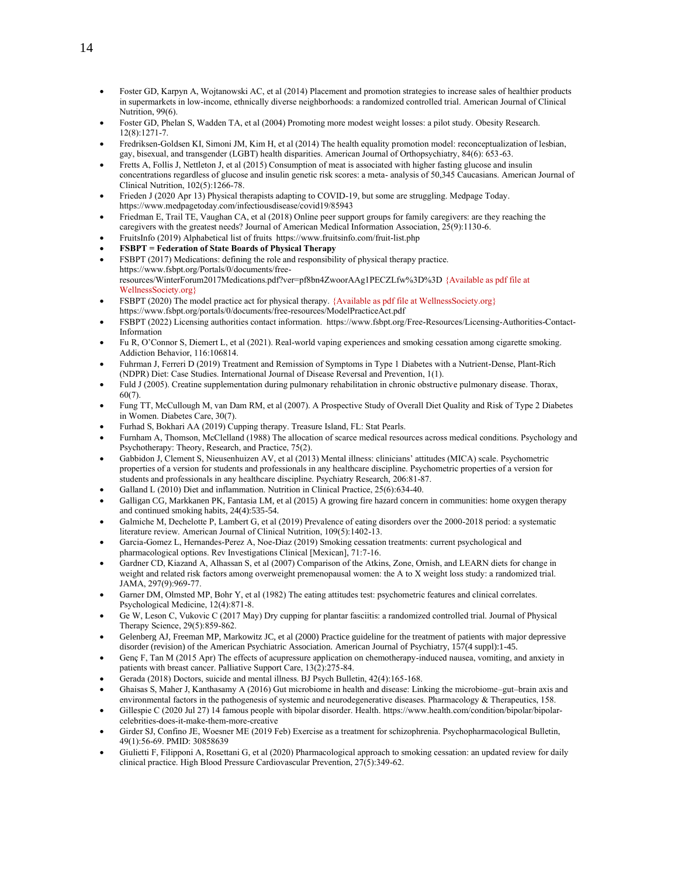- Foster GD, Karpyn A, Wojtanowski AC, et al (2014) Placement and promotion strategies to increase sales of healthier products in supermarkets in low-income, ethnically diverse neighborhoods: a randomized controlled trial. American Journal of Clinical Nutrition, 99(6).
- Foster GD, Phelan S, Wadden TA, et al (2004) Promoting more modest weight losses: a pilot study. Obesity Research. 12(8):1271-7.
- Fredriksen-Goldsen KI, Simoni JM, Kim H, et al (2014) The health equality promotion model: reconceptualization of lesbian, gay, bisexual, and transgender (LGBT) health disparities. American Journal of Orthopsychiatry, 84(6): 653-63.
- Fretts A, Follis J, Nettleton J, et al (2015) Consumption of meat is associated with higher fasting glucose and insulin concentrations regardless of glucose and insulin genetic risk scores: a meta- analysis of 50,345 Caucasians. American Journal of Clinical Nutrition, 102(5):1266-78.
- Frieden J (2020 Apr 13) Physical therapists adapting to COVID-19, but some are struggling. Medpage Today. https:[//www.medpagetoday.com/infectiousdisease/covid19/85943](http://www.medpagetoday.com/infectiousdisease/covid19/85943)
- Friedman E, Trail TE, Vaughan CA, et al (2018) Online peer support groups for family caregivers: are they reaching the caregivers with the greatest needs? Journal of American Medical Information Association, 25(9):1130-6.
- FruitsInfo (2019) Alphabetical list of fruits https:/[/www.fruitsinfo.com/fruit-list.php](http://www.fruitsinfo.com/fruit-list.php)
- **FSBPT = Federation of State Boards of Physical Therapy**
- FSBPT (2017) Medications: defining the role and responsibility of physical therapy practice. https://www.fsbpt.org/Portals/0/documents/freeresources/WinterForum2017Medications.pdf?ver=pf8bn4ZwoorAAg1PECZLfw%3D%3D {Available as pdf file at WellnessSociety.org}
- FSBPT (2020) The model practice act for physical therapy. {Available as pdf file at WellnessSociety.org} https://www.fsbpt.org/portals/0/documents/free-resources/ModelPracticeAct.pdf
- FSBPT (2022) Licensing authorities contact information. https://www.fsbpt.org/Free-Resources/Licensing-Authorities-Contact-Information
- Fu R, O'Connor S, Diemert L, et al (2021). Real-world vaping experiences and smoking cessation among cigarette smoking. Addiction Behavior, 116:106814.
- Fuhrman J, Ferreri D (2019) Treatment and Remission of Symptoms in Type 1 Diabetes with a Nutrient-Dense, Plant-Rich (NDPR) Diet: Case Studies. International Journal of Disease Reversal and Prevention, 1(1).
- Fuld J (2005). Creatine supplementation during pulmonary rehabilitation in chronic obstructive pulmonary disease. Thorax, 60(7).
- Fung TT, McCullough M, van Dam RM, et al (2007). A Prospective Study of Overall Diet Quality and Risk of Type 2 Diabetes in Women. Diabetes Care, 30(7).
- Furhad S, Bokhari AA (2019) Cupping therapy. Treasure Island, FL: Stat Pearls.
- Furnham A, Thomson, McClelland (1988) The allocation of scarce medical resources across medical conditions. Psychology and Psychotherapy: Theory, Research, and Practice, 75(2).
- Gabbidon J, Clement S, Nieusenhuizen AV, et al (2013) Mental illness: clinicians' attitudes (MICA) scale. Psychometric properties of a version for students and professionals in any healthcare discipline. Psychometric properties of a version for students and professionals in any healthcare discipline. Psychiatry Research, 206:81-87.
- Galland L (2010) Diet and inflammation. Nutrition in Clinical Practice, 25(6):634-40.
- Galligan CG, Markkanen PK, Fantasia LM, et al (2015) A growing fire hazard concern in communities: home oxygen therapy and continued smoking habits, 24(4):535-54.
- Galmiche M, Dechelotte P, Lambert G, et al (2019) Prevalence of eating disorders over the 2000-2018 period: a systematic literature review. American Journal of Clinical Nutrition, 109(5):1402-13.
- Garcia-Gomez L, Hernandes-Perez A, Noe-Diaz (2019) Smoking cessation treatments: current psychological and pharmacological options. Rev Investigations Clinical [Mexican], 71:7-16.
- Gardner CD, Kiazand A, Alhassan S, et al (2007) Comparison of the Atkins, Zone, Ornish, and LEARN diets for change in weight and related risk factors among overweight premenopausal women: the A to X weight loss study: a randomized trial. JAMA, 297(9):969-77.
- Garner DM, Olmsted MP, Bohr Y, et al (1982) The eating attitudes test: psychometric features and clinical correlates. Psychological Medicine, 12(4):871-8.
- Ge W, Leson C, Vukovic C (2017 May) Dry cupping for plantar fasciitis: a randomized controlled trial. Journal of Physical Therapy Science, 29(5):859-862.
- Gelenberg AJ, Freeman MP, Markowitz JC, et al (2000) Practice guideline for the treatment of patients with major depressive disorder (revision) of the American Psychiatric Association. American Journal of Psychiatry, 157(4 suppl):1-45.
- Genç F, Tan M (2015 Apr) The effects of acupressure application on chemotherapy-induced nausea, vomiting, and anxiety in patients with breast cancer. Palliative Support Care, 13(2):275-84.
- Gerada (2018) Doctors, suicide and mental illness. BJ Psych Bulletin, 42(4):165-168.
- Ghaisas S, Maher J, Kanthasamy A (2016) Gut microbiome in health and disease: Linking the microbiome–gut–brain axis and environmental factors in the pathogenesis of systemic and neurodegenerative diseases. Pharmacology & Therapeutics, 158.
- Gillespie C (2020 Jul 27) 14 famous people with bipolar disorder. Health. https://www.health.com/condition/bipolar/bipolarcelebrities-does-it-make-them-more-creative
- Girder SJ, Confino JE, Woesner ME (2019 Feb) Exercise as a treatment for schizophrenia. Psychopharmacological Bulletin, 49(1):56-69. PMID: 30858639
- Giulietti F, Filipponi A, Rosettani G, et al (2020) Pharmacological approach to smoking cessation: an updated review for daily clinical practice. High Blood Pressure Cardiovascular Prevention, 27(5):349-62.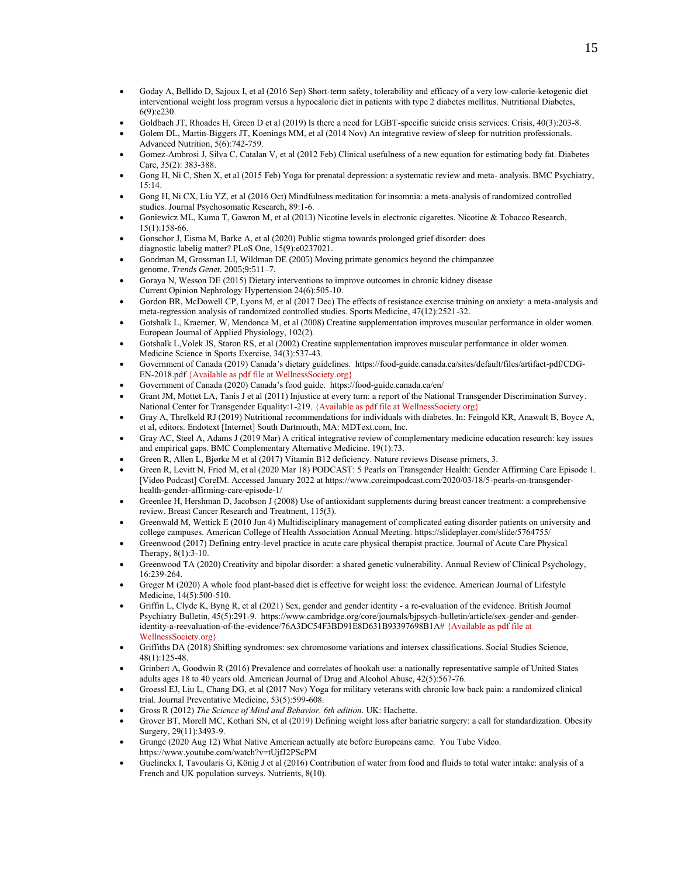- Goday A, Bellido D, Sajoux I, et al (2016 Sep) Short-term safety, tolerability and efficacy of a very low-calorie-ketogenic diet interventional weight loss program versus a hypocaloric diet in patients with type 2 diabetes mellitus. Nutritional Diabetes, 6(9):e230.
- Goldbach JT, Rhoades H, Green D et al (2019) Is there a need for LGBT-specific suicide crisis services. Crisis, 40(3):203-8.
- Golem DL, Martin-Biggers JT, Koenings MM, et al (2014 Nov) An integrative review of sleep for nutrition professionals. Advanced Nutrition, 5(6):742-759.
- Gomez-Ambrosi J, Silva C, Catalan V, et al (2012 Feb) Clinical usefulness of a new equation for estimating body fat. Diabetes Care, 35(2): 383-388.
- Gong H, Ni C, Shen X, et al (2015 Feb) Yoga for prenatal depression: a systematic review and meta- analysis. BMC Psychiatry, 15:14.
- Gong H, Ni CX, Liu YZ, et al (2016 Oct) Mindfulness meditation for insomnia: a meta-analysis of randomized controlled studies. Journal Psychosomatic Research, 89:1-6.
- Goniewicz ML, Kuma T, Gawron M, et al (2013) Nicotine levels in electronic cigarettes. Nicotine & Tobacco Research, 15(1):158-66.
- Gonschor J, Eisma M, Barke A, et al (2020) Public stigma towards prolonged grief disorder: does diagnostic labelig matter? PLoS One, 15(9):e0237021.
- Goodman M, Grossman LI, Wildman DE (2005) Moving primate genomics beyond the chimpanzee genome. *Trends Genet.* 2005;9:511–7.
- Goraya N, Wesson DE (2015) Dietary interventions to improve outcomes in chronic kidney disease Current Opinion Nephrology Hypertension 24(6):505-10.
- Gordon BR, McDowell CP, Lyons M, et al (2017 Dec) The effects of resistance exercise training on anxiety: a meta-analysis and meta-regression analysis of randomized controlled studies. Sports Medicine, 47(12):2521-32.
- Gotshalk L, Kraemer, W, Mendonca M, et al (2008) Creatine supplementation improves muscular performance in older women. European Journal of Applied Physiology, 102(2).
- Gotshalk L,Volek JS, Staron RS, et al (2002) Creatine supplementation improves muscular performance in older women. Medicine Science in Sports Exercise, 34(3):537-43.
- Government of Canada (2019) Canada's dietary guidelines. [https://food-guide.canada.ca/sites/default/files/artifact-pdf/CDG-](https://food-guide.canada.ca/sites/default/files/artifact-pdf/CDG-EN-2018.pdf)[EN-2018.pdf](https://food-guide.canada.ca/sites/default/files/artifact-pdf/CDG-EN-2018.pdf) {Available as pdf file at WellnessSociety.org}
- Government of Canada (2020) Canada's food guide. https://food-guide.canada.ca/en/
- Grant JM, Mottet LA, Tanis J et al (2011) Injustice at every turn: a report of the National Transgender Discrimination Survey. National Center for Transgender Equality:1-219. {Available as pdf file at WellnessSociety.org}
- Gray A, Threlkeld RJ (2019) Nutritional recommendations for individuals with diabetes. In: Feingold KR, Anawalt B, Boyce A, et al, editors. Endotext [Internet] South Dartmouth, MA: MDText.com, Inc.
- Gray AC, Steel A, Adams J (2019 Mar) A critical integrative review of complementary medicine education research: key issues and empirical gaps. BMC Complementary Alternative Medicine. 19(1):73.
- Green R, Allen L, Bjørke M et al (2017) Vitamin B12 deficiency. Nature reviews Disease primers, 3.
- Green R, Levitt N, Fried M, et al (2020 Mar 18) PODCAST: 5 Pearls on Transgender Health: Gender Affirming Care Episode 1. [Video Podcast] CoreIM. Accessed January 2022 at https://www.coreimpodcast.com/2020/03/18/5-pearls-on-transgenderhealth-gender-affirming-care-episode-1/
- Greenlee H, Hershman D, Jacobson J (2008) Use of antioxidant supplements during breast cancer treatment: a comprehensive review. Breast Cancer Research and Treatment, 115(3).
- Greenwald M, Wettick E (2010 Jun 4) Multidisciplinary management of complicated eating disorder patients on university and college campuses. American College of Health Association Annual Meeting. https://slideplayer.com/slide/5764755/
- Greenwood (2017) Defining entry-level practice in acute care physical therapist practice. Journal of Acute Care Physical Therapy, 8(1):3-10.
- Greenwood TA (2020) Creativity and bipolar disorder: a shared genetic vulnerability. Annual Review of Clinical Psychology, 16:239-264.
- Greger M (2020) A whole food plant-based diet is effective for weight loss: the evidence. American Journal of Lifestyle Medicine, 14(5):500-510.
- Griffin L, Clyde K, Byng R, et al (2021) Sex, gender and gender identity a re-evaluation of the evidence. British Journal Psychiatry Bulletin, 45(5):291-9. [https://www.cambridge.org/core/journals/bjpsych-bulletin/article/sex-gender-and-gender](https://www.cambridge.org/core/journals/bjpsych-bulletin/article/sex-gender-and-gender-identity-a-reevaluation-of-the-evidence/76A3DC54F3BD91E8D631B93397698B1A)[identity-a-reevaluation-of-the-evidence/76A3DC54F3BD91E8D631B93397698B1A#](https://www.cambridge.org/core/journals/bjpsych-bulletin/article/sex-gender-and-gender-identity-a-reevaluation-of-the-evidence/76A3DC54F3BD91E8D631B93397698B1A) {Available as pdf file at WellnessSociety.org}
- Griffiths DA (2018) Shifting syndromes: sex chromosome variations and intersex classifications. Social Studies Science, 48(1):125-48.
- Grinbert A, Goodwin R (2016) Prevalence and correlates of hookah use: a nationally representative sample of United States adults ages 18 to 40 years old. American Journal of Drug and Alcohol Abuse, 42(5):567-76.
- Groessl EJ, Liu L, Chang DG, et al (2017 Nov) Yoga for military veterans with chronic low back pain: a randomized clinical trial. Journal Preventative Medicine, 53(5):599-608.
- Gross R (2012) *The Science of Mind and Behavior, 6th edition*. UK: Hachette.
- Grover BT, Morell MC, Kothari SN, et al (2019) Defining weight loss after bariatric surgery: a call for standardization. Obesity Surgery, 29(11):3493-9.
- Grunge (2020 Aug 12) What Native American actually ate before Europeans came. You Tube Video. https://www.youtube.com/watch?v=tUjfJ2PScPM
- Guelinckx I, Tavoularis G, König J et al (2016) Contribution of water from food and fluids to total water intake: analysis of a French and UK population surveys. Nutrients, 8(10).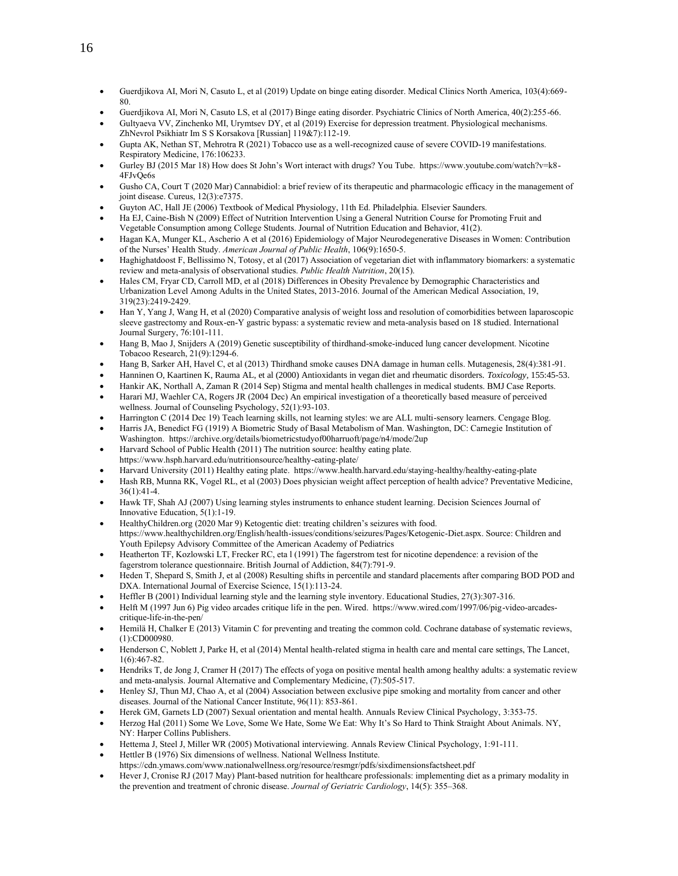- Guerdjikova AI, Mori N, Casuto L, et al (2019) Update on binge eating disorder. Medical Clinics North America, 103(4):669- 80.
- Guerdjikova AI, Mori N, Casuto LS, et al (2017) Binge eating disorder. Psychiatric Clinics of North America, 40(2):255-66.
- Gultyaeva VV, Zinchenko MI, Urymtsev DY, et al (2019) Exercise for depression treatment. Physiological mechanisms. ZhNevrol Psikhiatr Im S S Korsakova [Russian] 119&7):112-19.
- Gupta AK, Nethan ST, Mehrotra R (2021) Tobacco use as a well-recognized cause of severe COVID-19 manifestations. Respiratory Medicine, 176:106233.
- Gurley BJ (2015 Mar 18) How does St John's Wort interact with drugs? You Tube. https://www.youtube.com/watch?v=k8- 4FJvQe6s
- Gusho CA, Court T (2020 Mar) Cannabidiol: a brief review of its therapeutic and pharmacologic efficacy in the management of joint disease. Cureus, 12(3):e7375.
- Guyton AC, Hall JE (2006) Textbook of Medical Physiology, 11th Ed. Philadelphia. Elsevier Saunders.
- Ha EJ, Caine-Bish N (2009) Effect of Nutrition Intervention Using a General Nutrition Course for Promoting Fruit and Vegetable Consumption among College Students. Journal of Nutrition Education and Behavior, 41(2).
- Hagan KA, Munger KL, Ascherio A et al (2016) Epidemiology of Major Neurodegenerative Diseases in Women: Contribution of the Nurses' Health Study. *American Journal of Public Health*, 106(9):1650-5.
- Haghighatdoost F, Bellissimo N, Totosy, et al (2017) Association of vegetarian diet with inflammatory biomarkers: a systematic review and meta-analysis of observational studies. *Public Health Nutrition*, 20(15).
- Hales CM, Fryar CD, Carroll MD, et al (2018) Differences in Obesity Prevalence by Demographic Characteristics and Urbanization Level Among Adults in the United States, 2013-2016. Journal of the American Medical Association, 19, 319(23):2419-2429.
- Han Y, Yang J, Wang H, et al (2020) Comparative analysis of weight loss and resolution of comorbidities between laparoscopic sleeve gastrectomy and Roux-en-Y gastric bypass: a systematic review and meta-analysis based on 18 studied. International Journal Surgery, 76:101-111.
- Hang B, Mao J, Snijders A (2019) Genetic susceptibility of thirdhand-smoke-induced lung cancer development. Nicotine Tobacoo Research, 21(9):1294-6.
- Hang B, Sarker AH, Havel C, et al (2013) Thirdhand smoke causes DNA damage in human cells. Mutagenesis, 28(4):381-91.
- Hanninen O, Kaartinen K, Rauma AL, et al (2000) Antioxidants in vegan diet and rheumatic disorders. *Toxicology*, 155:45-53.
- Hankir AK, Northall A, Zaman R (2014 Sep) Stigma and mental health challenges in medical students. BMJ Case Reports.
- Harari MJ, Waehler CA, Rogers JR (2004 Dec) An empirical investigation of a theoretically based measure of perceived wellness. Journal of Counseling Psychology, 52(1):93-103.
- Harrington C (2014 Dec 19) Teach learning skills, not learning styles: we are ALL multi-sensory learners. Cengage Blog.
- Harris JA, Benedict FG (1919) A Biometric Study of Basal Metabolism of Man. Washington, DC: Carnegie Institution of Washington. https://archive.org/details/biometricstudyof00harruoft/page/n4/mode/2up
- Harvard School of Public Health (2011) The nutrition source: healthy eating plate.
- https:[//www.hsph.harvard.edu/nutritionsource/healthy-eating-plate/](http://www.hsph.harvard.edu/nutritionsource/healthy-eating-plate/)
- Harvard University (2011) Healthy eating plate. https://www.health.harvard.edu/staying-healthy/healthy-eating-plate
- Hash RB, Munna RK, Vogel RL, et al (2003) Does physician weight affect perception of health advice? Preventative Medicine, 36(1):41-4.
- Hawk TF, Shah AJ (2007) Using learning styles instruments to enhance student learning. Decision Sciences Journal of Innovative Education, 5(1):1-19.
- HealthyChildren.org (2020 Mar 9) Ketogentic diet: treating children's seizures with food. [https://www.healthychildren.org/English/health-issues/conditions/seizures/Pages/Ketogenic-Diet.aspx.](https://www.healthychildren.org/English/health-issues/conditions/seizures/Pages/Ketogenic-Diet.aspx) Source: Children and Youth Epilepsy Advisory Committee of the American Academy of Pediatrics
- Heatherton TF, Kozlowski LT, Frecker RC, eta l (1991) The fagerstrom test for nicotine dependence: a revision of the fagerstrom tolerance questionnaire. British Journal of Addiction, 84(7):791-9.
- Heden T, Shepard S, Smith J, et al (2008) Resulting shifts in percentile and standard placements after comparing BOD POD and DXA. International Journal of Exercise Science, 15(1):113-24.
- Heffler B (2001) Individual learning style and the learning style inventory. Educational Studies, 27(3):307-316.
- Helft M (1997 Jun 6) Pig video arcades critique life in the pen. Wired. https://www.wired.com/1997/06/pig-video-arcadescritique-life-in-the-pen/
- Hemilä H, Chalker E (2013) Vitamin C for preventing and treating the common cold. Cochrane database of systematic reviews, (1):CD000980.
- Henderson C, Noblett J, Parke H, et al (2014) Mental health-related stigma in health care and mental care settings, The Lancet, 1(6):467-82.
- Hendriks T, de Jong J, Cramer H (2017) The effects of yoga on positive mental health among healthy adults: a systematic review and meta-analysis. Journal Alternative and Complementary Medicine, (7):505-517.
- Henley SJ, Thun MJ, Chao A, et al (2004) Association between exclusive pipe smoking and mortality from cancer and other diseases. Journal of the National Cancer Institute, 96(11): 853-861.
- Herek GM, Garnets LD (2007) Sexual orientation and mental health. Annuals Review Clinical Psychology, 3:353-75.
- Herzog Hal (2011) Some We Love, Some We Hate, Some We Eat: Why It's So Hard to Think Straight About Animals. NY, NY: Harper Collins Publishers.
- Hettema J, Steel J, Miller WR (2005) Motivational interviewing. Annals Review Clinical Psychology, 1:91-111.
- Hettler B (1976) Six dimensions of wellness. National Wellness Institute.
- https://cdn.ymaws.co[m/www.nationalwellness.org/resource/resmgr/pdfs/sixdimensionsfactsheet.pdf](http://www.nationalwellness.org/resource/resmgr/pdfs/sixdimensionsfactsheet.pdf)
- Hever J, Cronise RJ (2017 May) Plant-based nutrition for healthcare professionals: implementing diet as a primary modality in the prevention and treatment of chronic disease. *Journal of Geriatric Cardiology*, 14(5): 355–368.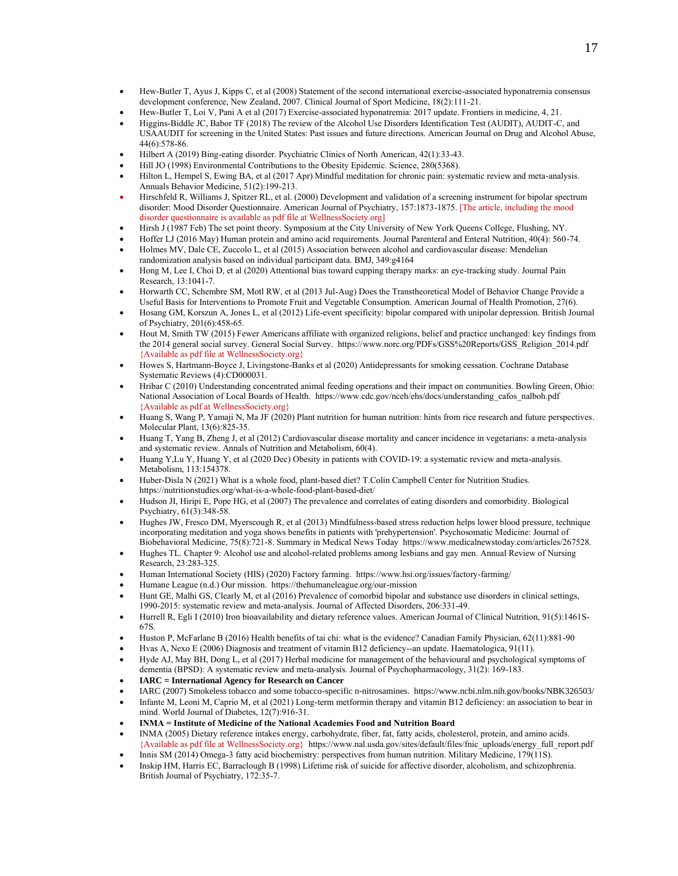- Hew-Butler T, Ayus J, Kipps C, et al (2008) Statement of the second international exercise-associated hyponatremia consensus development conference, New Zealand, 2007. Clinical Journal of Sport Medicine, 18(2):111-21.
- Hew-Butler T, Loi V, Pani A et al (2017) Exercise-associated hyponatremia: 2017 update. Frontiers in medicine, 4, 21.
- Higgins-Biddle JC, Babor TF (2018) The review of the Alcohol Use Disorders Identification Test (AUDIT), AUDIT-C, and USAAUDIT for screening in the United States: Past issues and future directions. American Journal on Drug and Alcohol Abuse, 44(6):578-86.
- Hilbert A (2019) Bing-eating disorder. Psychiatric Clinics of North American, 42(1):33-43.
- Hill JO (1998) Environmental Contributions to the Obesity Epidemic. Science, 280(5368).
- Hilton L, Hempel S, Ewing BA, et al (2017 Apr) Mindful meditation for chronic pain: systematic review and meta-analysis. Annuals Behavior Medicine, 51(2):199-213.
- Hirschfeld R, Williams J, Spitzer RL, et al. (2000) Development and validation of a screening instrument for bipolar spectrum disorder: Mood Disorder Questionnaire. American Journal of Psychiatry, 157:1873-1875. [The article, including the mood disorder questionnaire is available as pdf file at WellnessSociety.org]
- Hirsh J (1987 Feb) The set point theory. Symposium at the City University of New York Queens College, Flushing, NY.
- Hoffer LJ (2016 May) Human protein and amino acid requirements. Journal Parenteral and Enteral Nutrition, 40(4): 560-74.
- Holmes MV, Dale CE, Zuccolo L, et al (2015) Association between alcohol and cardiovascular disease: Mendelian randomization analysis based on individual participant data. BMJ, 349:g4164
- Hong M, Lee I, Choi D, et al (2020) Attentional bias toward cupping therapy marks: an eye-tracking study. Journal Pain Research, 13:1041-7.
- Horwarth CC, Schembre SM, Motl RW, et al (2013 Jul-Aug) Does the Transtheoretical Model of Behavior Change Provide a Useful Basis for Interventions to Promote Fruit and Vegetable Consumption. American Journal of Health Promotion, 27(6).
- Hosang GM, Korszun A, Jones L, et al (2012) Life-event specificity: bipolar compared with unipolar depression. British Journal of Psychiatry, 201(6):458-65.
- Hout M, Smith TW (2015) Fewer Americans affiliate with organized religions, belief and practice unchanged: key findings from the 2014 general social survey. General Social Survey. https:[//www.norc.org/PDFs/GSS%20Reports/GSS\\_Religion\\_2014.pdf](http://www.norc.org/PDFs/GSS%20Reports/GSS_Religion_2014.pdf) {Available as pdf file at WellnessSociety.org}
- Howes S, Hartmann-Boyce J, Livingstone-Banks et al (2020) Antidepressants for smoking cessation. Cochrane Database Systematic Reviews (4):CD000031.
- Hribar C (2010) Understanding concentrated animal feeding operations and their impact on communities. Bowling Green, Ohio: National Association of Local Boards of Health. [https://www.cdc.gov/nceh/ehs/docs/understanding\\_cafos\\_nalboh.pdf](https://www.cdc.gov/nceh/ehs/docs/understanding_cafos_nalboh.pdf) {Available as pdf at WellnessSociety.org}
- Huang S, Wang P, Yamaji N, Ma JF (2020) Plant nutrition for human nutrition: hints from rice research and future perspectives. Molecular Plant, 13(6):825-35.
- Huang T, Yang B, Zheng J, et al (2012) Cardiovascular disease mortality and cancer incidence in vegetarians: a meta-analysis and systematic review. Annals of Nutrition and Metabolism, 60(4).
- Huang Y,Lu Y, Huang Y, et al (2020 Dec) Obesity in patients with COVID-19: a systematic review and meta-analysis. Metabolism, 113:154378.
- Huber-Disla N (2021) What is a whole food, plant-based diet? T.Colin Campbell Center for Nutrition Studies. <https://nutritionstudies.org/what-is-a-whole-food-plant-based-diet/>
- Hudson JI, Hiripi E, Pope HG, et al (2007) The prevalence and correlates of eating disorders and comorbidity. Biological Psychiatry, 61(3):348-58.
- Hughes JW, Fresco DM, Myerscough R, et al (2013) Mindfulness-based stress reduction helps lower blood pressure, technique incorporating meditation and yoga shows benefits in patients with 'prehypertension'. Psychosomatic Medicine: Journal of Biobehavioral Medicine, 75(8):721-8. Summary in Medical News Today https://www.medicalnewstoday.com/articles/267528.
- Hughes TL. Chapter 9: Alcohol use and alcohol-related problems among lesbians and gay men. Annual Review of Nursing Research, 23:283-325.
- Human International Society (HIS) (2020) Factory farming. http[s://www.hsi.org/issues/factory-farming/](http://www.hsi.org/issues/factory-farming/)
- Humane League (n.d.) Our mission. https://thehumaneleague.org/our-mission
- Hunt GE, Malhi GS, Clearly M, et al (2016) Prevalence of comorbid bipolar and substance use disorders in clinical settings, 1990-2015: systematic review and meta-analysis. Journal of Affected Disorders, 206:331-49.
- Hurrell R, Egli I (2010) Iron bioavailability and dietary reference values. American Journal of Clinical Nutrition, 91(5):1461S-67S.
- Huston P, McFarlane B (2016) Health benefits of tai chi: what is the evidence? Canadian Family Physician, 62(11):881-90
- Hvas A, Nexo E (2006) Diagnosis and treatment of vitamin B12 deficiency--an update. Haematologica, 91(11).
- Hyde AJ, May BH, Dong L, et al (2017) Herbal medicine for management of the behavioural and psychological symptoms of dementia (BPSD): A systematic review and meta-analysis. Journal of Psychopharmacology, 31(2): 169-183.
- **IARC = International Agency for Research on Cancer**
- IARC (2007) Smokeless tobacco and some tobacco-specific n-nitrosamines.<https://www.ncbi.nlm.nih.gov/books/NBK326503/>
- Infante M, Leoni M, Caprio M, et al (2021) Long-term metformin therapy and vitamin B12 deficiency: an association to bear in mind. World Journal of Diabetes, 12(7):916-31.
- **INMA = Institute of Medicine of the National Academies Food and Nutrition Board**
- INMA (2005) Dietary reference intakes energy, carbohydrate, fiber, fat, fatty acids, cholesterol, protein, and amino acids. {Available as pdf file at WellnessSociety.org} https:[//www.nal.usda.gov/sites/default/files/fnic\\_uploads/energy\\_full\\_report.pdf](http://www.nal.usda.gov/sites/default/files/fnic_uploads/energy_full_report.pdf)
- Innis SM (2014) Omega-3 fatty acid biochemistry: perspectives from human nutrition. Military Medicine, 179(11S).
- Inskip HM, Harris EC, Barraclough B (1998) Lifetime risk of suicide for affective disorder, alcoholism, and schizophrenia. British Journal of Psychiatry, 172:35-7.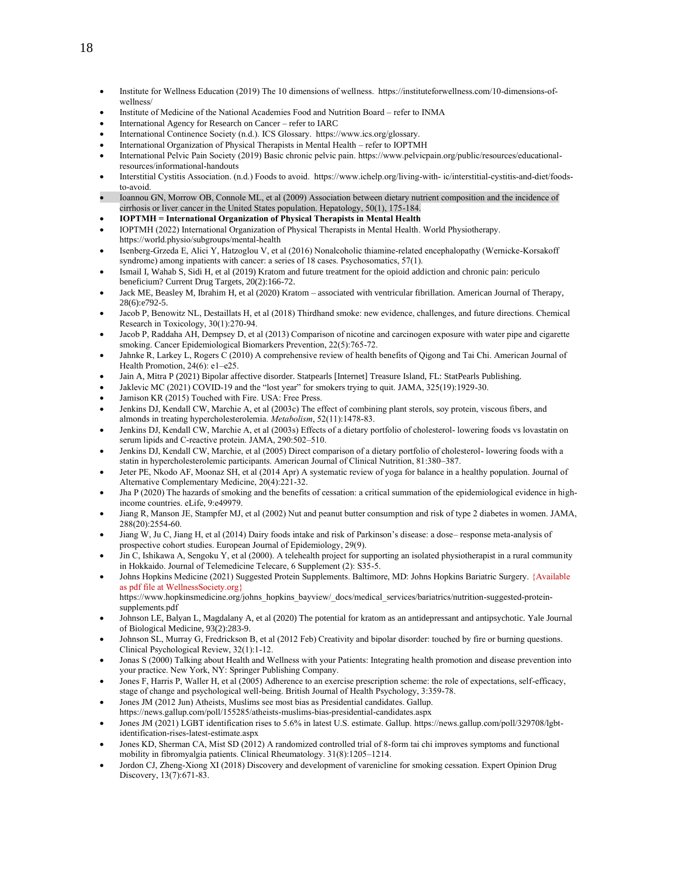- Institute for Wellness Education (2019) The 10 dimensions of wellness. https://instituteforwellness.com/10-dimensions-ofwellness/
- Institute of Medicine of the National Academies Food and Nutrition Board refer to INMA
- International Agency for Research on Cancer refer to IARC
- International Continence Society (n.d.). ICS Glossary. https:/[/www.ics.org/glossary.](http://www.ics.org/glossary)
- International Organization of Physical Therapists in Mental Health refer to IOPTMH
- International Pelvic Pain Society (2019) Basic chronic pelvic pain. https://www.pelvicpain.org/public/resources/educationalresources/informational-handouts
- Interstitial Cystitis Association. (n.d.) Foods to avoid. https:/[/www.ichelp.org/living-with-](http://www.ichelp.org/living-with-) ic/interstitial-cystitis-and-diet/foodsto-avoid.
- Ioannou GN, Morrow OB, Connole ML, et al (2009) Association between dietary nutrient composition and the incidence of cirrhosis or liver cancer in the United States population. Hepatology, 50(1), 175-184.
- **IOPTMH = International Organization of Physical Therapists in Mental Health**
- IOPTMH (2022) International Organization of Physical Therapists in Mental Health. World Physiotherapy. https://world.physio/subgroups/mental-health
- Isenberg-Grzeda E, Alici Y, Hatzoglou V, et al (2016) Nonalcoholic thiamine-related encephalopathy (Wernicke-Korsakoff syndrome) among inpatients with cancer: a series of 18 cases. Psychosomatics, 57(1).
- Ismail I, Wahab S, Sidi H, et al (2019) Kratom and future treatment for the opioid addiction and chronic pain: periculo beneficium? Current Drug Targets, 20(2):166-72.
- Jack ME, Beasley M, Ibrahim H, et al (2020) Kratom associated with ventricular fibrillation. American Journal of Therapy, 28(6):e792-5.
- Jacob P, Benowitz NL, Destaillats H, et al (2018) Thirdhand smoke: new evidence, challenges, and future directions. Chemical Research in Toxicology, 30(1):270-94.
- Jacob P, Raddaha AH, Dempsey D, et al (2013) Comparison of nicotine and carcinogen exposure with water pipe and cigarette smoking. Cancer Epidemiological Biomarkers Prevention, 22(5):765-72.
- Jahnke R, Larkey L, Rogers C (2010) A comprehensive review of health benefits of Qigong and Tai Chi. American Journal of Health Promotion, 24(6): e1–e25.
- Jain A, Mitra P (2021) Bipolar affective disorder. Statpearls [Internet] Treasure Island, FL: StatPearls Publishing.
- Jaklevic MC (2021) COVID-19 and the "lost year" for smokers trying to quit. JAMA, 325(19):1929-30.
- Jamison KR (2015) Touched with Fire. USA: Free Press.
- Jenkins DJ, Kendall CW, Marchie A, et al (2003c) The effect of combining plant sterols, soy protein, viscous fibers, and almonds in treating hypercholesterolemia. *Metabolism*, 52(11):1478-83.
- Jenkins DJ, Kendall CW, Marchie A, et al (2003s) Effects of a dietary portfolio of cholesterol- lowering foods vs lovastatin on serum lipids and C-reactive protein. JAMA, 290:502–510.
- Jenkins DJ, Kendall CW, Marchie, et al (2005) Direct comparison of a dietary portfolio of cholesterol- lowering foods with a statin in hypercholesterolemic participants. American Journal of Clinical Nutrition, 81:380–387.
- Jeter PE, Nkodo AF, Moonaz SH, et al (2014 Apr) A systematic review of yoga for balance in a healthy population. Journal of Alternative Complementary Medicine, 20(4):221-32.
- Jha P (2020) The hazards of smoking and the benefits of cessation: a critical summation of the epidemiological evidence in highincome countries. eLife, 9:e49979.
- Jiang R, Manson JE, Stampfer MJ, et al (2002) Nut and peanut butter consumption and risk of type 2 diabetes in women. JAMA, 288(20):2554-60.
- Jiang W, Ju C, Jiang H, et al (2014) Dairy foods intake and risk of Parkinson's disease: a dose– response meta-analysis of prospective cohort studies. European Journal of Epidemiology, 29(9).
- Jin C, Ishikawa A, Sengoku Y, et al (2000). A telehealth project for supporting an isolated physiotherapist in a rural community in Hokkaido. Journal of Telemedicine Telecare, 6 Supplement (2): S35-5.
- Johns Hopkins Medicine (2021) Suggested Protein Supplements. Baltimore, MD: Johns Hopkins Bariatric Surgery. {Available as pdf file at WellnessSociety.org} https:[//www.hopkinsmedicine.org/johns\\_hopkins\\_bayview/\\_docs/medical\\_services/bariatrics/nutrition-](http://www.hopkinsmedicine.org/johns_hopkins_bayview/_docs/medical_services/bariatrics/nutrition)suggested-protein-

supplements.pdf

- Johnson LE, Balyan L, Magdalany A, et al (2020) The potential for kratom as an antidepressant and antipsychotic. Yale Journal of Biological Medicine, 93(2):283-9.
- Johnson SL, Murray G, Fredrickson B, et al (2012 Feb) Creativity and bipolar disorder: touched by fire or burning questions. Clinical Psychological Review, 32(1):1-12.
- Jonas S (2000) Talking about Health and Wellness with your Patients: Integrating health promotion and disease prevention into your practice. New York, NY: Springer Publishing Company.
- Jones F, Harris P, Waller H, et al (2005) Adherence to an exercise prescription scheme: the role of expectations, self-efficacy, stage of change and psychological well-being. British Journal of Health Psychology, 3:359-78.
- Jones JM (2012 Jun) Atheists, Muslims see most bias as Presidential candidates. Gallup.
- https://news.gallup.com/poll/155285/atheists-muslims-bias-presidential-candidates.aspx
- Jones JM (2021) LGBT identification rises to 5.6% in latest U.S. estimate. Gallup. https://news.gallup.com/poll/329708/lgbtidentification-rises-latest-estimate.aspx
- Jones KD, Sherman CA, Mist SD (2012) A randomized controlled trial of 8-form tai chi improves symptoms and functional mobility in fibromyalgia patients. Clinical Rheumatology. 31(8):1205–1214.
- Jordon CJ, Zheng-Xiong XI (2018) Discovery and development of varenicline for smoking cessation. Expert Opinion Drug Discovery, 13(7):671-83.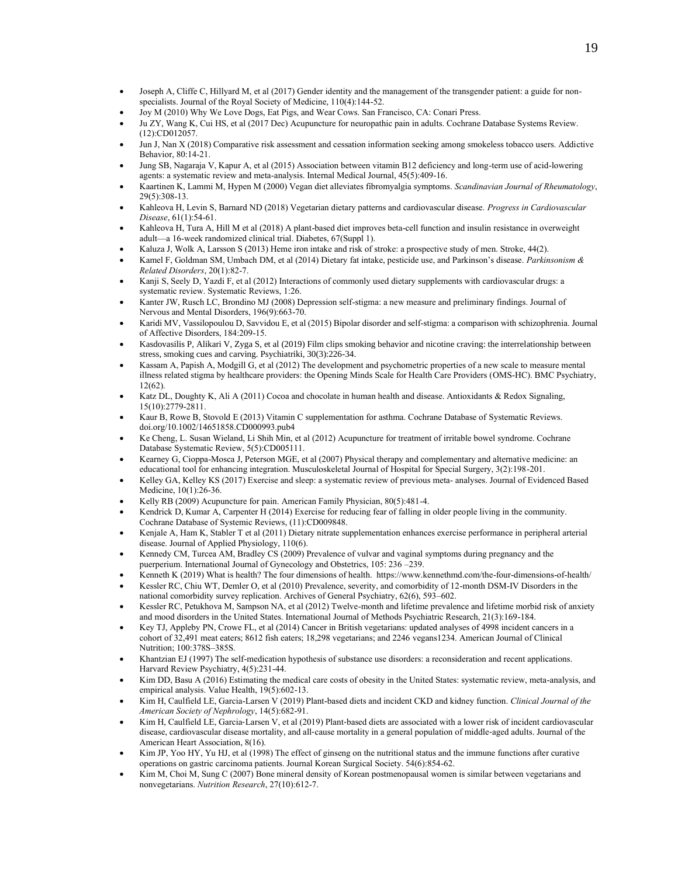- Joseph A, Cliffe C, Hillyard M, et al (2017) Gender identity and the management of the transgender patient: a guide for nonspecialists. Journal of the Royal Society of Medicine, 110(4):144-52.
- Joy M (2010) Why We Love Dogs, Eat Pigs, and Wear Cows. San Francisco, CA: Conari Press.
- Ju ZY, Wang K, Cui HS, et al (2017 Dec) Acupuncture for neuropathic pain in adults. Cochrane Database Systems Review. (12):CD012057.
- Jun J, Nan X (2018) Comparative risk assessment and cessation information seeking among smokeless tobacco users. Addictive Behavior, 80:14-21.
- Jung SB, Nagaraja V, Kapur A, et al (2015) Association between vitamin B12 deficiency and long-term use of acid-lowering agents: a systematic review and meta-analysis. Internal Medical Journal, 45(5):409-16.
- Kaartinen K, Lammi M, Hypen M (2000) Vegan diet alleviates fibromyalgia symptoms. *Scandinavian Journal of Rheumatology*, 29(5):308-13.
- Kahleova H, Levin S, Barnard ND (2018) Vegetarian dietary patterns and cardiovascular disease. *Progress in Cardiovascular Disease*, 61(1):54-61.
- Kahleova H, Tura A, Hill M et al (2018) A plant-based diet improves beta-cell function and insulin resistance in overweight adult—a 16-week randomized clinical trial. Diabetes, 67(Suppl 1).
- Kaluza J, Wolk A, Larsson S (2013) Heme iron intake and risk of stroke: a prospective study of men. Stroke, 44(2).
- Kamel F, Goldman SM, Umbach DM, et al (2014) Dietary fat intake, pesticide use, and Parkinson's disease. *Parkinsonism & Related Disorders*, 20(1):82-7.
- Kanji S, Seely D, Yazdi F, et al (2012) Interactions of commonly used dietary supplements with cardiovascular drugs: a systematic review. Systematic Reviews, 1:26.
- Kanter JW, Rusch LC, Brondino MJ (2008) Depression self-stigma: a new measure and preliminary findings. Journal of Nervous and Mental Disorders, 196(9):663-70.
- Karidi MV, Vassilopoulou D, Savvidou E, et al (2015) Bipolar disorder and self-stigma: a comparison with schizophrenia. Journal of Affective Disorders, 184:209-15.
- Kasdovasilis P, Alikari V, Zyga S, et al (2019) Film clips smoking behavior and nicotine craving: the interrelationship between stress, smoking cues and carving. Psychiatriki, 30(3):226-34.
- Kassam A, Papish A, Modgill G, et al (2012) The development and psychometric properties of a new scale to measure mental illness related stigma by healthcare providers: the Opening Minds Scale for Health Care Providers (OMS-HC). BMC Psychiatry, 12(62).
- Katz DL, Doughty K, Ali A (2011) Cocoa and chocolate in human health and disease. Antioxidants & Redox Signaling, 15(10):2779-2811.
- Kaur B, Rowe B, Stovold E (2013) Vitamin C supplementation for asthma. Cochrane Database of Systematic Reviews. doi.org/10.1002/14651858.CD000993.pub4
- Ke Cheng, L. Susan Wieland, Li Shih Min, et al (2012) Acupuncture for treatment of irritable bowel syndrome. Cochrane Database Systematic Review, 5(5):CD005111.
- Kearney G, Cioppa-Mosca J, Peterson MGE, et al (2007) Physical therapy and complementary and alternative medicine: an educational tool for enhancing integration. Musculoskeletal Journal of Hospital for Special Surgery, 3(2):198-201.
- Kelley GA, Kelley KS (2017) Exercise and sleep: a systematic review of previous meta- analyses. Journal of Evidenced Based Medicine, 10(1):26-36.
- Kelly RB (2009) Acupuncture for pain. American Family Physician, 80(5):481-4.
- Kendrick D, Kumar A, Carpenter H (2014) Exercise for reducing fear of falling in older people living in the community. Cochrane Database of Systemic Reviews, (11):CD009848.
- Kenjale A, Ham K, Stabler T et al (2011) Dietary nitrate supplementation enhances exercise performance in peripheral arterial disease. Journal of Applied Physiology, 110(6).
- Kennedy CM, Turcea AM, Bradley CS (2009) Prevalence of vulvar and vaginal symptoms during pregnancy and the puerperium. International Journal of Gynecology and Obstetrics, 105: 236 –239.
- Kenneth K (2019) What is health? The four dimensions of health. https:[//www.kennethmd.com/the-four-dimensions-of-health/](http://www.kennethmd.com/the-four-dimensions-of-health/)
- Kessler RC, Chiu WT, Demler O, et al (2010) Prevalence, severity, and comorbidity of 12-month DSM-IV Disorders in the national comorbidity survey replication. Archives of General Psychiatry, 62(6), 593–602.
- Kessler RC, Petukhova M, Sampson NA, et al (2012) Twelve-month and lifetime prevalence and lifetime morbid risk of anxiety and mood disorders in the United States. International Journal of Methods Psychiatric Research, 21(3):169-184.
- Key TJ, Appleby PN, Crowe FL, et al (2014) Cancer in British vegetarians: updated analyses of 4998 incident cancers in a cohort of 32,491 meat eaters; 8612 fish eaters; 18,298 vegetarians; and 2246 vegans1234. American Journal of Clinical Nutrition; 100:378S–385S.
- Khantzian EJ (1997) The self-medication hypothesis of substance use disorders: a reconsideration and recent applications. Harvard Review Psychiatry, 4(5):231-44.
- Kim DD, Basu A (2016) Estimating the medical care costs of obesity in the United States: systematic review, meta-analysis, and empirical analysis. Value Health, 19(5):602-13.
- Kim H, Caulfield LE, Garcia-Larsen V (2019) Plant-based diets and incident CKD and kidney function. *Clinical Journal of the American Society of Nephrology*, 14(5):682-91.
- Kim H, Caulfield LE, Garcia‐Larsen V, et al (2019) Plant‐based diets are associated with a lower risk of incident cardiovascular disease, cardiovascular disease mortality, and all‐cause mortality in a general population of middle‐aged adults. Journal of the American Heart Association, 8(16).
- Kim JP, Yoo HY, Yu HJ, et al (1998) The effect of ginseng on the nutritional status and the immune functions after curative operations on gastric carcinoma patients. Journal Korean Surgical Society. 54(6):854-62.
- Kim M, Choi M, Sung C (2007) Bone mineral density of Korean postmenopausal women is similar between vegetarians and nonvegetarians. *Nutrition Research*, 27(10):612-7.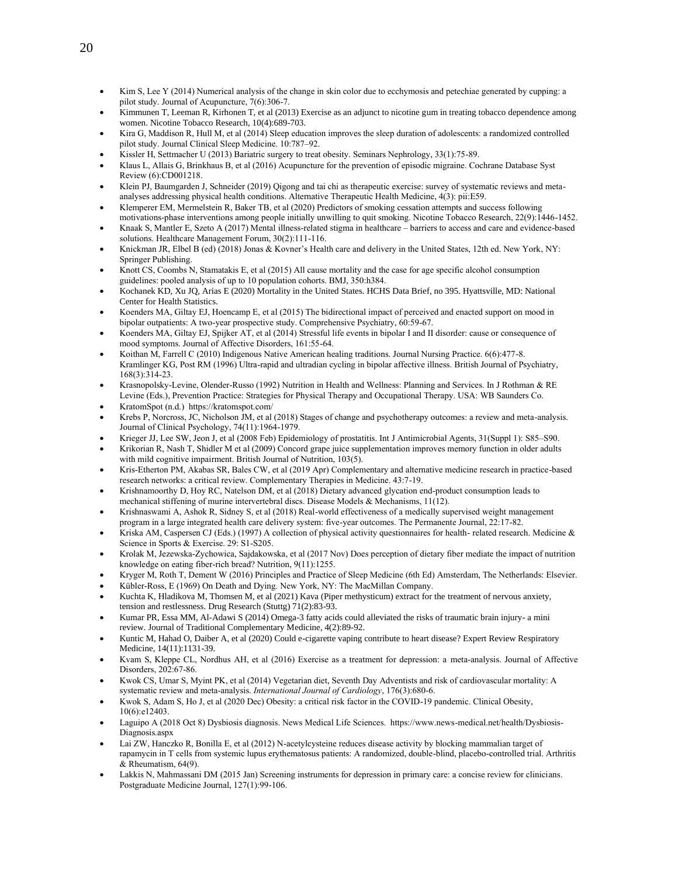- Kim S, Lee Y (2014) Numerical analysis of the change in skin color due to ecchymosis and petechiae generated by cupping: a pilot study. Journal of Acupuncture, 7(6):306-7.
- Kimmunen T, Leeman R, Kirhonen T, et al (2013) Exercise as an adjunct to nicotine gum in treating tobacco dependence among women. Nicotine Tobacco Research, 10(4):689-703.
- Kira G, Maddison R, Hull M, et al (2014) Sleep education improves the sleep duration of adolescents: a randomized controlled pilot study. Journal Clinical Sleep Medicine. 10:787–92.
- Kissler H, Settmacher U (2013) Bariatric surgery to treat obesity. Seminars Nephrology, 33(1):75-89.
- Klaus L, Allais G, Brinkhaus B, et al (2016) Acupuncture for the prevention of episodic migraine. Cochrane Database Syst Review (6):CD001218.
- Klein PJ, Baumgarden J, Schneider (2019) Qigong and tai chi as therapeutic exercise: survey of systematic reviews and metaanalyses addressing physical health conditions. Alternative Therapeutic Health Medicine, 4(3): pii:E59.
- Klemperer EM, Mermelstein R, Baker TB, et al (2020) Predictors of smoking cessation attempts and success following
- motivations-phase interventions among people initially unwilling to quit smoking. Nicotine Tobacco Research, 22(9):1446-1452. • Knaak S, Mantler E, Szeto A (2017) Mental illness-related stigma in healthcare – barriers to access and care and evidence-based solutions. Healthcare Management Forum, 30(2):111-116.
- Knickman JR, Elbel B (ed) (2018) Jonas & Kovner's Health care and delivery in the United States, 12th ed. New York, NY: Springer Publishing.
- Knott CS, Coombs N, Stamatakis E, et al (2015) All cause mortality and the case for age specific alcohol consumption guidelines: pooled analysis of up to 10 population cohorts. BMJ, 350:h384.
- Kochanek KD, Xu JQ, Arias E (2020) Mortality in the United States. HCHS Data Brief, no 395. Hyattsville, MD: National Center for Health Statistics.
- Koenders MA, Giltay EJ, Hoencamp E, et al (2015) The bidirectional impact of perceived and enacted support on mood in bipolar outpatients: A two-year prospective study. Comprehensive Psychiatry, 60:59-67.
- Koenders MA, Giltay EJ, Spijker AT, et al (2014) Stressful life events in bipolar I and II disorder: cause or consequence of mood symptoms. Journal of Affective Disorders, 161:55-64.
- Koithan M, Farrell C (2010) Indigenous Native American healing traditions. Journal Nursing Practice. 6(6):477-8. Kramlinger KG, Post RM (1996) Ultra-rapid and ultradian cycling in bipolar affective illness. British Journal of Psychiatry, 168(3):314-23.
- Krasnopolsky-Levine, Olender-Russo (1992) Nutrition in Health and Wellness: Planning and Services. In J Rothman & RE Levine (Eds.), Prevention Practice: Strategies for Physical Therapy and Occupational Therapy. USA: WB Saunders Co.
- KratomSpot (n.d.) https://kratomspot.com/
- Krebs P, Norcross, JC, Nicholson JM, et al (2018) Stages of change and psychotherapy outcomes: a review and meta-analysis. Journal of Clinical Psychology, 74(11):1964-1979.
- Krieger JJ, Lee SW, Jeon J, et al (2008 Feb) Epidemiology of prostatitis. Int J Antimicrobial Agents, 31(Suppl 1): S85–S90.
- Krikorian R, Nash T, Shidler M et al (2009) Concord grape juice supplementation improves memory function in older adults with mild cognitive impairment. British Journal of Nutrition, 103(5).
- Kris-Etherton PM, Akabas SR, Bales CW, et al (2019 Apr) Complementary and alternative medicine research in practice-based research networks: a critical review. Complementary Therapies in Medicine. 43:7-19.
- Krishnamoorthy D, Hoy RC, Natelson DM, et al (2018) Dietary advanced glycation end-product consumption leads to mechanical stiffening of murine intervertebral discs. Disease Models & Mechanisms, 11(12).
- Krishnaswami A, Ashok R, Sidney S, et al (2018) Real-world effectiveness of a medically supervised weight management program in a large integrated health care delivery system: five-year outcomes. The Permanente Journal, 22:17-82.
- Kriska AM, Caspersen CJ (Eds.) (1997) A collection of physical activity questionnaires for health- related research. Medicine & Science in Sports & Exercise. 29: S1-S205.
- Krolak M, Jezewska-Zychowica, Sajdakowska, et al (2017 Nov) Does perception of dietary fiber mediate the impact of nutrition knowledge on eating fiber-rich bread? Nutrition, 9(11):1255.
- Kryger M, Roth T, Dement W (2016) Principles and Practice of Sleep Medicine (6th Ed) Amsterdam, The Netherlands: Elsevier.
- Kübler-Ross, E (1969) On Death and Dying. New York, NY: The MacMillan Company.
- Kuchta K, Hladikova M, Thomsen M, et al (2021) Kava (Piper methysticum) extract for the treatment of nervous anxiety, tension and restlessness. Drug Research (Stuttg) 71(2):83-93.
- Kumar PR, Essa MM, Al-Adawi S (2014) Omega-3 fatty acids could alleviated the risks of traumatic brain injury- a mini review. Journal of Traditional Complementary Medicine, 4(2):89-92.
- Kuntic M, Hahad O, Daiber A, et al (2020) Could e-cigarette vaping contribute to heart disease? Expert Review Respiratory Medicine, 14(11):1131-39.
- Kvam S, Kleppe CL, Nordhus AH, et al (2016) Exercise as a treatment for depression: a meta-analysis. Journal of Affective Disorders, 202:67-86.
- Kwok CS, Umar S, Myint PK, et al (2014) Vegetarian diet, Seventh Day Adventists and risk of cardiovascular mortality: A systematic review and meta-analysis. *International Journal of Cardiology*, 176(3):680-6.
- Kwok S, Adam S, Ho J, et al (2020 Dec) Obesity: a critical risk factor in the COVID-19 pandemic. Clinical Obesity, 10(6):e12403.
- Laguipo A (2018 Oct 8) Dysbiosis diagnosis. News Medical Life Sciences. https://www.news-medical.net/health/Dysbiosis-Diagnosis.aspx
- Lai ZW, Hanczko R, Bonilla E, et al (2012) N-acetylcysteine reduces disease activity by blocking mammalian target of rapamycin in T cells from systemic lupus erythematosus patients: A randomized, double-blind, placebo-controlled trial. Arthritis & Rheumatism, 64(9).
- Lakkis N, Mahmassani DM (2015 Jan) Screening instruments for depression in primary care: a concise review for clinicians. Postgraduate Medicine Journal, 127(1):99-106.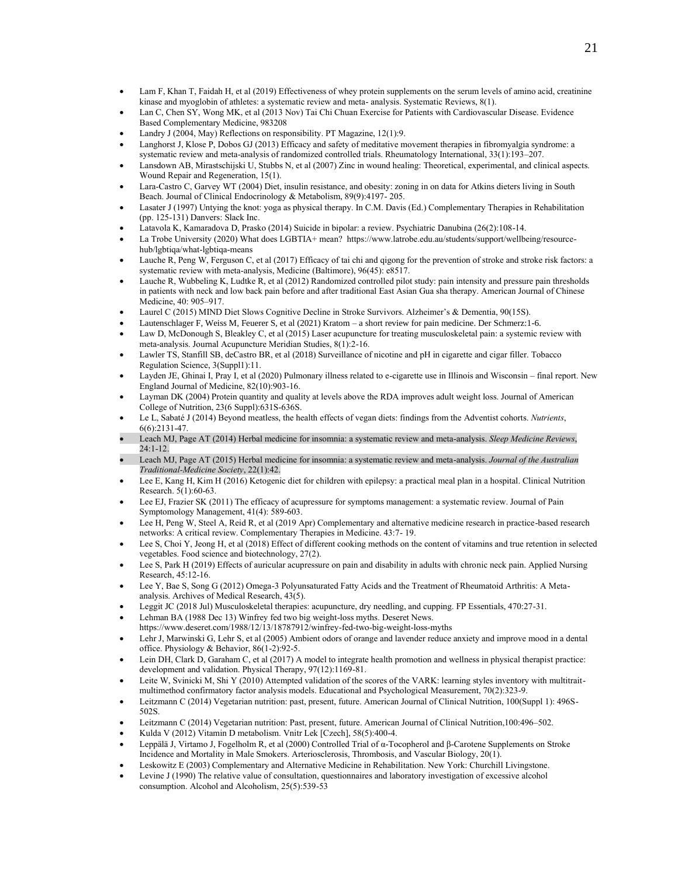- Lam F, Khan T, Faidah H, et al (2019) Effectiveness of whey protein supplements on the serum levels of amino acid, creatinine kinase and myoglobin of athletes: a systematic review and meta- analysis. Systematic Reviews, 8(1).
- Lan C, Chen SY, Wong MK, et al (2013 Nov) Tai Chi Chuan Exercise for Patients with Cardiovascular Disease. Evidence Based Complementary Medicine, 983208
- Landry J (2004, May) Reflections on responsibility. PT Magazine, 12(1):9.
- Langhorst J, Klose P, Dobos GJ (2013) Efficacy and safety of meditative movement therapies in fibromyalgia syndrome: a systematic review and meta-analysis of randomized controlled trials. Rheumatology International, 33(1):193–207.
- Lansdown AB, Mirastschijski U, Stubbs N, et al (2007) Zinc in wound healing: Theoretical, experimental, and clinical aspects. Wound Repair and Regeneration, 15(1).
- Lara-Castro C, Garvey WT (2004) Diet, insulin resistance, and obesity: zoning in on data for Atkins dieters living in South Beach. Journal of Clinical Endocrinology & Metabolism, 89(9):4197- 205.
- Lasater J (1997) Untying the knot: yoga as physical therapy. In C.M. Davis (Ed.) Complementary Therapies in Rehabilitation (pp. 125-131) Danvers: Slack Inc.
- Latavola K, Kamaradova D, Prasko (2014) Suicide in bipolar: a review. Psychiatric Danubina (26(2):108-14.
- La Trobe University (2020) What does LGBTIA+ mean? https://www.latrobe.edu.au/students/support/wellbeing/resourcehub/lgbtiqa/what-lgbtiqa-means
- Lauche R, Peng W, Ferguson C, et al (2017) Efficacy of tai chi and qigong for the prevention of stroke and stroke risk factors: a systematic review with meta-analysis, Medicine (Baltimore), 96(45): e8517.
- Lauche R, Wubbeling K, Ludtke R, et al (2012) Randomized controlled pilot study: pain intensity and pressure pain thresholds in patients with neck and low back pain before and after traditional East Asian Gua sha therapy. American Journal of Chinese Medicine, 40: 905–917.
- Laurel C (2015) MIND Diet Slows Cognitive Decline in Stroke Survivors. Alzheimer's & Dementia, 90(15S).
- Lautenschlager F, Weiss M, Feuerer S, et al (2021) Kratom a short review for pain medicine. Der Schmerz:1-6.
- Law D, McDonough S, Bleakley C, et al (2015) Laser acupuncture for treating musculoskeletal pain: a systemic review with meta-analysis. Journal Acupuncture Meridian Studies, 8(1):2-16.
- Lawler TS, Stanfill SB, deCastro BR, et al (2018) Surveillance of nicotine and pH in cigarette and cigar filler. Tobacco Regulation Science, 3(Suppl1):11.
- Layden JE, Ghinai I, Pray I, et al (2020) Pulmonary illness related to e-cigarette use in Illinois and Wisconsin final report. New England Journal of Medicine, 82(10):903-16.
- Layman DK (2004) Protein quantity and quality at levels above the RDA improves adult weight loss. Journal of American College of Nutrition, 23(6 Suppl):631S-636S.
- Le L, Sabaté J (2014) Beyond meatless, the health effects of vegan diets: findings from the Adventist cohorts. *Nutrients*, 6(6):2131-47.
- Leach MJ, Page AT (2014) Herbal medicine for insomnia: a systematic review and meta-analysis. *Sleep Medicine Reviews*, 24:1-12.
- Leach MJ, Page AT (2015) Herbal medicine for insomnia: a systematic review and meta-analysis. *Journal of the Australian Traditional-Medicine Society*, 22(1):42.
- Lee E, Kang H, Kim H (2016) Ketogenic diet for children with epilepsy: a practical meal plan in a hospital. Clinical Nutrition Research. 5(1):60-63.
- Lee EJ, Frazier SK (2011) The efficacy of acupressure for symptoms management: a systematic review. Journal of Pain Symptomology Management, 41(4): 589-603.
- Lee H, Peng W, Steel A, Reid R, et al (2019 Apr) Complementary and alternative medicine research in practice-based research networks: A critical review. Complementary Therapies in Medicine. 43:7- 19.
- Lee S, Choi Y, Jeong H, et al (2018) Effect of different cooking methods on the content of vitamins and true retention in selected vegetables. Food science and biotechnology, 27(2).
- Lee S, Park H (2019) Effects of auricular acupressure on pain and disability in adults with chronic neck pain. Applied Nursing Research, 45:12-16.
- Lee Y, Bae S, Song G (2012) Omega-3 Polyunsaturated Fatty Acids and the Treatment of Rheumatoid Arthritis: A Metaanalysis. Archives of Medical Research, 43(5).
- Leggit JC (2018 Jul) Musculoskeletal therapies: acupuncture, dry needling, and cupping. FP Essentials, 470:27-31.
- Lehman BA (1988 Dec 13) Winfrey fed two big weight-loss myths. Deseret News. https://www.deseret.com/1988/12/13/18787912/winfrey-fed-two-big-weight-loss-myths
- Lehr J, Marwinski G, Lehr S, et al (2005) Ambient odors of orange and lavender reduce anxiety and improve mood in a dental office. Physiology & Behavior, 86(1-2):92-5.
- Lein DH, Clark D, Garaham C, et al (2017) A model to integrate health promotion and wellness in physical therapist practice: development and validation. Physical Therapy, 97(12):1169-81.
- Leite W, Svinicki M, Shi Y (2010) Attempted validation of the scores of the VARK: learning styles inventory with multitraitmultimethod confirmatory factor analysis models. Educational and Psychological Measurement, 70(2):323-9.
- Leitzmann C (2014) Vegetarian nutrition: past, present, future. American Journal of Clinical Nutrition, 100(Suppl 1): 496S-502S.
- Leitzmann C (2014) Vegetarian nutrition: Past, present, future. American Journal of Clinical Nutrition,100:496–502.
- Kulda V (2012) Vitamin D metabolism. Vnitr Lek [Czech], 58(5):400-4.
- Leppälä J, Virtamo J, Fogelholm R, et al (2000) Controlled Trial of α-Tocopherol and β-Carotene Supplements on Stroke Incidence and Mortality in Male Smokers. Arteriosclerosis, Thrombosis, and Vascular Biology, 20(1).
- Leskowitz E (2003) Complementary and Alternative Medicine in Rehabilitation. New York: Churchill Livingstone.
- Levine J (1990) The relative value of consultation, questionnaires and laboratory investigation of excessive alcohol consumption. Alcohol and Alcoholism, 25(5):539-53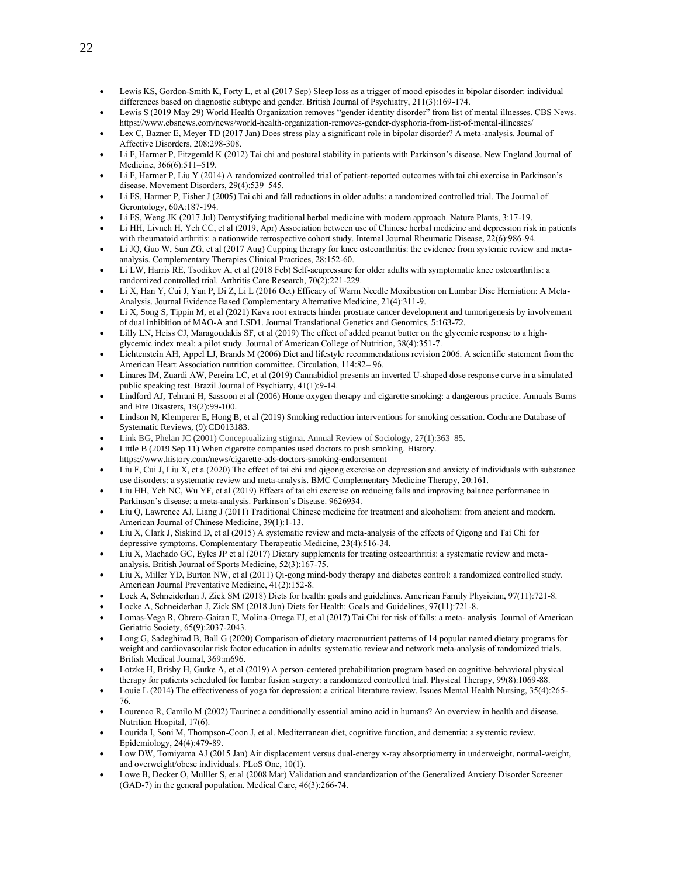- Lewis KS, Gordon-Smith K, Forty L, et al (2017 Sep) Sleep loss as a trigger of mood episodes in bipolar disorder: individual differences based on diagnostic subtype and gender. British Journal of Psychiatry, 211(3):169-174.
- Lewis S (2019 May 29) World Health Organization removes "gender identity disorder" from list of mental illnesses. CBS News. https://www.cbsnews.com/news/world-health-organization-removes-gender-dysphoria-from-list-of-mental-illnesses/
- Lex C, Bazner E, Meyer TD (2017 Jan) Does stress play a significant role in bipolar disorder? A meta-analysis. Journal of Affective Disorders, 208:298-308.
- Li F, Harmer P, Fitzgerald K (2012) Tai chi and postural stability in patients with Parkinson's disease. New England Journal of Medicine, 366(6):511–519.
- Li F, Harmer P, Liu Y (2014) A randomized controlled trial of patient-reported outcomes with tai chi exercise in Parkinson's disease. Movement Disorders, 29(4):539–545.
- Li FS, Harmer P, Fisher J (2005) Tai chi and fall reductions in older adults: a randomized controlled trial. The Journal of Gerontology, 60A:187-194.
- Li FS, Weng JK (2017 Jul) Demystifying traditional herbal medicine with modern approach. Nature Plants, 3:17-19.
- Li HH, Livneh H, Yeh CC, et al (2019, Apr) Association between use of Chinese herbal medicine and depression risk in patients with rheumatoid arthritis: a nationwide retrospective cohort study. Internal Journal Rheumatic Disease, 22(6):986-94.
- Li JQ, Guo W, Sun ZG, et al (2017 Aug) Cupping therapy for knee osteoarthritis: the evidence from systemic review and metaanalysis. Complementary Therapies Clinical Practices, 28:152-60.
- Li LW, Harris RE, Tsodikov A, et al (2018 Feb) Self-acupressure for older adults with symptomatic knee osteoarthritis: a randomized controlled trial. Arthritis Care Research, 70(2):221-229.
- Li X, Han Y, Cui J, Yan P, Di Z, Li L (2016 Oct) Efficacy of Warm Needle Moxibustion on Lumbar Disc Herniation: A Meta-Analysis. Journal Evidence Based Complementary Alternative Medicine, 21(4):311-9.
- Li X, Song S, Tippin M, et al (2021) Kava root extracts hinder prostrate cancer development and tumorigenesis by involvement of dual inhibition of MAO-A and LSD1. Journal Translational Genetics and Genomics, 5:163-72.
- Lilly LN, Heiss CJ, Maragoudakis SF, et al (2019) The effect of added peanut butter on the glycemic response to a highglycemic index meal: a pilot study. Journal of American College of Nutrition, 38(4):351-7.
- Lichtenstein AH, Appel LJ, Brands M (2006) Diet and lifestyle recommendations revision 2006. A scientific statement from the American Heart Association nutrition committee. Circulation, 114:82– 96.
- Linares IM, Zuardi AW, Pereira LC, et al (2019) Cannabidiol presents an inverted U-shaped dose response curve in a simulated public speaking test. Brazil Journal of Psychiatry, 41(1):9-14.
- Lindford AJ, Tehrani H, Sassoon et al (2006) Home oxygen therapy and cigarette smoking: a dangerous practice. Annuals Burns and Fire Disasters, 19(2):99-100.
- Lindson N, Klemperer E, Hong B, et al (2019) Smoking reduction interventions for smoking cessation. Cochrane Database of Systematic Reviews, (9):CD013183.
- Link BG, Phelan JC (2001) Conceptualizing stigma. Annual Review of Sociology, 27(1):363–85.
- Little B (2019 Sep 11) When cigarette companies used doctors to push smoking. History.
- https://www.history.com/news/cigarette-ads-doctors-smoking-endorsement
- Liu F, Cui J, Liu X, et a (2020) The effect of tai chi and qigong exercise on depression and anxiety of individuals with substance use disorders: a systematic review and meta-analysis. BMC Complementary Medicine Therapy, 20:161.
- Liu HH, Yeh NC, Wu YF, et al (2019) Effects of tai chi exercise on reducing falls and improving balance performance in Parkinson's disease: a meta-analysis. Parkinson's Disease. 9626934.
- Liu Q, Lawrence AJ, Liang J (2011) Traditional Chinese medicine for treatment and alcoholism: from ancient and modern. American Journal of Chinese Medicine, 39(1):1-13.
- Liu X, Clark J, Siskind D, et al (2015) A systematic review and meta-analysis of the effects of Qigong and Tai Chi for depressive symptoms. Complementary Therapeutic Medicine, 23(4):516-34.
- Liu X, Machado GC, Eyles JP et al (2017) Dietary supplements for treating osteoarthritis: a systematic review and metaanalysis. British Journal of Sports Medicine, 52(3):167-75.
- Liu X, Miller YD, Burton NW, et al (2011) Qi-gong mind-body therapy and diabetes control: a randomized controlled study. American Journal Preventative Medicine, 41(2):152-8.
- Lock A, Schneiderhan J, Zick SM (2018) Diets for health: goals and guidelines. American Family Physician, 97(11):721-8.
- Locke A, Schneiderhan J, Zick SM (2018 Jun) Diets for Health: Goals and Guidelines, 97(11):721-8.
- Lomas-Vega R, Obrero-Gaitan E, Molina-Ortega FJ, et al (2017) Tai Chi for risk of falls: a meta- analysis. Journal of American Geriatric Society, 65(9):2037-2043.
- Long G, Sadeghirad B, Ball G (2020) Comparison of dietary macronutrient patterns of 14 popular named dietary programs for weight and cardiovascular risk factor education in adults: systematic review and network meta-analysis of randomized trials. British Medical Journal, 369:m696.
- Lotzke H, Brisby H, Gutke A, et al (2019) A person-centered prehabilitation program based on cognitive-behavioral physical therapy for patients scheduled for lumbar fusion surgery: a randomized controlled trial. Physical Therapy, 99(8):1069-88.
- Louie L (2014) The effectiveness of yoga for depression: a critical literature review. Issues Mental Health Nursing, 35(4):265- 76.
- Lourenco R, Camilo M (2002) Taurine: a conditionally essential amino acid in humans? An overview in health and disease. Nutrition Hospital, 17(6).
- Lourida I, Soni M, Thompson-Coon J, et al. Mediterranean diet, cognitive function, and dementia: a systemic review. Epidemiology, 24(4):479-89.
- Low DW, Tomiyama AJ (2015 Jan) Air displacement versus dual-energy x-ray absorptiometry in underweight, normal-weight, and overweight/obese individuals. PLoS One, 10(1).
- Lowe B, Decker O, Mulller S, et al (2008 Mar) Validation and standardization of the Generalized Anxiety Disorder Screener (GAD-7) in the general population. Medical Care, 46(3):266-74.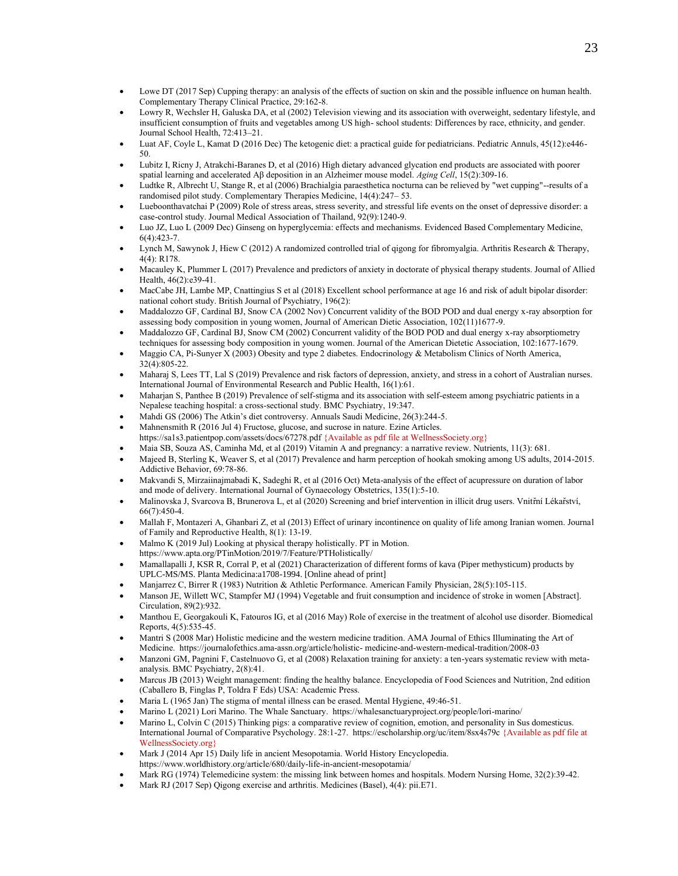- Lowe DT (2017 Sep) Cupping therapy: an analysis of the effects of suction on skin and the possible influence on human health. Complementary Therapy Clinical Practice, 29:162-8.
- Lowry R, Wechsler H, Galuska DA, et al (2002) Television viewing and its association with overweight, sedentary lifestyle, and insufficient consumption of fruits and vegetables among US high- school students: Differences by race, ethnicity, and gender. Journal School Health, 72:413–21.
- Luat AF, Coyle L, Kamat D (2016 Dec) The ketogenic diet: a practical guide for pediatricians. Pediatric Annuls, 45(12):e446- 50.
- Lubitz I, Ricny J, Atrakchi-Baranes D, et al (2016) High dietary advanced glycation end products are associated with poorer spatial learning and accelerated Aβ deposition in an Alzheimer mouse model. *Aging Cell*, 15(2):309-16.
- Ludtke R, Albrecht U, Stange R, et al (2006) Brachialgia paraesthetica nocturna can be relieved by "wet cupping"--results of a randomised pilot study. Complementary Therapies Medicine, 14(4):247– 53.
- Lueboonthavatchai P (2009) Role of stress areas, stress severity, and stressful life events on the onset of depressive disorder: a case-control study. Journal Medical Association of Thailand, 92(9):1240-9.
- Luo JZ, Luo L (2009 Dec) Ginseng on hyperglycemia: effects and mechanisms. Evidenced Based Complementary Medicine, 6(4):423-7.
- Lynch M, Sawynok J, Hiew C (2012) A randomized controlled trial of qigong for fibromyalgia. Arthritis Research & Therapy, 4(4): R178.
- Macauley K, Plummer L (2017) Prevalence and predictors of anxiety in doctorate of physical therapy students. Journal of Allied Health, 46(2):e39-41.
- MacCabe JH, Lambe MP, Cnattingius S et al (2018) Excellent school performance at age 16 and risk of adult bipolar disorder: national cohort study. British Journal of Psychiatry, 196(2):
- Maddalozzo GF, Cardinal BJ, Snow CA (2002 Nov) Concurrent validity of the BOD POD and dual energy x-ray absorption for assessing body composition in young women, Journal of American Dietic Association, 102(11)1677-9.
- Maddalozzo GF, Cardinal BJ, Snow CM (2002) Concurrent validity of the BOD POD and dual energy x-ray absorptiometry techniques for assessing body composition in young women. Journal of the American Dietetic Association, 102:1677-1679.
- Maggio CA, Pi-Sunyer X (2003) Obesity and type 2 diabetes. Endocrinology & Metabolism Clinics of North America, 32(4):805-22.
- Maharaj S, Lees TT, Lal S (2019) Prevalence and risk factors of depression, anxiety, and stress in a cohort of Australian nurses. International Journal of Environmental Research and Public Health, 16(1):61.
- Maharjan S, Panthee B (2019) Prevalence of self-stigma and its association with self-esteem among psychiatric patients in a Nepalese teaching hospital: a cross-sectional study. BMC Psychiatry, 19:347.
- Mahdi GS (2006) The Atkin's diet controversy. Annuals Saudi Medicine, 26(3):244-5.
- Mahnensmith R (2016 Jul 4) Fructose, glucose, and sucrose in nature. Ezine Articles.
- <https://sa1s3.patientpop.com/assets/docs/67278.pdf> {Available as pdf file at WellnessSociety.org}
- Maia SB, Souza AS, Caminha Md, et al (2019) Vitamin A and pregnancy: a narrative review. Nutrients, 11(3): 681.
- Majeed B, Sterling K, Weaver S, et al (2017) Prevalence and harm perception of hookah smoking among US adults, 2014-2015. Addictive Behavior, 69:78-86.
- Makvandi S, Mirzaiinajmabadi K, Sadeghi R, et al (2016 Oct) Meta-analysis of the effect of acupressure on duration of labor and mode of delivery. International Journal of Gynaecology Obstetrics, 135(1):5-10.
- Malinovska J, Svarcova B, Brunerova L, et al (2020) Screening and brief intervention in illicit drug users. Vnitr̆ní Lékar̆ství, 66(7):450-4.
- Mallah F, Montazeri A, Ghanbari Z, et al (2013) Effect of urinary incontinence on quality of life among Iranian women. Journal of Family and Reproductive Health, 8(1): 13-19.
- Malmo K (2019 Jul) Looking at physical therapy holistically. PT in Motion. https:[//www.apta.org/PTinMotion/2019/7/Feature/PTHolistically/](http://www.apta.org/PTinMotion/2019/7/Feature/PTHolistically/)
- Mamallapalli J, KSR R, Corral P, et al (2021) Characterization of different forms of kava (Piper methysticum) products by UPLC-MS/MS. Planta Medicina:a1708-1994. [Online ahead of print]
- Manjarrez C, Birrer R (1983) Nutrition & Athletic Performance. American Family Physician, 28(5):105-115.
- Manson JE, Willett WC, Stampfer MJ (1994) Vegetable and fruit consumption and incidence of stroke in women [Abstract]. Circulation, 89(2):932.
- Manthou E, Georgakouli K, Fatouros IG, et al (2016 May) Role of exercise in the treatment of alcohol use disorder. Biomedical Reports, 4(5):535-45.
- Mantri S (2008 Mar) Holistic medicine and the western medicine tradition. AMA Journal of Ethics Illuminating the Art of Medicine. https://journalofethics.ama-assn.org/article/holistic- medicine-and-western-medical-tradition/2008-03
- Manzoni GM, Pagnini F, Castelnuovo G, et al (2008) Relaxation training for anxiety: a ten-years systematic review with metaanalysis. BMC Psychiatry, 2(8):41.
- Marcus JB (2013) Weight management: finding the healthy balance. Encyclopedia of Food Sciences and Nutrition, 2nd edition (Caballero B, Finglas P, Toldra F Eds) USA: Academic Press.
- Maria L (1965 Jan) The stigma of mental illness can be erased. Mental Hygiene, 49:46-51.
- Marino L (2021) Lori Marino. The Whale Sanctuary. https://whalesanctuaryproject.org/people/lori-marino/
- Marino L, Colvin C (2015) Thinking pigs: a comparative review of cognition, emotion, and personality in Sus domesticus. International Journal of Comparative Psychology. 28:1-27.<https://escholarship.org/uc/item/8sx4s79c> {Available as pdf file at WellnessSociety.org}
- Mark J (2014 Apr 15) Daily life in ancient Mesopotamia. World History Encyclopedia. https://www.worldhistory.org/article/680/daily-life-in-ancient-mesopotamia/
- Mark RG (1974) Telemedicine system: the missing link between homes and hospitals. Modern Nursing Home, 32(2):39-42.
- Mark RJ (2017 Sep) Qigong exercise and arthritis. Medicines (Basel), 4(4): pii.E71.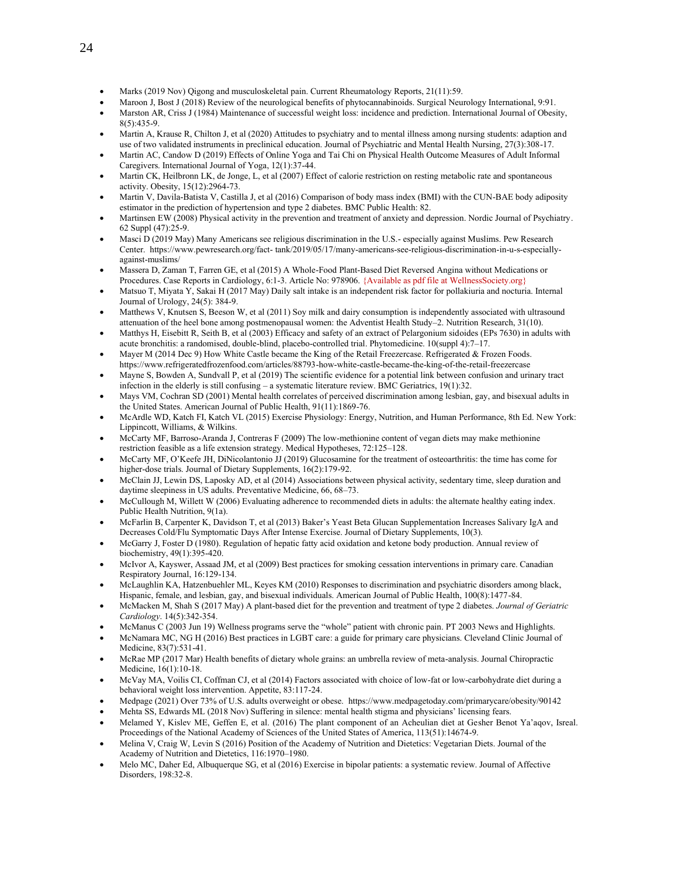- Marks (2019 Nov) Qigong and musculoskeletal pain. Current Rheumatology Reports, 21(11):59.
- Maroon J, Bost J (2018) Review of the neurological benefits of phytocannabinoids. Surgical Neurology International, 9:91.
- Marston AR, Criss J (1984) Maintenance of successful weight loss: incidence and prediction. International Journal of Obesity, 8(5):435-9.
- Martin A, Krause R, Chilton J, et al (2020) Attitudes to psychiatry and to mental illness among nursing students: adaption and use of two validated instruments in preclinical education. Journal of Psychiatric and Mental Health Nursing, 27(3):308-17.
- Martin AC, Candow D (2019) Effects of Online Yoga and Tai Chi on Physical Health Outcome Measures of Adult Informal Caregivers. International Journal of Yoga, 12(1):37-44.
- Martin CK, Heilbronn LK, de Jonge, L, et al (2007) Effect of calorie restriction on resting metabolic rate and spontaneous activity. Obesity, 15(12):2964-73.
- Martin V, Davila-Batista V, Castilla J, et al (2016) Comparison of body mass index (BMI) with the CUN-BAE body adiposity estimator in the prediction of hypertension and type 2 diabetes. BMC Public Health: 82.
- Martinsen EW (2008) Physical activity in the prevention and treatment of anxiety and depression. Nordic Journal of Psychiatry. 62 Suppl (47):25-9.
- Masci D (2019 May) Many Americans see religious discrimination in the U.S.- especially against Muslims. Pew Research Center. https:[//www.pewresearch.org/fact-](http://www.pewresearch.org/fact-) tank/2019/05/17/many-americans-see-religious-discrimination-in-u-s-especiallyagainst-muslims/
- Massera D, Zaman T, Farren GE, et al (2015) A Whole-Food Plant-Based Diet Reversed Angina without Medications or Procedures. Case Reports in Cardiology, 6:1-3. Article No: 978906. {Available as pdf file at WellnessSociety.org}
- Matsuo T, Miyata Y, Sakai H (2017 May) Daily salt intake is an independent risk factor for pollakiuria and nocturia. Internal Journal of Urology, 24(5): 384-9.
- Matthews V, Knutsen S, Beeson W, et al (2011) Soy milk and dairy consumption is independently associated with ultrasound attenuation of the heel bone among postmenopausal women: the Adventist Health Study–2. Nutrition Research, 31(10).
- Matthys H, Eisebitt R, Seith B, et al (2003) Efficacy and safety of an extract of Pelargonium sidoides (EPs 7630) in adults with acute bronchitis: a randomised, double-blind, placebo-controlled trial. Phytomedicine. 10(suppl 4):7–17.
- Mayer M (2014 Dec 9) How White Castle became the King of the Retail Freezercase. Refrigerated & Frozen Foods. <https://www.refrigeratedfrozenfood.com/articles/88793-how-white-castle-became-the-king-of-the-retail-freezercase>
- Mayne S, Bowden A, Sundvall P, et al (2019) The scientific evidence for a potential link between confusion and urinary tract infection in the elderly is still confusing – a systematic literature review. BMC Geriatrics, 19(1):32.
- Mays VM, Cochran SD (2001) Mental health correlates of perceived discrimination among lesbian, gay, and bisexual adults in the United States. American Journal of Public Health, 91(11):1869-76.
- McArdle WD, Katch FI, Katch VL (2015) Exercise Physiology: Energy, Nutrition, and Human Performance, 8th Ed. New York: Lippincott, Williams, & Wilkins.
- McCarty MF, Barroso-Aranda J, Contreras F (2009) The low-methionine content of vegan diets may make methionine restriction feasible as a life extension strategy. Medical Hypotheses, 72:125–128.
- McCarty MF, O'Keefe JH, DiNicolantonio JJ (2019) Glucosamine for the treatment of osteoarthritis: the time has come for higher-dose trials. Journal of Dietary Supplements, 16(2):179-92.
- McClain JJ, Lewin DS, Laposky AD, et al (2014) Associations between physical activity, sedentary time, sleep duration and daytime sleepiness in US adults. Preventative Medicine, 66, 68–73.
- McCullough M, Willett W (2006) Evaluating adherence to recommended diets in adults: the alternate healthy eating index. Public Health Nutrition, 9(1a).
- McFarlin B, Carpenter K, Davidson T, et al (2013) Baker's Yeast Beta Glucan Supplementation Increases Salivary IgA and Decreases Cold/Flu Symptomatic Days After Intense Exercise. Journal of Dietary Supplements, 10(3).
- McGarry J, Foster D (1980). Regulation of hepatic fatty acid oxidation and ketone body production. Annual review of biochemistry, 49(1):395-420.
- McIvor A, Kayswer, Assaad JM, et al (2009) Best practices for smoking cessation interventions in primary care. Canadian Respiratory Journal, 16:129-134.
- McLaughlin KA, Hatzenbuehler ML, Keyes KM (2010) Responses to discrimination and psychiatric disorders among black, Hispanic, female, and lesbian, gay, and bisexual individuals. American Journal of Public Health, 100(8):1477-84.
- McMacken M, Shah S (2017 May) A plant-based diet for the prevention and treatment of type 2 diabetes. *Journal of Geriatric Cardiology*. 14(5):342-354.
- McManus C (2003 Jun 19) Wellness programs serve the "whole" patient with chronic pain. PT 2003 News and Highlights.
- McNamara MC, NG H (2016) Best practices in LGBT care: a guide for primary care physicians. Cleveland Clinic Journal of Medicine, 83(7):531-41.
- McRae MP (2017 Mar) Health benefits of dietary whole grains: an umbrella review of meta-analysis. Journal Chiropractic Medicine, 16(1):10-18.
- McVay MA, Voilis CI, Coffman CJ, et al (2014) Factors associated with choice of low-fat or low-carbohydrate diet during a behavioral weight loss intervention. Appetite, 83:117-24.
- Medpage (2021) Over 73% of U.S. adults overweight or obese. https://www.medpagetoday.com/primarycare/obesity/90142
- Mehta SS, Edwards ML (2018 Nov) Suffering in silence: mental health stigma and physicians' licensing fears.
- Melamed Y, Kislev ME, Geffen E, et al. (2016) The plant component of an Acheulian diet at Gesher Benot Ya'aqov, Isreal. Proceedings of the National Academy of Sciences of the United States of America, 113(51):14674-9.
- Melina V, Craig W, Levin S (2016) Position of the Academy of Nutrition and Dietetics: Vegetarian Diets. Journal of the Academy of Nutrition and Dietetics, 116:1970–1980.
- Melo MC, Daher Ed, Albuquerque SG, et al (2016) Exercise in bipolar patients: a systematic review. Journal of Affective Disorders, 198:32-8.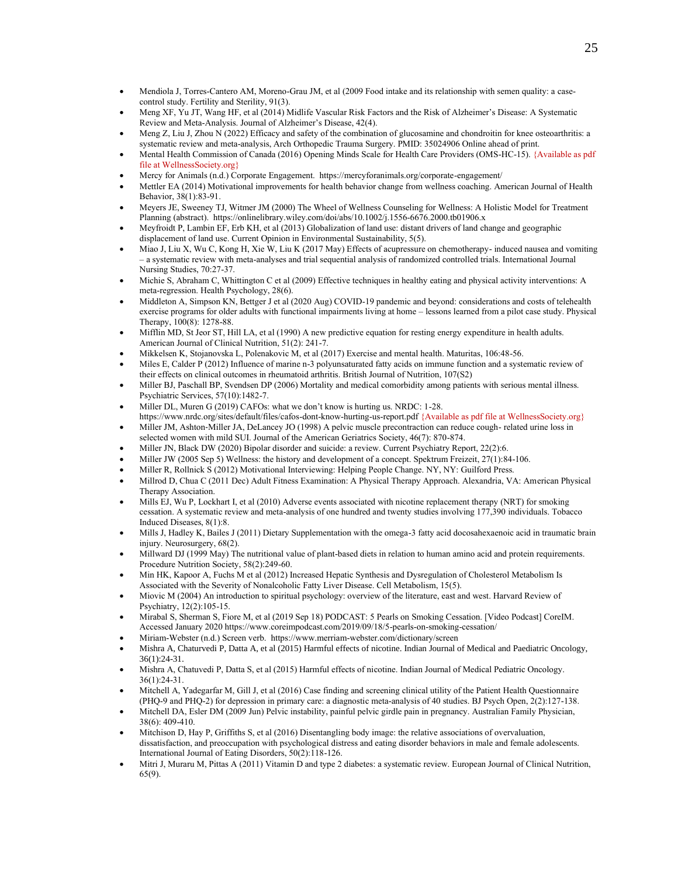- Mendiola J, Torres-Cantero AM, Moreno-Grau JM, et al (2009 Food intake and its relationship with semen quality: a casecontrol study. Fertility and Sterility, 91(3).
- Meng XF, Yu JT, Wang HF, et al (2014) Midlife Vascular Risk Factors and the Risk of Alzheimer's Disease: A Systematic Review and Meta-Analysis. Journal of Alzheimer's Disease, 42(4).
- Meng Z, Liu J, Zhou N (2022) Efficacy and safety of the combination of glucosamine and chondroitin for knee osteoarthritis: a systematic review and meta-analysis, Arch Orthopedic Trauma Surgery. PMID: 35024906 Online ahead of print.
- Mental Health Commission of Canada (2016) Opening Minds Scale for Health Care Providers (OMS-HC-15). {Available as pdf file at WellnessSociety.org}
- Mercy for Animals (n.d.) Corporate Engagement. https://mercyforanimals.org/corporate-engagement/
- Mettler EA (2014) Motivational improvements for health behavior change from wellness coaching. American Journal of Health Behavior, 38(1):83-91.
- Meyers JE, Sweeney TJ, Witmer JM (2000) The Wheel of Wellness Counseling for Wellness: A Holistic Model for Treatment Planning (abstract). https://onlinelibrary.wiley.com/doi/abs/10.1002/j.1556-6676.2000.tb01906.x
- Meyfroidt P, Lambin EF, Erb KH, et al (2013) Globalization of land use: distant drivers of land change and geographic displacement of land use. Current Opinion in Environmental Sustainability, 5(5).
- Miao J, Liu X, Wu C, Kong H, Xie W, Liu K (2017 May) Effects of acupressure on chemotherapy- induced nausea and vomiting – a systematic review with meta-analyses and trial sequential analysis of randomized controlled trials. International Journal Nursing Studies, 70:27-37.
- Michie S, Abraham C, Whittington C et al (2009) Effective techniques in healthy eating and physical activity interventions: A meta-regression. Health Psychology, 28(6).
- Middleton A, Simpson KN, Bettger J et al (2020 Aug) COVID-19 pandemic and beyond: considerations and costs of telehealth exercise programs for older adults with functional impairments living at home – lessons learned from a pilot case study. Physical Therapy, 100(8): 1278-88.
- Mifflin MD, St Jeor ST, Hill LA, et al (1990) A new predictive equation for resting energy expenditure in health adults. American Journal of Clinical Nutrition, 51(2): 241-7.
- Mikkelsen K, Stojanovska L, Polenakovic M, et al (2017) Exercise and mental health. Maturitas, 106:48-56.
- Miles E, Calder P (2012) Influence of marine n-3 polyunsaturated fatty acids on immune function and a systematic review of their effects on clinical outcomes in rheumatoid arthritis. British Journal of Nutrition, 107(S2)
- Miller BJ, Paschall BP, Svendsen DP (2006) Mortality and medical comorbidity among patients with serious mental illness. Psychiatric Services, 57(10):1482-7.
- Miller DL, Muren G (2019) CAFOs: what we don't know is hurting us. NRDC: 1-28.
- <https://www.nrdc.org/sites/default/files/cafos-dont-know-hurting-us-report.pdf> {Available as pdf file at WellnessSociety.org} • Miller JM, Ashton‐Miller JA, DeLancey JO (1998) A pelvic muscle precontraction can reduce cough- related urine loss in
- selected women with mild SUI. Journal of the American Geriatrics Society, 46(7): 870-874.
- Miller JN, Black DW (2020) Bipolar disorder and suicide: a review. Current Psychiatry Report, 22(2):6.
- Miller JW (2005 Sep 5) Wellness: the history and development of a concept. Spektrum Freizeit, 27(1):84-106.
- Miller R, Rollnick S (2012) Motivational Interviewing: Helping People Change. NY, NY: Guilford Press.
- Millrod D, Chua C (2011 Dec) Adult Fitness Examination: A Physical Therapy Approach. Alexandria, VA: American Physical Therapy Association.
- Mills EJ, Wu P, Lockhart I, et al (2010) Adverse events associated with nicotine replacement therapy (NRT) for smoking cessation. A systematic review and meta-analysis of one hundred and twenty studies involving 177,390 individuals. Tobacco Induced Diseases, 8(1):8.
- Mills J, Hadley K, Bailes J (2011) Dietary Supplementation with the omega-3 fatty acid docosahexaenoic acid in traumatic brain injury. Neurosurgery, 68(2).
- Millward DJ (1999 May) The nutritional value of plant-based diets in relation to human amino acid and protein requirements. Procedure Nutrition Society, 58(2):249-60.
- Min HK, Kapoor A, Fuchs M et al (2012) Increased Hepatic Synthesis and Dysregulation of Cholesterol Metabolism Is Associated with the Severity of Nonalcoholic Fatty Liver Disease. Cell Metabolism, 15(5).
- Miovic M (2004) An introduction to spiritual psychology: overview of the literature, east and west. Harvard Review of Psychiatry, 12(2):105-15.
- Mirabal S, Sherman S, Fiore M, et al (2019 Sep 18) PODCAST: 5 Pearls on Smoking Cessation. [Video Podcast] CoreIM. Accessed January 2020 https://www.coreimpodcast.com/2019/09/18/5-pearls-on-smoking-cessation/
- Miriam-Webster (n.d.) Screen verb. https://www.merriam-webster.com/dictionary/screen
- Mishra A, Chaturvedi P, Datta A, et al (2015) Harmful effects of nicotine. Indian Journal of Medical and Paediatric Oncology, 36(1):24-31.
- Mishra A, Chatuvedi P, Datta S, et al (2015) Harmful effects of nicotine. Indian Journal of Medical Pediatric Oncology. 36(1):24-31.
- Mitchell A, Yadegarfar M, Gill J, et al (2016) Case finding and screening clinical utility of the Patient Health Questionnaire (PHQ-9 and PHQ-2) for depression in primary care: a diagnostic meta-analysis of 40 studies. BJ Psych Open, 2(2):127-138.
- Mitchell DA, Esler DM (2009 Jun) Pelvic instability, painful pelvic girdle pain in pregnancy. Australian Family Physician, 38(6): 409-410.
- Mitchison D, Hay P, Griffiths S, et al (2016) Disentangling body image: the relative associations of overvaluation, dissatisfaction, and preoccupation with psychological distress and eating disorder behaviors in male and female adolescents. International Journal of Eating Disorders, 50(2):118-126.
- Mitri J, Muraru M, Pittas A (2011) Vitamin D and type 2 diabetes: a systematic review. European Journal of Clinical Nutrition, 65(9).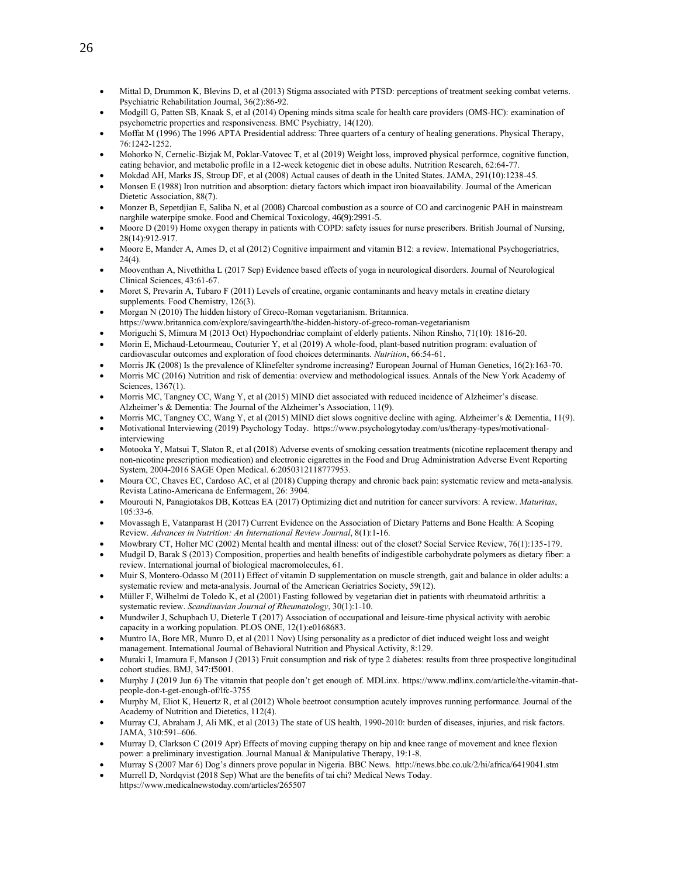- Mittal D, Drummon K, Blevins D, et al (2013) Stigma associated with PTSD: perceptions of treatment seeking combat veterns. Psychiatric Rehabilitation Journal, 36(2):86-92.
- Modgill G, Patten SB, Knaak S, et al (2014) Opening minds sitma scale for health care providers (OMS-HC): examination of psychometric properties and responsiveness. BMC Psychiatry, 14(120).
- Moffat M (1996) The 1996 APTA Presidential address: Three quarters of a century of healing generations. Physical Therapy, 76:1242-1252.
- Mohorko N, Cernelic-Bizjak M, Poklar-Vatovec T, et al (2019) Weight loss, improved physical performce, cognitive function, eating behavior, and metabolic profile in a 12-week ketogenic diet in obese adults. Nutrition Research, 62:64-77.
- Mokdad AH, Marks JS, Stroup DF, et al (2008) Actual causes of death in the United States. JAMA, 291(10):1238-45.
- Monsen E (1988) Iron nutrition and absorption: dietary factors which impact iron bioavailability. Journal of the American Dietetic Association, 88(7).
- Monzer B, Sepetdjian E, Saliba N, et al (2008) Charcoal combustion as a source of CO and carcinogenic PAH in mainstream narghile waterpipe smoke. Food and Chemical Toxicology, 46(9):2991-5.
- Moore D (2019) Home oxygen therapy in patients with COPD: safety issues for nurse prescribers. British Journal of Nursing, 28(14):912-917.
- Moore E, Mander A, Ames D, et al (2012) Cognitive impairment and vitamin B12: a review. International Psychogeriatrics, 24(4).
- Mooventhan A, Nivethitha L (2017 Sep) Evidence based effects of yoga in neurological disorders. Journal of Neurological Clinical Sciences, 43:61-67.
- Moret S, Prevarin A, Tubaro F (2011) Levels of creatine, organic contaminants and heavy metals in creatine dietary supplements. Food Chemistry, 126(3).
- Morgan N (2010) The hidden history of Greco-Roman vegetarianism. Britannica. https://www.britannica.com/explore/savingearth/the-hidden-history-of-greco-roman-vegetarianism
- Moriguchi S, Mimura M (2013 Oct) Hypochondriac complaint of elderly patients. Nihon Rinsho, 71(10): 1816-20.
- Morin E, Michaud-Letourmeau, Couturier Y, et al (2019) A whole-food, plant-based nutrition program: evaluation of cardiovascular outcomes and exploration of food choices determinants. *Nutrition*, 66:54-61.
- Morris JK (2008) Is the prevalence of Klinefelter syndrome increasing? European Journal of Human Genetics, 16(2):163-70.
- Morris MC (2016) Nutrition and risk of dementia: overview and methodological issues. Annals of the New York Academy of Sciences, 1367(1).
- Morris MC, Tangney CC, Wang Y, et al (2015) MIND diet associated with reduced incidence of Alzheimer's disease. Alzheimer's & Dementia: The Journal of the Alzheimer's Association, 11(9).
- Morris MC, Tangney CC, Wang Y, et al (2015) MIND diet slows cognitive decline with aging. Alzheimer's & Dementia, 11(9).
- Motivational Interviewing (2019) Psychology Today. https:[//www.psychologytoday.com/us/therapy-types/motivational](http://www.psychologytoday.com/us/therapy-types/motivational-interviewing)[interviewing](http://www.psychologytoday.com/us/therapy-types/motivational-interviewing)
- Motooka Y, Matsui T, Slaton R, et al (2018) Adverse events of smoking cessation treatments (nicotine replacement therapy and non-nicotine prescription medication) and electronic cigarettes in the Food and Drug Administration Adverse Event Reporting System, 2004-2016 SAGE Open Medical. 6:2050312118777953.
- Moura CC, Chaves EC, Cardoso AC, et al (2018) Cupping therapy and chronic back pain: systematic review and meta-analysis. Revista Latino-Americana de Enfermagem, 26: 3904.
- Mourouti N, Panagiotakos DB, Kotteas EA (2017) Optimizing diet and nutrition for cancer survivors: A review. *Maturitas*, 105:33-6.
- Movassagh E, Vatanparast H (2017) Current Evidence on the Association of Dietary Patterns and Bone Health: A Scoping Review. *Advances in Nutrition: An International Review Journal*, 8(1):1-16.
- Mowbrary CT, Holter MC (2002) Mental health and mental illness: out of the closet? Social Service Review, 76(1):135-179.
- Mudgil D, Barak S (2013) Composition, properties and health benefits of indigestible carbohydrate polymers as dietary fiber: a review. International journal of biological macromolecules, 61.
- Muir S, Montero-Odasso M (2011) Effect of vitamin D supplementation on muscle strength, gait and balance in older adults: a systematic review and meta-analysis. Journal of the American Geriatrics Society, 59(12).
- Müller F, Wilhelmi de Toledo K, et al (2001) Fasting followed by vegetarian diet in patients with rheumatoid arthritis: a systematic review. *Scandinavian Journal of Rheumatology*, 30(1):1-10.
- Mundwiler J, Schupbach U, Dieterle T (2017) Association of occupational and leisure-time physical activity with aerobic capacity in a working population. PLOS ONE, 12(1):e0168683.
- Muntro IA, Bore MR, Munro D, et al (2011 Nov) Using personality as a predictor of diet induced weight loss and weight management. International Journal of Behavioral Nutrition and Physical Activity, 8:129.
- Muraki I, Imamura F, Manson J (2013) Fruit consumption and risk of type 2 diabetes: results from three prospective longitudinal cohort studies. BMJ, 347:f5001.
- Murphy J (2019 Jun 6) The vitamin that people don't get enough of. MDLinx. https://www.mdlinx.com/article/the-vitamin-thatpeople-don-t-get-enough-of/lfc-3755
- Murphy M, Eliot K, Heuertz R, et al (2012) Whole beetroot consumption acutely improves running performance. Journal of the Academy of Nutrition and Dietetics, 112(4).
- Murray CJ, Abraham J, Ali MK, et al (2013) The state of US health, 1990-2010: burden of diseases, injuries, and risk factors. JAMA, 310:591–606.
- Murray D, Clarkson C (2019 Apr) Effects of moving cupping therapy on hip and knee range of movement and knee flexion power: a preliminary investigation. Journal Manual & Manipulative Therapy, 19:1-8.
- Murray S (2007 Mar 6) Dog's dinners prove popular in Nigeria. BBC News. http://news.bbc.co.uk/2/hi/africa/6419041.stm
- Murrell D, Nordqvist (2018 Sep) What are the benefits of tai chi? Medical News Today. https:[//www.medicalnewstoday.com/articles/265507](http://www.medicalnewstoday.com/articles/265507)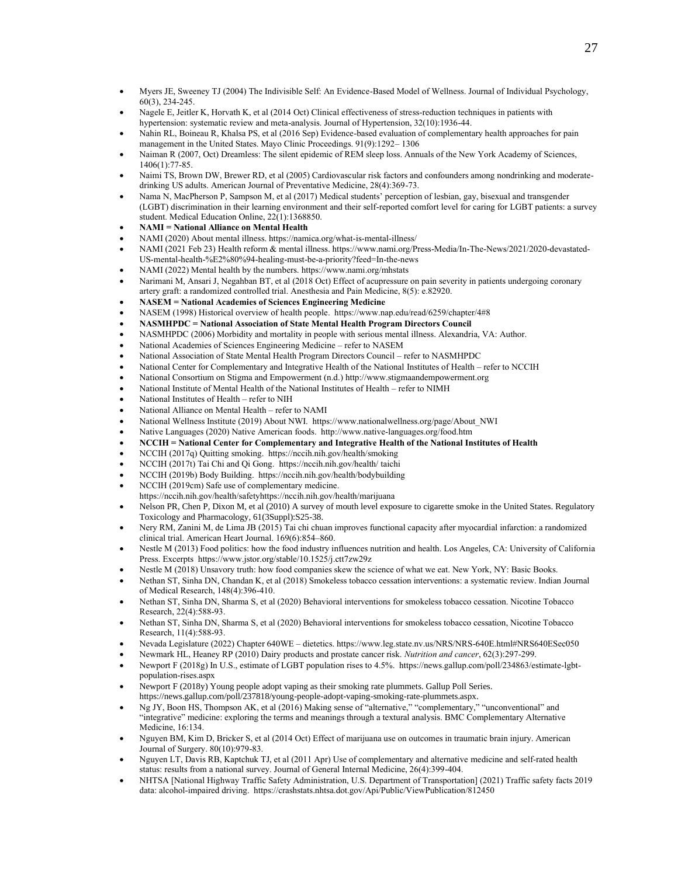- Myers JE, Sweeney TJ (2004) The Indivisible Self: An Evidence-Based Model of Wellness. Journal of Individual Psychology, 60(3), 234-245.
- Nagele E, Jeitler K, Horvath K, et al (2014 Oct) Clinical effectiveness of stress-reduction techniques in patients with hypertension: systematic review and meta-analysis. Journal of Hypertension, 32(10):1936-44.
- Nahin RL, Boineau R, Khalsa PS, et al (2016 Sep) Evidence-based evaluation of complementary health approaches for pain management in the United States. Mayo Clinic Proceedings. 91(9):1292– 1306
- Naiman R (2007, Oct) Dreamless: The silent epidemic of REM sleep loss. Annuals of the New York Academy of Sciences, 1406(1):77-85.
- Naimi TS, Brown DW, Brewer RD, et al (2005) Cardiovascular risk factors and confounders among nondrinking and moderatedrinking US adults. American Journal of Preventative Medicine, 28(4):369-73.
- Nama N, MacPherson P, Sampson M, et al (2017) Medical students' perception of lesbian, gay, bisexual and transgender (LGBT) discrimination in their learning environment and their self-reported comfort level for caring for LGBT patients: a survey student. Medical Education Online, 22(1):1368850.
- **NAMI = National Alliance on Mental Health**
- NAMI (2020) About mental illness. https://namica.org/what-is-mental-illness/
- NAMI (2021 Feb 23) Health reform & mental illness. https://www.nami.org/Press-Media/In-The-News/2021/2020-devastated-US-mental-health-%E2%80%94-healing-must-be-a-priority?feed=In-the-news
- NAMI (2022) Mental health by the numbers. https://www.nami.org/mhstats
- Narimani M, Ansari J, Negahban BT, et al (2018 Oct) Effect of acupressure on pain severity in patients undergoing coronary artery graft: a randomized controlled trial. Anesthesia and Pain Medicine, 8(5): e.82920.
- **NASEM = National Academies of Sciences Engineering Medicine**
- NASEM (1998) Historical overview of health people. https://www.nap.edu/read/6259/chapter/4#8
- **NASMHPDC = National Association of State Mental Health Program Directors Council**
- NASMHPDC (2006) Morbidity and mortality in people with serious mental illness. Alexandria, VA: Author.
- National Academies of Sciences Engineering Medicine refer to NASEM
- National Association of State Mental Health Program Directors Council refer to NASMHPDC
- National Center for Complementary and Integrative Health of the National Institutes of Health refer to NCCIH
- National Consortium on Stigma and Empowerment (n.d.) http://www.stigmaandempowerment.org
- National Institute of Mental Health of the National Institutes of Health refer to NIMH
- National Institutes of Health refer to NIH
- National Alliance on Mental Health refer to NAMI
- National Wellness Institute (2019) About NWI. https:[//www.nationalwellness.org/page/About\\_NWI](http://www.nationalwellness.org/page/About_NWI)
- Native Languages (2020) Native American foods. http://www.native-languages.org/food.htm
- **NCCIH = National Center for Complementary and Integrative Health of the National Institutes of Health**
- NCCIH (2017q) Quitting smoking. https://nccih.nih.gov/health/smoking
- NCCIH (2017t) Tai Chi and Qi Gong.<https://nccih.nih.gov/health/> taichi
- NCCIH (2019b) Body Building. https://nccih.nih.gov/health/bodybuilding
- NCCIH (2019cm) Safe use of complementary medicine.
- https://nccih.nih.gov/health/safetyhttps://nccih.nih.gov/health/marijuana • Nelson PR, Chen P, Dixon M, et al (2010) A survey of mouth level exposure to cigarette smoke in the United States. Regulatory Toxicology and Pharmacology, 61(3Suppl):S25-38.
- Nery RM, Zanini M, de Lima JB (2015) Tai chi chuan improves functional capacity after myocardial infarction: a randomized clinical trial. American Heart Journal. 169(6):854–860.
- Nestle M (2013) Food politics: how the food industry influences nutrition and health. Los Angeles, CA: University of California Press. Excerpts https://www.jstor.org/stable/10.1525/j.ctt7zw29z
- Nestle M (2018) Unsavory truth: how food companies skew the science of what we eat. New York, NY: Basic Books.
- Nethan ST, Sinha DN, Chandan K, et al (2018) Smokeless tobacco cessation interventions: a systematic review. Indian Journal of Medical Research, 148(4):396-410.
- Nethan ST, Sinha DN, Sharma S, et al (2020) Behavioral interventions for smokeless tobacco cessation. Nicotine Tobacco Research, 22(4):588-93.
- Nethan ST, Sinha DN, Sharma S, et al (2020) Behavioral interventions for smokeless tobacco cessation, Nicotine Tobacco Research, 11(4):588-93.
- Nevada Legislature (2022) Chapter 640WE dietetics. https://www.leg.state.nv.us/NRS/NRS-640E.html#NRS640ESec050
- Newmark HL, Heaney RP (2010) Dairy products and prostate cancer risk. *Nutrition and cancer*, 62(3):297-299.
- Newport F (2018g) In U.S., estimate of LGBT population rises to 4.5%. https://news.gallup.com/poll/234863/estimate-lgbtpopulation-rises.aspx
- Newport F (2018y) Young people adopt vaping as their smoking rate plummets. Gallup Poll Series. https://news.gallup.com/poll/237818/young-people-adopt-vaping-smoking-rate-plummets.aspx.
- Ng JY, Boon HS, Thompson AK, et al (2016) Making sense of "alternative," "complementary," "unconventional" and "integrative" medicine: exploring the terms and meanings through a textural analysis. BMC Complementary Alternative Medicine, 16:134.
- Nguyen BM, Kim D, Bricker S, et al (2014 Oct) Effect of marijuana use on outcomes in traumatic brain injury. American Journal of Surgery. 80(10):979-83.
- Nguyen LT, Davis RB, Kaptchuk TJ, et al (2011 Apr) Use of complementary and alternative medicine and self-rated health status: results from a national survey. Journal of General Internal Medicine, 26(4):399-404.
- NHTSA [National Highway Traffic Safety Administration, U.S. Department of Transportation] (2021) Traffic safety facts 2019 data: alcohol-impaired driving. https://crashstats.nhtsa.dot.gov/Api/Public/ViewPublication/812450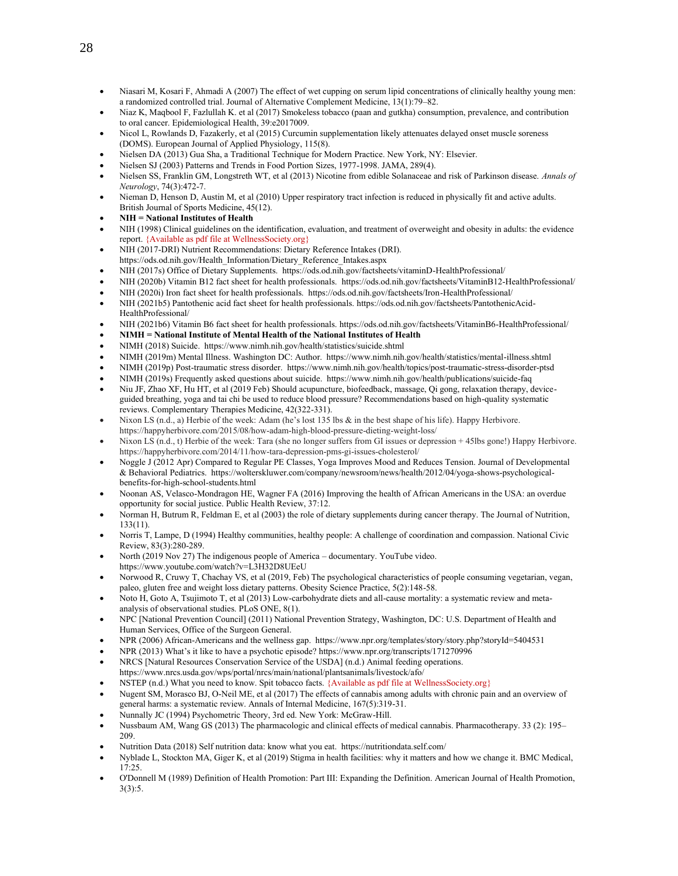- Niasari M, Kosari F, Ahmadi A (2007) The effect of wet cupping on serum lipid concentrations of clinically healthy young men: a randomized controlled trial. Journal of Alternative Complement Medicine, 13(1):79–82.
- Niaz K, Maqbool F, Fazlullah K. et al (2017) Smokeless tobacco (paan and gutkha) consumption, prevalence, and contribution to oral cancer. Epidemiological Health, 39:e2017009.
- Nicol L, Rowlands D, Fazakerly, et al (2015) Curcumin supplementation likely attenuates delayed onset muscle soreness (DOMS). European Journal of Applied Physiology, 115(8).
- Nielsen DA (2013) Gua Sha, a Traditional Technique for Modern Practice. New York, NY: Elsevier.
- Nielsen SJ (2003) Patterns and Trends in Food Portion Sizes, 1977-1998. JAMA, 289(4).
- Nielsen SS, Franklin GM, Longstreth WT, et al (2013) Nicotine from edible Solanaceae and risk of Parkinson disease. *Annals of Neurology*, 74(3):472-7.
- Nieman D, Henson D, Austin M, et al (2010) Upper respiratory tract infection is reduced in physically fit and active adults. British Journal of Sports Medicine, 45(12).
- **NIH = National Institutes of Health**
- NIH (1998) Clinical guidelines on the identification, evaluation, and treatment of overweight and obesity in adults: the evidence report. {Available as pdf file at WellnessSociety.org}
- NIH (2017-DRI) Nutrient Recommendations: Dietary Reference Intakes (DRI). https://ods.od.nih.gov/Health\_Information/Dietary\_Reference\_Intakes.aspx
- NIH (2017s) Office of Dietary Supplements. https://ods.od.nih.gov/factsheets/vitaminD-HealthProfessional/
- NIH (2020b) Vitamin B12 fact sheet for health professionals.<https://ods.od.nih.gov/factsheets/VitaminB12-HealthProfessional/>
- NIH (2020i) Iron fact sheet for health professionals. https://ods.od.nih.gov/factsheets/Iron-HealthProfessional/
- NIH (2021b5) Pantothenic acid fact sheet for health professionals. https://ods.od.nih.gov/factsheets/PantothenicAcid-HealthProfessional/
- NIH (2021b6) Vitamin B6 fact sheet for health professionals. https://ods.od.nih.gov/factsheets/VitaminB6-HealthProfessional/
- **NIMH = National Institute of Mental Health of the National Institutes of Health**
- NIMH (2018) Suicide. https:/[/www.nimh.nih.gov/health/statistics/suicide.shtml](http://www.nimh.nih.gov/health/statistics/suicide.shtml)
- NIMH (2019m) Mental Illness. Washington DC: Author. https:/[/www.nimh.nih.gov/health/statistics/mental-illness.shtml](http://www.nimh.nih.gov/health/statistics/mental-illness.shtml)
- NIMH (2019p) Post-traumatic stress disorder.<https://www.nimh.nih.gov/health/topics/post-traumatic-stress-disorder-ptsd>
- NIMH (2019s) Frequently asked questions about suicide. https://www.nimh.nih.gov/health/publications/suicide-faq
- Niu JF, Zhao XF, Hu HT, et al (2019 Feb) Should acupuncture, biofeedback, massage, Qi gong, relaxation therapy, deviceguided breathing, yoga and tai chi be used to reduce blood pressure? Recommendations based on high-quality systematic reviews. Complementary Therapies Medicine, 42(322-331).
- Nixon LS (n.d., a) Herbie of the week: Adam (he's lost 135 lbs & in the best shape of his life). Happy Herbivore. https://happyherbivore.com/2015/08/how-adam-high-blood-pressure-dieting-weight-loss/
- Nixon LS (n.d., t) Herbie of the week: Tara (she no longer suffers from GI issues or depression + 45lbs gone!) Happy Herbivore. https://happyherbivore.com/2014/11/how-tara-depression-pms-gi-issues-cholesterol/
- Noggle J (2012 Apr) Compared to Regular PE Classes, Yoga Improves Mood and Reduces Tension. Journal of Developmental & Behavioral Pediatrics. https://wolterskluwer.com/company/newsroom/news/health/2012/04/yoga-shows-psychologicalbenefits-for-high-school-students.html
- Noonan AS, Velasco-Mondragon HE, Wagner FA (2016) Improving the health of African Americans in the USA: an overdue opportunity for social justice. Public Health Review, 37:12.
- Norman H, Butrum R, Feldman E, et al (2003) the role of dietary supplements during cancer therapy. The Journal of Nutrition, 133(11).
- Norris T, Lampe, D (1994) Healthy communities, healthy people: A challenge of coordination and compassion. National Civic Review, 83(3):280-289.
- North (2019 Nov 27) The indigenous people of America documentary. YouTube video. https://www.youtube.com/watch?v=L3H32D8UEeU
- Norwood R, Cruwy T, Chachay VS, et al (2019, Feb) The psychological characteristics of people consuming vegetarian, vegan, paleo, gluten free and weight loss dietary patterns. Obesity Science Practice, 5(2):148-58.
- Noto H, Goto A, Tsujimoto T, et al (2013) Low-carbohydrate diets and all-cause mortality: a systematic review and metaanalysis of observational studies. PLoS ONE, 8(1).
- NPC [National Prevention Council] (2011) National Prevention Strategy, Washington, DC: U.S. Department of Health and Human Services, Office of the Surgeon General.
- NPR (2006) African-Americans and the wellness gap. https:[//www.npr.org/templates/story/story.php?storyId=5404531](http://www.npr.org/templates/story/story.php?storyId=5404531)
- NPR (2013) What's it like to have a psychotic episode? https://www.npr.org/transcripts/171270996
- NRCS [Natural Resources Conservation Service of the USDA] (n.d.) Animal feeding operations.
- https://www.nrcs.usda.gov/wps/portal/nrcs/main/national/plantsanimals/livestock/afo/
- NSTEP (n.d.) What you need to know. Spit tobacco facts. {Available as pdf file at WellnessSociety.org}
- Nugent SM, Morasco BJ, O-Neil ME, et al (2017) The effects of cannabis among adults with chronic pain and an overview of general harms: a systematic review. Annals of Internal Medicine, 167(5):319-31.
- Nunnally JC (1994) Psychometric Theory, 3rd ed. New York: McGraw-Hill.
- Nussbaum AM, Wang GS (2013) The pharmacologic and clinical effects of medical cannabis. Pharmacotherapy. 33 (2): 195– 209.
- Nutrition Data (2018) Self nutrition data: know what you eat. https://nutritiondata.self.com/
- Nyblade L, Stockton MA, Giger K, et al (2019) Stigma in health facilities: why it matters and how we change it. BMC Medical, 17:25.
- O'Donnell M (1989) Definition of Health Promotion: Part III: Expanding the Definition. American Journal of Health Promotion, 3(3):5.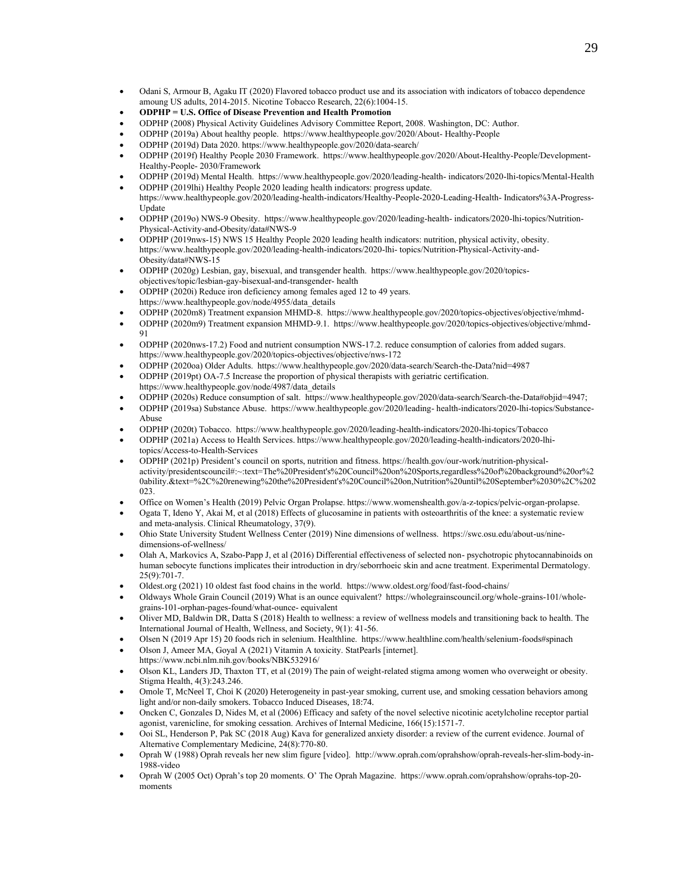- Odani S, Armour B, Agaku IT (2020) Flavored tobacco product use and its association with indicators of tobacco dependence amoung US adults, 2014-2015. Nicotine Tobacco Research, 22(6):1004-15.
- **ODPHP = U.S. Office of Disease Prevention and Health Promotion**
- ODPHP (2008) Physical Activity Guidelines Advisory Committee Report, 2008. Washington, DC: Author.
- ODPHP (2019a) About healthy people. https:/[/www.healthypeople.gov/2020/About-](http://www.healthypeople.gov/2020/About-) Healthy-People
- ODPHP (2019d) Data 2020. https:/[/www.healthypeople.gov/2020/data-search/](http://www.healthypeople.gov/2020/data-search/)
- ODPHP (2019f) Healthy People 2030 Framework. https:[//www.healthypeople.gov/2020/About-Healthy-People/Development-](http://www.healthypeople.gov/2020/About-Healthy-People/Development-Healthy-People-)[Healthy-People-](http://www.healthypeople.gov/2020/About-Healthy-People/Development-Healthy-People-) 2030/Framework
- ODPHP (2019d) Mental Health. https:/[/www.healthypeople.gov/2020/leading-health-](http://www.healthypeople.gov/2020/leading-health-) indicators/2020-lhi-topics/Mental-Health • ODPHP (2019lhi) Healthy People 2020 leading health indicators: progress update.
- https:[//www.healthypeople.gov/2020/leading-health-indicators/Healthy-People-2020-Leading-Health-](http://www.healthypeople.gov/2020/leading-health-indicators/Healthy-People-2020-Leading-Health-) Indicators%3A-Progress-Update
- ODPHP (2019o) NWS-9 Obesity. https:/[/www.healthypeople.gov/2020/leading-health-](http://www.healthypeople.gov/2020/leading-health-) indicators/2020-lhi-topics/Nutrition-Physical-Activity-and-Obesity/data#NWS-9
- ODPHP (2019nws-15) NWS 15 Healthy People 2020 leading health indicators: nutrition, physical activity, obesity. https:[//www.healthypeople.gov/2020/leading-health-indicators/2020-lhi-](http://www.healthypeople.gov/2020/leading-health-indicators/2020-lhi-) topics/Nutrition-Physical-Activity-and-Obesity/data#NWS-15
- ODPHP (2020g) Lesbian, gay, bisexual, and transgender health. https:[//www.healthypeople.gov/2020/topics](http://www.healthypeople.gov/2020/topics-objectives/topic/lesbian-gay-bisexual-and-transgender-)[objectives/topic/lesbian-gay-bisexual-and-transgender-](http://www.healthypeople.gov/2020/topics-objectives/topic/lesbian-gay-bisexual-and-transgender-) health
- ODPHP (2020i) Reduce iron deficiency among females aged 12 to 49 years. https:[//www.healthypeople.gov/node/4955/data\\_details](http://www.healthypeople.gov/node/4955/data_details)
- ODPHP (2020m8) Treatment expansion MHMD-8. https://www.healthypeople.gov/2020/topics-objectives/objective/mhmd-
- ODPHP (2020m9) Treatment expansion MHMD-9.1. https://www.healthypeople.gov/2020/topics-objectives/objective/mhmd-91
- ODPHP (2020nws-17.2) Food and nutrient consumption NWS-17.2. reduce consumption of calories from added sugars. https://www.healthypeople.gov/2020/topics-objectives/objective/nws-172
- ODPHP (2020oa) Older Adults. https://www.healthypeople.gov/2020/data-search/Search-the-Data?nid=4987
- ODPHP (2019pt) OA-7.5 Increase the proportion of physical therapists with geriatric certification.
- https:[//www.healthypeople.gov/node/4987/data\\_details](http://www.healthypeople.gov/node/4987/data_details)
- ODPHP (2020s) Reduce consumption of salt. https:/[/www.healthypeople.gov/2020/data-search/Search-the-Data#objid=4947;](http://www.healthypeople.gov/2020/data-search/Search-the-Data#objid%3D4947%3B)
- ODPHP (2019sa) Substance Abuse. https:[//www.healthypeople.gov/2020/leading-](http://www.healthypeople.gov/2020/leading-) health-indicators/2020-lhi-topics/Substance-Abuse
- ODPHP (2020t) Tobacco. https://www.healthypeople.gov/2020/leading-health-indicators/2020-lhi-topics/Tobacco
- ODPHP (2021a) Access to Health Services. https://www.healthypeople.gov/2020/leading-health-indicators/2020-lhitopics/Access-to-Health-Services
- ODPHP (2021p) President's council on sports, nutrition and fitness. https://health.gov/our-work/nutrition-physicalactivity/presidentscouncil#:~:text=The%20President's%20Council%20on%20Sports,regardless%20of%20background%20or%2 0ability.&text=%2C%20renewing%20the%20President's%20Council%20on,Nutrition%20until%20September%2030%2C%202 023.
- Office on Women's Health (2019) Pelvic Organ Prolapse. https:/[/www.womenshealth.gov/a-z-topics/pelvic-organ-prolapse.](http://www.womenshealth.gov/a-z-topics/pelvic-organ-prolapse)
- Ogata T, Ideno Y, Akai M, et al (2018) Effects of glucosamine in patients with osteoarthritis of the knee: a systematic review and meta-analysis. Clinical Rheumatology, 37(9).
- Ohio State University Student Wellness Center (2019) Nine dimensions of wellness. https://swc.osu.edu/about-us/ninedimensions-of-wellness/
- Olah A, Markovics A, Szabo-Papp J, et al (2016) Differential effectiveness of selected non- psychotropic phytocannabinoids on human sebocyte functions implicates their introduction in dry/seborrhoeic skin and acne treatment. Experimental Dermatology.  $25(9) \cdot 701 - 7$
- Oldest.org (2021) 10 oldest fast food chains in the world. https://www.oldest.org/food/fast-food-chains/
- Oldways Whole Grain Council (2019) What is an ounce equivalent? https://wholegrainscouncil.org/whole-grains-101/wholegrains-101-orphan-pages-found/what-ounce- equivalent
- Oliver MD, Baldwin DR, Datta S (2018) Health to wellness: a review of wellness models and transitioning back to health. The International Journal of Health, Wellness, and Society, 9(1): 41-56.
- Olsen N (2019 Apr 15) 20 foods rich in selenium. Healthline. https://www.healthline.com/health/selenium-foods#spinach
- Olson J, Ameer MA, Goyal A (2021) Vitamin A toxicity. StatPearls [internet]. https://www.ncbi.nlm.nih.gov/books/NBK532916/
- Olson KL, Landers JD, Thaxton TT, et al (2019) The pain of weight-related stigma among women who overweight or obesity. Stigma Health, 4(3):243.246.
- Omole T, McNeel T, Choi K (2020) Heterogeneity in past-year smoking, current use, and smoking cessation behaviors among light and/or non-daily smokers. Tobacco Induced Diseases, 18:74.
- Oncken C, Gonzales D, Nides M, et al (2006) Efficacy and safety of the novel selective nicotinic acetylcholine receptor partial agonist, varenicline, for smoking cessation. Archives of Internal Medicine, 166(15):1571-7.
- Ooi SL, Henderson P, Pak SC (2018 Aug) Kava for generalized anxiety disorder: a review of the current evidence. Journal of Alternative Complementary Medicine, 24(8):770-80.
- Oprah W (1988) Oprah reveals her new slim figure [video]. [http://www.oprah.com/oprahshow/oprah-reveals-her-slim-body-in-](http://www.oprah.com/oprahshow/oprah-reveals-her-slim-body-in-1988-video)[1988-video](http://www.oprah.com/oprahshow/oprah-reveals-her-slim-body-in-1988-video)
- Oprah W (2005 Oct) Oprah's top 20 moments. O' The Oprah Magazine. https://[www.oprah.com/oprahshow/oprahs-top-20](http://www.oprah.com/oprahshow/oprahs-top-20-moments) [moments](http://www.oprah.com/oprahshow/oprahs-top-20-moments)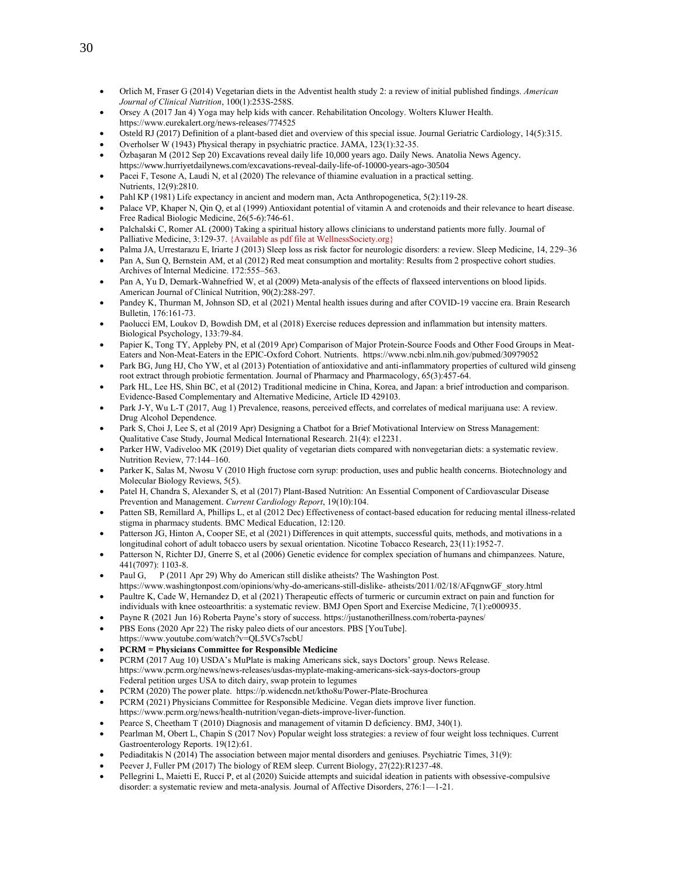- Orlich M, Fraser G (2014) Vegetarian diets in the Adventist health study 2: a review of initial published findings. *American Journal of Clinical Nutrition*, 100(1):253S-258S.
- Orsey A (2017 Jan 4) Yoga may help kids with cancer. Rehabilitation Oncology. Wolters Kluwer Health. https://www.eurekalert.org/news-releases/774525
- Osteld RJ (2017) Definition of a plant-based diet and overview of this special issue. Journal Geriatric Cardiology, 14(5):315.
- Overholser W (1943) Physical therapy in psychiatric practice. JAMA, 123(1):32-35.
- Özbaşaran M (2012 Sep 20) Excavations reveal daily life 10,000 years ago. Daily News. Anatolia News Agency.
- https://www.hurriyetdailynews.com/excavations-reveal-daily-life-of-10000-years-ago-30504 Pacei F, Tesone A, Laudi N, et al (2020) The relevance of thiamine evaluation in a practical setting.
- Nutrients, 12(9):2810.
- Pahl KP (1981) Life expectancy in ancient and modern man, Acta Anthropogenetica, 5(2):119-28.
- Palace VP, Khaper N, Qin Q, et al (1999) Antioxidant potential of vitamin A and crotenoids and their relevance to heart disease. Free Radical Biologic Medicine, 26(5-6):746-61.
- Palchalski C, Romer AL (2000) Taking a spiritual history allows clinicians to understand patients more fully. Journal of Palliative Medicine, 3:129-37. {Available as pdf file at WellnessSociety.org}
- Palma JA, Urrestarazu E, Iriarte J (2013) Sleep loss as risk factor for neurologic disorders: a review. Sleep Medicine, 14, 229–36
- Pan A, Sun Q, Bernstein AM, et al (2012) Red meat consumption and mortality: Results from 2 prospective cohort studies. Archives of Internal Medicine. 172:555–563.
- Pan A, Yu D, Demark-Wahnefried W, et al (2009) Meta-analysis of the effects of flaxseed interventions on blood lipids. American Journal of Clinical Nutrition, 90(2):288-297.
- Pandey K, Thurman M, Johnson SD, et al (2021) Mental health issues during and after COVID-19 vaccine era. Brain Research Bulletin, 176:161-73.
- Paolucci EM, Loukov D, Bowdish DM, et al (2018) Exercise reduces depression and inflammation but intensity matters. Biological Psychology, 133:79-84.
- Papier K, Tong TY, Appleby PN, et al (2019 Apr) Comparison of Major Protein-Source Foods and Other Food Groups in Meat-Eaters and Non-Meat-Eaters in the EPIC-Oxford Cohort. Nutrients. https:[//www.ncbi.nlm.nih.gov/pubmed/30979052](http://www.ncbi.nlm.nih.gov/pubmed/30979052)
- Park BG, Jung HJ, Cho YW, et al (2013) Potentiation of antioxidative and anti-inflammatory properties of cultured wild ginseng root extract through probiotic fermentation. Journal of Pharmacy and Pharmacology, 65(3):457-64.
- Park HL, Lee HS, Shin BC, et al (2012) Traditional medicine in China, Korea, and Japan: a brief introduction and comparison. Evidence-Based Complementary and Alternative Medicine, Article ID 429103.
- Park J-Y, Wu L-T (2017, Aug 1) Prevalence, reasons, perceived effects, and correlates of medical marijuana use: A review. Drug Alcohol Dependence.
- Park S, Choi J, Lee S, et al (2019 Apr) Designing a Chatbot for a Brief Motivational Interview on Stress Management: Qualitative Case Study, Journal Medical International Research. 21(4): e12231.
- Parker HW, Vadiveloo MK (2019) Diet quality of vegetarian diets compared with nonvegetarian diets: a systematic review. Nutrition Review, 77:144–160.
- Parker K, Salas M, Nwosu V (2010 High fructose corn syrup: production, uses and public health concerns. Biotechnology and Molecular Biology Reviews, 5(5).
- Patel H, Chandra S, Alexander S, et al (2017) Plant-Based Nutrition: An Essential Component of Cardiovascular Disease Prevention and Management. *Current Cardiology Report*, 19(10):104.
- Patten SB, Remillard A, Phillips L, et al (2012 Dec) Effectiveness of contact-based education for reducing mental illness-related stigma in pharmacy students. BMC Medical Education, 12:120.
- Patterson JG, Hinton A, Cooper SE, et al (2021) Differences in quit attempts, successful quits, methods, and motivations in a longitudinal cohort of adult tobacco users by sexual orientation. Nicotine Tobacco Research, 23(11):1952-7.
- Patterson N, Richter DJ, Gnerre S, et al (2006) Genetic evidence for complex speciation of humans and chimpanzees. Nature, 441(7097): 1103-8.
- Paul G, P (2011 Apr 29) Why do American still dislike atheists? The Washington Post. https:[//www.washingtonpost.com/opinions/why-do-americans-still-dislike-](http://www.washingtonpost.com/opinions/why-do-americans-still-dislike-) atheists/2011/02/18/AFqgnwGF\_story.html
- Paultre K, Cade W, Hernandez D, et al (2021) Therapeutic effects of turmeric or curcumin extract on pain and function for individuals with knee osteoarthritis: a systematic review. BMJ Open Sport and Exercise Medicine, 7(1):e000935.
- Payne R (2021 Jun 16) Roberta Payne's story of success. https://justanotherillness.com/roberta-paynes/
- PBS Eons (2020 Apr 22) The risky paleo diets of our ancestors. PBS [YouTube].
- https://www.youtube.com/watch?v=QL5VCs7scbU
- **PCRM = Physicians Committee for Responsible Medicine**
- PCRM (2017 Aug 10) USDA's MuPlate is making Americans sick, says Doctors' group. News Release. <https://www.pcrm.org/news/news-releases/usdas-myplate-making-americans-sick-says-doctors-group> Federal petition urges USA to ditch dairy, swap protein to legumes
- PCRM (2020) The power plate. https://p.widencdn.net/ktho8u/Power-Plate-Brochurea
- PCRM (2021) Physicians Committee for Responsible Medicine. Vegan diets improve liver function.
- https://www.pcrm.org/news/health-nutrition/vegan-diets-improve-liver-function.
- Pearce S, Cheetham T (2010) Diagnosis and management of vitamin D deficiency. BMJ, 340(1).
- Pearlman M, Obert L, Chapin S (2017 Nov) Popular weight loss strategies: a review of four weight loss techniques. Current Gastroenterology Reports. 19(12):61.
- Pediaditakis N (2014) The association between major mental disorders and geniuses. Psychiatric Times, 31(9):
- Peever J, Fuller PM (2017) The biology of REM sleep. Current Biology, 27(22):R1237-48.
- Pellegrini L, Maietti E, Rucci P, et al (2020) Suicide attempts and suicidal ideation in patients with obsessive-compulsive disorder: a systematic review and meta-analysis. Journal of Affective Disorders, 276:1—1-21.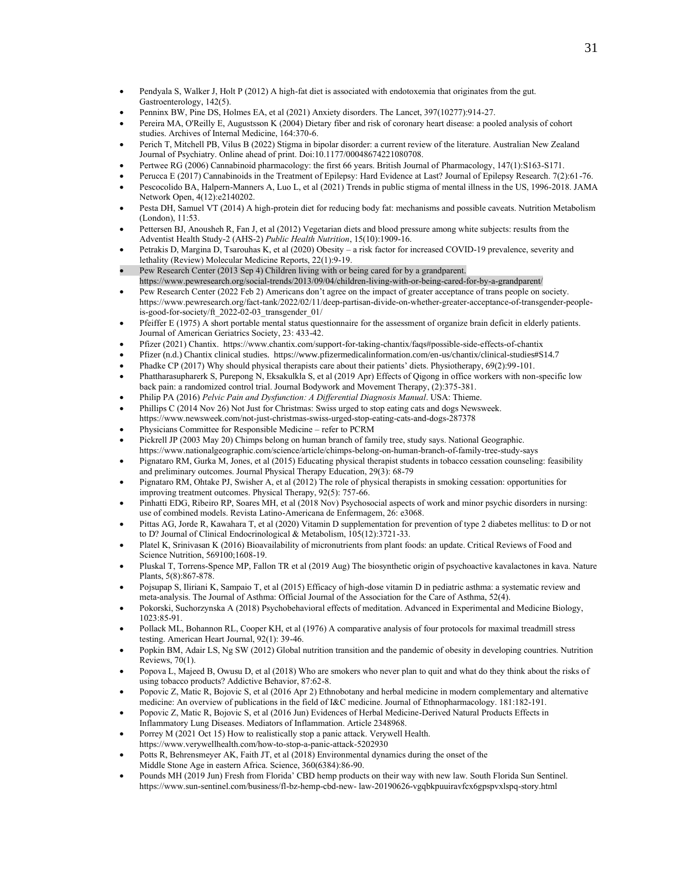- Pendyala S, Walker J, Holt P (2012) A high-fat diet is associated with endotoxemia that originates from the gut. Gastroenterology, 142(5).
- Penninx BW, Pine DS, Holmes EA, et al (2021) Anxiety disorders. The Lancet, 397(10277):914-27.
- Pereira MA, O'Reilly E, Augustsson K (2004) Dietary fiber and risk of coronary heart disease: a pooled analysis of cohort studies. Archives of Internal Medicine, 164:370-6.
- Perich T, Mitchell PB, Vilus B (2022) Stigma in bipolar disorder: a current review of the literature. Australian New Zealand Journal of Psychiatry. Online ahead of print. Doi:10.1177/00048674221080708.
- Pertwee RG (2006) Cannabinoid pharmacology: the first 66 years. British Journal of Pharmacology, 147(1):S163-S171.
- Perucca E (2017) Cannabinoids in the Treatment of Epilepsy: Hard Evidence at Last? Journal of Epilepsy Research. 7(2):61-76. • Pescocolido BA, Halpern-Manners A, Luo L, et al (2021) Trends in public stigma of mental illness in the US, 1996-2018. JAMA Network Open, 4(12):e2140202.
- Pesta DH, Samuel VT (2014) A high-protein diet for reducing body fat: mechanisms and possible caveats. Nutrition Metabolism (London), 11:53.
- Pettersen BJ, Anousheh R, Fan J, et al (2012) Vegetarian diets and blood pressure among white subjects: results from the Adventist Health Study-2 (AHS-2) *Public Health Nutrition*, 15(10):1909-16.
- Petrakis D, Margina D, Tsarouhas K, et al (2020) Obesity a risk factor for increased COVID-19 prevalence, severity and lethality (Review) Molecular Medicine Reports, 22(1):9-19.
- Pew Research Center (2013 Sep 4) Children living with or being cared for by a grandparent. https://www.pewresearch.org/social-trends/2013/09/04/children-living-with-or-being-cared-for-by-a-grandparent/
- Pew Research Center (2022 Feb 2) Americans don't agree on the impact of greater acceptance of trans people on society. [https://www.pewresearch.org/fact-tank/2022/02/11/deep-partisan-divide-on-whether-greater-acceptance-of-transgender-people](https://www.pewresearch.org/fact-tank/2022/02/11/deep-partisan-divide-on-whether-greater-acceptance-of-transgender-people-is-good-for-society/ft_2022-02-03_transgender_01/)[is-good-for-society/ft\\_2022-02-03\\_transgender\\_01/](https://www.pewresearch.org/fact-tank/2022/02/11/deep-partisan-divide-on-whether-greater-acceptance-of-transgender-people-is-good-for-society/ft_2022-02-03_transgender_01/)
- Pfeiffer E (1975) A short portable mental status questionnaire for the assessment of organize brain deficit in elderly patients. Journal of American Geriatrics Society, 23: 433-42.
- Pfizer (2021) Chantix. https://www.chantix.com/support-for-taking-chantix/faqs#possible-side-effects-of-chantix
- Pfizer (n.d.) Chantix clinical studies. https://www.pfizermedicalinformation.com/en-us/chantix/clinical-studies#S14.7
- Phadke CP (2017) Why should physical therapists care about their patients' diets. Physiotherapy, 69(2):99-101.
- Phattharasupharerk S, Purepong N, Eksakulkla S, et al (2019 Apr) Effects of Qigong in office workers with non-specific low back pain: a randomized control trial. Journal Bodywork and Movement Therapy, (2):375-381.
- Philip PA (2016) *Pelvic Pain and Dysfunction: A Differential Diagnosis Manual*. USA: Thieme.
- Phillips C (2014 Nov 26) Not Just for Christmas: Swiss urged to stop eating cats and dogs Newsweek.
- <https://www.newsweek.com/not-just-christmas-swiss-urged-stop-eating-cats-and-dogs-287378>
- Physicians Committee for Responsible Medicine refer to PCRM
- Pickrell JP (2003 May 20) Chimps belong on human branch of family tree, study says. National Geographic. https://www.nationalgeographic.com/science/article/chimps-belong-on-human-branch-of-family-tree-study-says
- Pignataro RM, Gurka M, Jones, et al (2015) Educating physical therapist students in tobacco cessation counseling: feasibility and preliminary outcomes. Journal Physical Therapy Education, 29(3): 68-79
- Pignataro RM, Ohtake PJ, Swisher A, et al (2012) The role of physical therapists in smoking cessation: opportunities for improving treatment outcomes. Physical Therapy, 92(5): 757-66.
- Pinhatti EDG, Ribeiro RP, Soares MH, et al (2018 Nov) Psychosocial aspects of work and minor psychic disorders in nursing: use of combined models. Revista Latino-Americana de Enfermagem, 26: e3068.
- Pittas AG, Jorde R, Kawahara T, et al (2020) Vitamin D supplementation for prevention of type 2 diabetes mellitus: to D or not to D? Journal of Clinical Endocrinological & Metabolism, 105(12):3721-33.
- Platel K, Srinivasan K (2016) Bioavailability of micronutrients from plant foods: an update. Critical Reviews of Food and Science Nutrition, 569100;1608-19.
- Pluskal T, Torrens-Spence MP, Fallon TR et al (2019 Aug) The biosynthetic origin of psychoactive kavalactones in kava. Nature Plants, 5(8):867-878.
- Pojsupap S, Iliriani K, Sampaio T, et al (2015) Efficacy of high-dose vitamin D in pediatric asthma: a systematic review and meta-analysis. The Journal of Asthma: Official Journal of the Association for the Care of Asthma, 52(4).
- Pokorski, Suchorzynska A (2018) Psychobehavioral effects of meditation. Advanced in Experimental and Medicine Biology, 1023:85-91.
- Pollack ML, Bohannon RL, Cooper KH, et al (1976) A comparative analysis of four protocols for maximal treadmill stress testing. American Heart Journal, 92(1): 39-46.
- Popkin BM, Adair LS, Ng SW (2012) Global nutrition transition and the pandemic of obesity in developing countries. Nutrition Reviews, 70(1).
- Popova L, Majeed B, Owusu D, et al (2018) Who are smokers who never plan to quit and what do they think about the risks of using tobacco products? Addictive Behavior, 87:62-8.
- Popovic Z, Matic R, Bojovic S, et al (2016 Apr 2) Ethnobotany and herbal medicine in modern complementary and alternative medicine: An overview of publications in the field of I&C medicine. Journal of Ethnopharmacology. 181:182-191.
- Popovic Z, Matic R, Bojovic S, et al (2016 Jun) Evidences of Herbal Medicine-Derived Natural Products Effects in Inflammatory Lung Diseases. Mediators of Inflammation. Article 2348968.
- Porrey M (2021 Oct 15) How to realistically stop a panic attack. Verywell Health.
- https://www.verywellhealth.com/how-to-stop-a-panic-attack-5202930
- Potts R, Behrensmeyer AK, Faith JT, et al (2018) Environmental dynamics during the onset of the Middle Stone Age in eastern Africa. Science, 360(6384):86-90.
- Pounds MH (2019 Jun) Fresh from Florida' CBD hemp products on their way with new law. South Florida Sun Sentinel. https:[//www.sun-sentinel.com/business/fl-bz-hemp-cbd-new-](http://www.sun-sentinel.com/business/fl-bz-hemp-cbd-new-) law-20190626-vgqbkpuuiravfcx6gpspvxlspq-story.html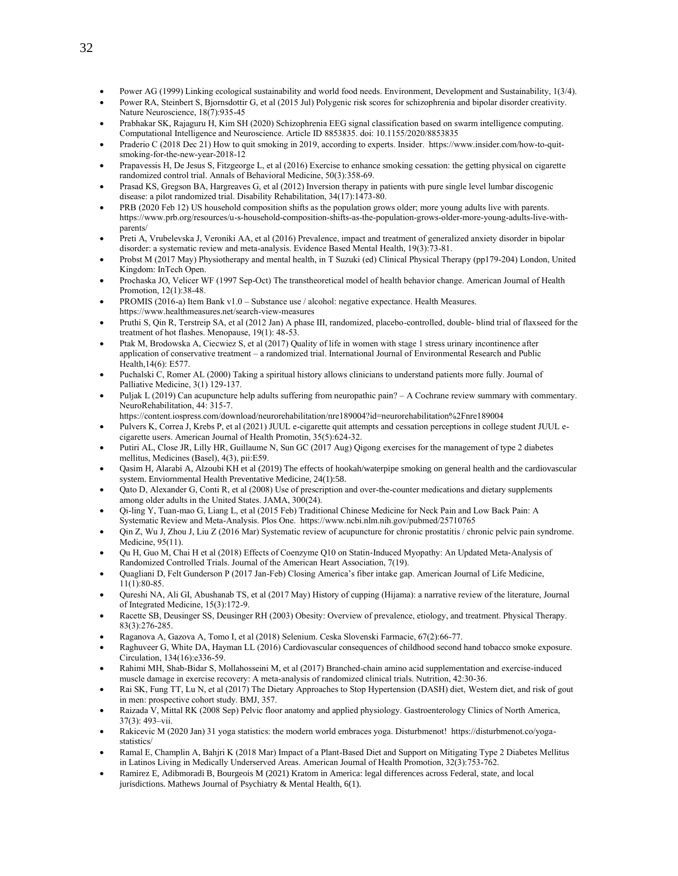- Power AG (1999) Linking ecological sustainability and world food needs. Environment, Development and Sustainability, 1(3/4).
- Power RA, Steinbert S, Bjornsdottir G, et al (2015 Jul) Polygenic risk scores for schizophrenia and bipolar disorder creativity. Nature Neuroscience, 18(7):935-45
- Prabhakar SK, Rajaguru H, Kim SH (2020) Schizophrenia EEG signal classification based on swarm intelligence computing. Computational Intelligence and Neuroscience. Article ID 8853835. doi: 10.1155/2020/8853835
- Praderio C (2018 Dec 21) How to quit smoking in 2019, according to experts. Insider. https://www.insider.com/how-to-quitsmoking-for-the-new-year-2018-12
- Prapavessis H, De Jesus S, Fitzgeorge L, et al (2016) Exercise to enhance smoking cessation: the getting physical on cigarette randomized control trial. Annals of Behavioral Medicine, 50(3):358-69.
- Prasad KS, Gregson BA, Hargreaves G, et al (2012) Inversion therapy in patients with pure single level lumbar discogenic disease: a pilot randomized trial. Disability Rehabilitation, 34(17):1473-80.
- PRB (2020 Feb 12) US household composition shifts as the population grows older; more young adults live with parents. https://www.prb.org/resources/u-s-household-composition-shifts-as-the-population-grows-older-more-young-adults-live-withparents/
- Preti A, Vrubelevska J, Veroniki AA, et al (2016) Prevalence, impact and treatment of generalized anxiety disorder in bipolar disorder: a systematic review and meta-analysis. Evidence Based Mental Health, 19(3):73-81.
- Probst M (2017 May) Physiotherapy and mental health, in T Suzuki (ed) Clinical Physical Therapy (pp179-204) London, United Kingdom: InTech Open.
- Prochaska JO, Velicer WF (1997 Sep-Oct) The transtheoretical model of health behavior change. American Journal of Health Promotion, 12(1):38-48.
- PROMIS (2016-a) Item Bank v1.0 Substance use / alcohol: negative expectance. Health Measures. https[://www.healthmeasures.net/search-view-measures](http://www.healthmeasures.net/search-view-measures)
- Pruthi S, Qin R, Terstreip SA, et al (2012 Jan) A phase III, randomized, placebo-controlled, double- blind trial of flaxseed for the treatment of hot flashes. Menopause, 19(1): 48-53.
- Ptak M, Brodowska A, Ciecwiez S, et al (2017) Quality of life in women with stage 1 stress urinary incontinence after application of conservative treatment – a randomized trial. International Journal of Environmental Research and Public Health,14(6): E577.
- Puchalski C, Romer AL (2000) Taking a spiritual history allows clinicians to understand patients more fully. Journal of Palliative Medicine, 3(1) 129-137.
- Puljak L (2019) Can acupuncture help adults suffering from neuropathic pain? A Cochrane review summary with commentary. NeuroRehabilitation, 44: 315-7.
- https://content.iospress.com/download/neurorehabilitation/nre189004?id=neurorehabilitation%2Fnre189004 • Pulvers K, Correa J, Krebs P, et al (2021) JUUL e-cigarette quit attempts and cessation perceptions in college student JUUL e-
- cigarette users. American Journal of Health Promotin, 35(5):624-32. • Putiri AL, Close JR, Lilly HR, Guillaume N, Sun GC (2017 Aug) Qigong exercises for the management of type 2 diabetes mellitus, Medicines (Basel), 4(3), pii:E59.
- Qasim H, Alarabi A, Alzoubi KH et al (2019) The effects of hookah/waterpipe smoking on general health and the cardiovascular system. Enviornmental Health Preventative Medicine, 24(1):58.
- Qato D, Alexander G, Conti R, et al (2008) Use of prescription and over-the-counter medications and dietary supplements among older adults in the United States. JAMA, 300(24).
- Qi-ling Y, Tuan-mao G, Liang L, et al (2015 Feb) Traditional Chinese Medicine for Neck Pain and Low Back Pain: A Systematic Review and Meta-Analysis. Plos One. https:[//www.ncbi.nlm.nih.gov/pubmed/25710765](http://www.ncbi.nlm.nih.gov/pubmed/25710765)
- Qin Z, Wu J, Zhou J, Liu Z (2016 Mar) Systematic review of acupuncture for chronic prostatitis / chronic pelvic pain syndrome. Medicine, 95(11).
- Qu H, Guo M, Chai H et al (2018) Effects of Coenzyme Q10 on Statin‐Induced Myopathy: An Updated Meta‐Analysis of Randomized Controlled Trials. Journal of the American Heart Association, 7(19).
- Quagliani D, Felt Gunderson P (2017 Jan-Feb) Closing America's fiber intake gap. American Journal of Life Medicine, 11(1):80-85.
- Qureshi NA, Ali GI, Abushanab TS, et al (2017 May) History of cupping (Hijama): a narrative review of the literature, Journal of Integrated Medicine, 15(3):172-9.
- Racette SB, Deusinger SS, Deusinger RH (2003) Obesity: Overview of prevalence, etiology, and treatment. Physical Therapy. 83(3):276-285.
- Raganova A, Gazova A, Tomo I, et al (2018) Selenium. Ceska Slovenski Farmacie, 67(2):66-77.
- Raghuveer G, White DA, Hayman LL (2016) Cardiovascular consequences of childhood second hand tobacco smoke exposure. Circulation, 134(16):e336-59.
- Rahimi MH, Shab-Bidar S, Mollahosseini M, et al (2017) Branched-chain amino acid supplementation and exercise-induced muscle damage in exercise recovery: A meta-analysis of randomized clinical trials. Nutrition, 42:30-36.
- Rai SK, Fung TT, Lu N, et al (2017) The Dietary Approaches to Stop Hypertension (DASH) diet, Western diet, and risk of gout in men: prospective cohort study. BMJ, 357.
- Raizada V, Mittal RK (2008 Sep) Pelvic floor anatomy and applied physiology. Gastroenterology Clinics of North America, 37(3): 493–vii.
- Rakicevic M (2020 Jan) 31 yoga statistics: the modern world embraces yoga. Disturbmenot! https://disturbmenot.co/yogastatistics/
- Ramal E, Champlin A, Bahjri K (2018 Mar) Impact of a Plant-Based Diet and Support on Mitigating Type 2 Diabetes Mellitus in Latinos Living in Medically Underserved Areas. American Journal of Health Promotion, 32(3):753-762.
- Ramirez E, Adibmoradi B, Bourgeois M (2021) Kratom in America: legal differences across Federal, state, and local jurisdictions. Mathews Journal of Psychiatry & Mental Health, 6(1).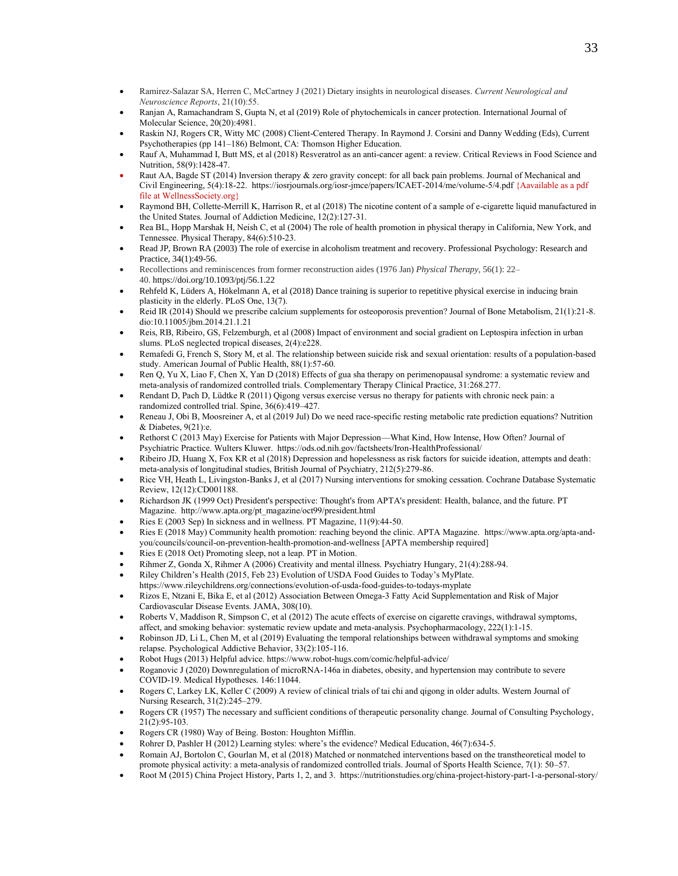- Ramirez-Salazar SA, Herren C, McCartney J (2021) Dietary insights in neurological diseases. *Current Neurological and Neuroscience Reports*, 21(10):55.
- Ranjan A, Ramachandram S, Gupta N, et al (2019) Role of phytochemicals in cancer protection. International Journal of Molecular Science, 20(20):4981.
- Raskin NJ, Rogers CR, Witty MC (2008) Client-Centered Therapy. In Raymond J. Corsini and Danny Wedding (Eds), Current Psychotherapies (pp 141–186) Belmont, CA: Thomson Higher Education.
- Rauf A, Muhammad I, Butt MS, et al (2018) Resveratrol as an anti-cancer agent: a review. Critical Reviews in Food Science and Nutrition, 58(9):1428-47.
- Raut AA, Bagde ST (2014) Inversion therapy & zero gravity concept: for all back pain problems. Journal of Mechanical and Civil Engineering, 5(4):18-22.<https://iosrjournals.org/iosr-jmce/papers/ICAET-2014/me/volume-5/4.pdf> {Aavailable as a pdf file at WellnessSociety.org}
- Raymond BH, Collette-Merrill K, Harrison R, et al (2018) The nicotine content of a sample of e-cigarette liquid manufactured in the United States. Journal of Addiction Medicine, 12(2):127-31.
- Rea BL, Hopp Marshak H, Neish C, et al (2004) The role of health promotion in physical therapy in California, New York, and Tennessee. Physical Therapy, 84(6):510-23.
- Read JP, Brown RA (2003) The role of exercise in alcoholism treatment and recovery. Professional Psychology: Research and Practice, 34(1):49-56.
- Recollections and reminiscences from former reconstruction aides (1976 Jan) *Physical Therapy*, 56(1): 22– 40. <https://doi.org/10.1093/ptj/56.1.22>
- Rehfeld K, Lüders A, Hökelmann A, et al (2018) Dance training is superior to repetitive physical exercise in inducing brain plasticity in the elderly. PLoS One, 13(7).
- Reid IR (2014) Should we prescribe calcium supplements for osteoporosis prevention? Journal of Bone Metabolism, 21(1):21-8. dio:10.11005/jbm.2014.21.1.21
- Reis, RB, Ribeiro, GS, Felzemburgh, et al (2008) Impact of environment and social gradient on Leptospira infection in urban slums. PLoS neglected tropical diseases, 2(4):e228.
- Remafedi G, French S, Story M, et al. The relationship between suicide risk and sexual orientation: results of a population-based study. American Journal of Public Health, 88(1):57-60.
- Ren Q, Yu X, Liao F, Chen X, Yan D (2018) Effects of gua sha therapy on perimenopausal syndrome: a systematic review and meta-analysis of randomized controlled trials. Complementary Therapy Clinical Practice, 31:268.277.
- Rendant D, Pach D, Lüdtke R (2011) Qigong versus exercise versus no therapy for patients with chronic neck pain: a randomized controlled trial. Spine, 36(6):419–427.
- Reneau J, Obi B, Moosreiner A, et al (2019 Jul) Do we need race-specific resting metabolic rate prediction equations? Nutrition & Diabetes, 9(21):e.
- Rethorst C (2013 May) Exercise for Patients with Major Depression—What Kind, How Intense, How Often? Journal of Psychiatric Practice. Wulters Kluwer. https://ods.od.nih.gov/factsheets/Iron-HealthProfessional/
- Ribeiro JD, Huang X, Fox KR et al (2018) Depression and hopelessness as risk factors for suicide ideation, attempts and death: meta-analysis of longitudinal studies, British Journal of Psychiatry, 212(5):279-86.
- Rice VH, Heath L, Livingston-Banks J, et al (2017) Nursing interventions for smoking cessation. Cochrane Database Systematic Review, 12(12):CD001188.
- Richardson JK (1999 Oct) President's perspective: Thought's from APTA's president: Health, balance, and the future. PT Magazine. [http://www.apta.org/pt\\_magazine/oct99/president.html](http://www.apta.org/pt_magazine/oct99/president.html)
- Ries E (2003 Sep) In sickness and in wellness. PT Magazine, 11(9):44-50.
- Ries E (2018 May) Community health promotion: reaching beyond the clinic. APTA Magazine. [https://www.apta.org/apta-and](https://www.apta.org/apta-and-you/councils/council-on-prevention-health-promotion-and-wellness)[you/councils/council-on-prevention-health-promotion-and-wellness](https://www.apta.org/apta-and-you/councils/council-on-prevention-health-promotion-and-wellness) [APTA membership required]
- Ries E (2018 Oct) Promoting sleep, not a leap. PT in Motion.
- Rihmer Z, Gonda X, Rihmer A (2006) Creativity and mental illness. Psychiatry Hungary, 21(4):288-94.
- Riley Children's Health (2015, Feb 23) Evolution of USDA Food Guides to Today's MyPlate.
- <https://www.rileychildrens.org/connections/evolution-of-usda-food-guides-to-todays-myplate>
- Rizos E, Ntzani E, Bika E, et al (2012) Association Between Omega-3 Fatty Acid Supplementation and Risk of Major Cardiovascular Disease Events. JAMA, 308(10).
- Roberts V, Maddison R, Simpson C, et al (2012) The acute effects of exercise on cigarette cravings, withdrawal symptoms, affect, and smoking behavior: systematic review update and meta-analysis. Psychopharmacology, 222(1):1-15.
- Robinson JD, Li L, Chen M, et al (2019) Evaluating the temporal relationships between withdrawal symptoms and smoking relapse. Psychological Addictive Behavior, 33(2):105-116.
- Robot Hugs (2013) Helpful advice. https://www.robot-hugs.com/comic/helpful-advice/
- Roganovic J (2020) Downregulation of microRNA-146a in diabetes, obesity, and hypertension may contribute to severe COVID-19. Medical Hypotheses. 146:11044.
- Rogers C, Larkey LK, Keller C (2009) A review of clinical trials of tai chi and qigong in older adults. Western Journal of Nursing Research, 31(2):245–279.
- Rogers CR (1957) The necessary and sufficient conditions of therapeutic personality change. Journal of Consulting Psychology, 21(2):95-103.
- Rogers CR (1980) Way of Being. Boston: Houghton Mifflin.
- Rohrer D, Pashler H (2012) Learning styles: where's the evidence? Medical Education, 46(7):634-5.
- Romain AJ, Bortolon C, Gourlan M, et al (2018) Matched or nonmatched interventions based on the transtheoretical model to promote physical activity: a meta-analysis of randomized controlled trials. Journal of Sports Health Science, 7(1): 50–57.
- Root M (2015) China Project History, Parts 1, 2, and 3. https://nutritionstudies.org/china-project-history-part-1-a-personal-story/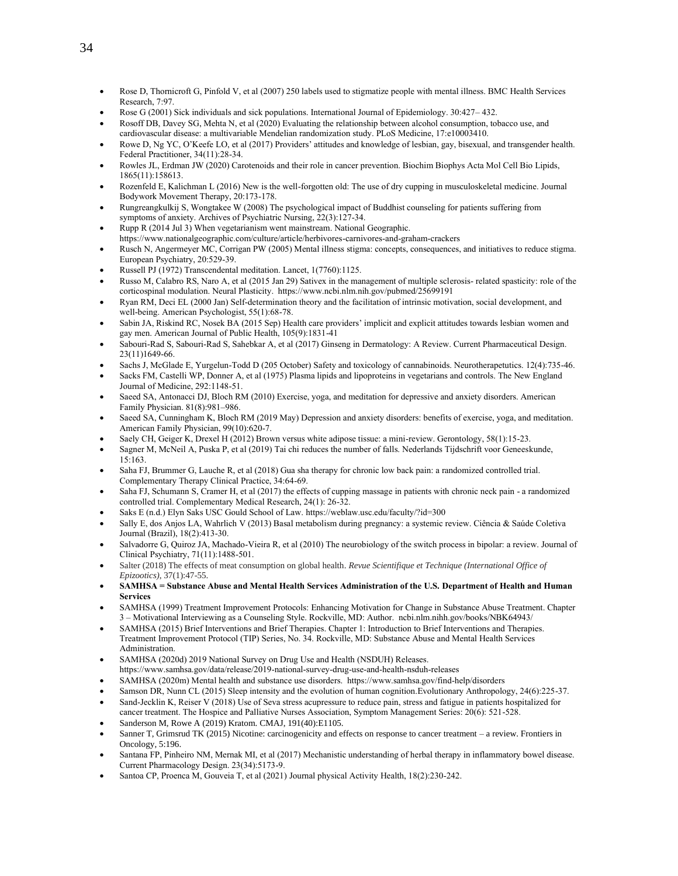- Rose D, Thornicroft G, Pinfold V, et al (2007) 250 labels used to stigmatize people with mental illness. BMC Health Services Research, 7:97.
- Rose G (2001) Sick individuals and sick populations. International Journal of Epidemiology. 30:427– 432.
- Rosoff DB, Davey SG, Mehta N, et al (2020) Evaluating the relationship between alcohol consumption, tobacco use, and cardiovascular disease: a multivariable Mendelian randomization study. PLoS Medicine, 17:e10003410.
- Rowe D, Ng YC, O'Keefe LO, et al (2017) Providers' attitudes and knowledge of lesbian, gay, bisexual, and transgender health. Federal Practitioner, 34(11):28-34.
- Rowles JL, Erdman JW (2020) Carotenoids and their role in cancer prevention. Biochim Biophys Acta Mol Cell Bio Lipids, 1865(11):158613.
- Rozenfeld E, Kalichman L (2016) New is the well-forgotten old: The use of dry cupping in musculoskeletal medicine. Journal Bodywork Movement Therapy, 20:173-178.
- Rungreangkulkij S, Wongtakee W (2008) The psychological impact of Buddhist counseling for patients suffering from symptoms of anxiety. Archives of Psychiatric Nursing, 22(3):127-34.
- Rupp R (2014 Jul 3) When vegetarianism went mainstream. National Geographic. https://www.nationalgeographic.com/culture/article/herbivores-carnivores-and-graham-crackers
- Rusch N, Angermeyer MC, Corrigan PW (2005) Mental illness stigma: concepts, consequences, and initiatives to reduce stigma. European Psychiatry, 20:529-39.
- Russell PJ (1972) Transcendental meditation. Lancet, 1(7760):1125.
- Russo M, Calabro RS, Naro A, et al (2015 Jan 29) Sativex in the management of multiple sclerosis- related spasticity: role of the corticospinal modulation. Neural Plasticity. https:[//www.ncbi.nlm.nih.gov/pubmed/25699191](http://www.ncbi.nlm.nih.gov/pubmed/25699191)
- Ryan RM, Deci EL (2000 Jan) Self-determination theory and the facilitation of intrinsic motivation, social development, and well-being. American Psychologist, 55(1):68-78.
- Sabin JA, Riskind RC, Nosek BA (2015 Sep) Health care providers' implicit and explicit attitudes towards lesbian women and gay men. American Journal of Public Health, 105(9):1831-41
- Sabouri-Rad S, Sabouri-Rad S, Sahebkar A, et al (2017) Ginseng in Dermatology: A Review. Current Pharmaceutical Design. 23(11)1649-66.
- Sachs J, McGlade E, Yurgelun-Todd D (205 October) Safety and toxicology of cannabinoids. Neurotherapetutics. 12(4):735-46.
- Sacks FM, Castelli WP, Donner A, et al (1975) Plasma lipids and lipoproteins in vegetarians and controls. The New England Journal of Medicine, 292:1148-51.
- Saeed SA, Antonacci DJ, Bloch RM (2010) Exercise, yoga, and meditation for depressive and anxiety disorders. American Family Physician. 81(8):981–986.
- Saeed SA, Cunningham K, Bloch RM (2019 May) Depression and anxiety disorders: benefits of exercise, yoga, and meditation. American Family Physician, 99(10):620-7.
- Saely CH, Geiger K, Drexel H (2012) Brown versus white adipose tissue: a mini-review. Gerontology, 58(1):15-23.
- Sagner M, McNeil A, Puska P, et al (2019) Tai chi reduces the number of falls. Nederlands Tijdschrift voor Geneeskunde, 15:163.
- Saha FJ, Brummer G, Lauche R, et al (2018) Gua sha therapy for chronic low back pain: a randomized controlled trial. Complementary Therapy Clinical Practice, 34:64-69.
- Saha FJ, Schumann S, Cramer H, et al (2017) the effects of cupping massage in patients with chronic neck pain a randomized controlled trial. Complementary Medical Research, 24(1): 26-32.
- Saks E (n.d.) Elyn Saks USC Gould School of Law. https://weblaw.usc.edu/faculty/?id=300
- Sally E, dos Anjos LA, Wahrlich V (2013) Basal metabolism during pregnancy: a systemic review. Ciência & Saúde Coletiva Journal (Brazil), 18(2):413-30.
- Salvadorre G, Quiroz JA, Machado-Vieira R, et al (2010) The neurobiology of the switch process in bipolar: a review. Journal of Clinical Psychiatry, 71(11):1488-501.
- Salter (2018) The effects of meat consumption on global health. *Revue Scientifique et Technique (International Office of Epizootics)*, 37(1):47-55.
- **SAMHSA = Substance Abuse and Mental Health Services Administration of the U.S. Department of Health and Human Services**
- SAMHSA (1999) Treatment Improvement Protocols: Enhancing Motivation for Change in Substance Abuse Treatment. Chapter 3 – Motivational Interviewing as a Counseling Style. Rockville, MD: Author. ncbi.nlm.nihh.gov/books/NBK64943/
- SAMHSA (2015) Brief Interventions and Brief Therapies. Chapter 1: Introduction to Brief Interventions and Therapies. Treatment Improvement Protocol (TIP) Series, No. 34. Rockville, MD: Substance Abuse and Mental Health Services Administration.
- SAMHSA (2020d) 2019 National Survey on Drug Use and Health (NSDUH) Releases.
- https:[//www.samhsa.gov/data/release/2019-national-survey-drug-use-and-health-nsduh-releases](http://www.samhsa.gov/data/release/2019-national-survey-drug-use-and-health-nsduh-releases)
- SAMHSA (2020m) Mental health and substance use disorders. https:/[/www.samhsa.gov/find-help/disorders](http://www.samhsa.gov/find-help/disorders)
- Samson DR, Nunn CL (2015) Sleep intensity and the evolution of human cognition.Evolutionary Anthropology, 24(6):225-37.
- Sand-Jecklin K, Reiser V (2018) Use of Seva stress acupressure to reduce pain, stress and fatigue in patients hospitalized for cancer treatment. The Hospice and Palliative Nurses Association, Symptom Management Series: 20(6): 521-528.
- Sanderson M, Rowe A (2019) Kratom. CMAJ, 191(40):E1105.
- Sanner T, Grimsrud TK (2015) Nicotine: carcinogenicity and effects on response to cancer treatment a review. Frontiers in Oncology, 5:196.
- Santana FP, Pinheiro NM, Mernak MI, et al (2017) Mechanistic understanding of herbal therapy in inflammatory bowel disease. Current Pharmacology Design. 23(34):5173-9.
- Santoa CP, Proenca M, Gouveia T, et al (2021) Journal physical Activity Health, 18(2):230-242.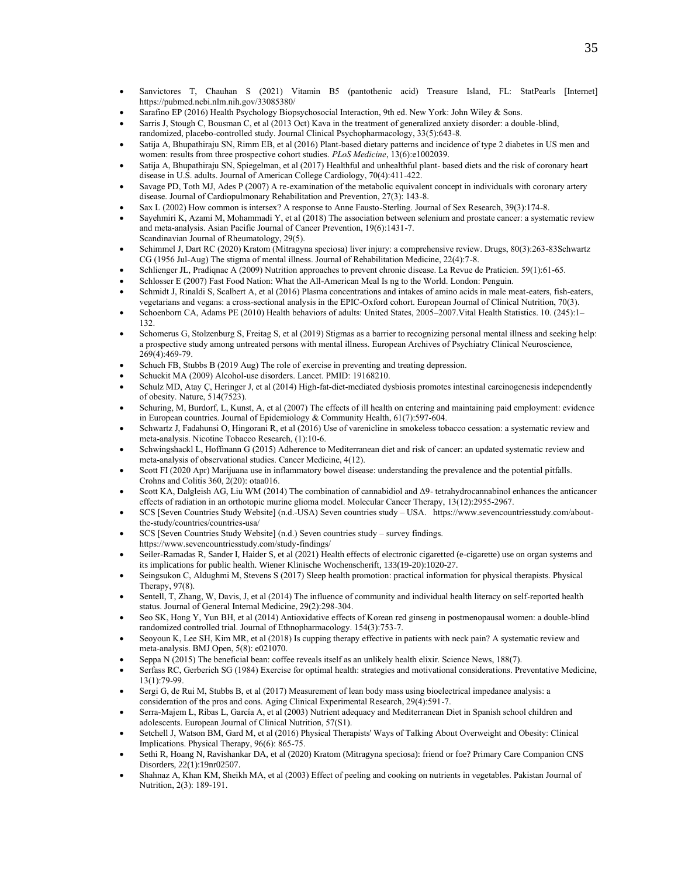- Sanvictores T, Chauhan S (2021) Vitamin B5 (pantothenic acid) Treasure Island, FL: StatPearls [Internet] https://pubmed.ncbi.nlm.nih.gov/33085380/
- Sarafino EP (2016) Health Psychology Biopsychosocial Interaction, 9th ed. New York: John Wiley & Sons.
- Sarris J, Stough C, Bousman C, et al (2013 Oct) Kava in the treatment of generalized anxiety disorder: a double-blind, randomized, placebo-controlled study. Journal Clinical Psychopharmacology, 33(5):643-8.
- Satija A, Bhupathiraju SN, Rimm EB, et al (2016) Plant-based dietary patterns and incidence of type 2 diabetes in US men and women: results from three prospective cohort studies. *PLoS Medicine*, 13(6):e1002039.
- Satija A, Bhupathiraju SN, Spiegelman, et al (2017) Healthful and unhealthful plant- based diets and the risk of coronary heart disease in U.S. adults. Journal of American College Cardiology, 70(4):411-422.
- Savage PD, Toth MJ, Ades P (2007) A re-examination of the metabolic equivalent concept in individuals with coronary artery disease. Journal of Cardiopulmonary Rehabilitation and Prevention, 27(3): 143-8.
- Sax L (2002) How common is intersex? A response to Anne Fausto-Sterling. Journal of Sex Research, 39(3):174-8.
- Sayehmiri K, Azami M, Mohammadi Y, et al (2018) The association between selenium and prostate cancer: a systematic review and meta-analysis. Asian Pacific Journal of Cancer Prevention, 19(6):1431-7. Scandinavian Journal of Rheumatology, 29(5).
- Schimmel J, Dart RC (2020) Kratom (Mitragyna speciosa) liver injury: a comprehensive review. Drugs, 80(3):263-83Schwartz CG (1956 Jul-Aug) The stigma of mental illness. Journal of Rehabilitation Medicine, 22(4):7-8.
- Schlienger JL, Pradiqnac A (2009) Nutrition approaches to prevent chronic disease. La Revue de Praticien. 59(1):61-65.
- Schlosser E (2007) Fast Food Nation: What the All-American Meal Is ng to the World. London: Penguin.
- Schmidt J, Rinaldi S, Scalbert A, et al (2016) Plasma concentrations and intakes of amino acids in male meat-eaters, fish-eaters, vegetarians and vegans: a cross-sectional analysis in the EPIC-Oxford cohort. European Journal of Clinical Nutrition, 70(3).
- Schoenborn CA, Adams PE (2010) Health behaviors of adults: United States, 2005–2007.Vital Health Statistics. 10. (245):1– 132.
- Schomerus G, Stolzenburg S, Freitag S, et al (2019) Stigmas as a barrier to recognizing personal mental illness and seeking help: a prospective study among untreated persons with mental illness. European Archives of Psychiatry Clinical Neuroscience, 269(4):469-79.
- Schuch FB, Stubbs B (2019 Aug) The role of exercise in preventing and treating depression.
- Schuckit MA (2009) Alcohol-use disorders. Lancet. PMID: 19168210.
- Schulz MD, Atay Ç, Heringer J, et al (2014) High-fat-diet-mediated dysbiosis promotes intestinal carcinogenesis independently of obesity. Nature, 514(7523).
- Schuring, M, Burdorf, L, Kunst, A, et al (2007) The effects of ill health on entering and maintaining paid employment: evidence in European countries. Journal of Epidemiology & Community Health, 61(7):597-604.
- Schwartz J, Fadahunsi O, Hingorani R, et al (2016) Use of varenicline in smokeless tobacco cessation: a systematic review and meta-analysis. Nicotine Tobacco Research, (1):10-6.
- Schwingshackl L, Hoffmann G (2015) Adherence to Mediterranean diet and risk of cancer: an updated systematic review and meta-analysis of observational studies. Cancer Medicine, 4(12).
- Scott FI (2020 Apr) Marijuana use in inflammatory bowel disease: understanding the prevalence and the potential pitfalls. Crohns and Colitis 360, 2(20): otaa016.
- Scott KA, Dalgleish AG, Liu WM (2014) The combination of cannabidiol and Δ9- tetrahydrocannabinol enhances the anticancer effects of radiation in an orthotopic murine glioma model. Molecular Cancer Therapy, 13(12):2955-2967.
- SCS [Seven Countries Study Website] (n.d.-USA) Seven countries study USA. https://www.sevencountriesstudy.com/aboutthe-study/countries/countries-usa/
- SCS [Seven Countries Study Website] (n.d.) Seven countries study survey findings. <https://www.sevencountriesstudy.com/study-findings/>
- Seiler-Ramadas R, Sander I, Haider S, et al (2021) Health effects of electronic cigaretted (e-cigarette) use on organ systems and its implications for public health. Wiener Klinische Wochenscherift, 133(19-20):1020-27.
- Seingsukon C, Aldughmi M, Stevens S (2017) Sleep health promotion: practical information for physical therapists. Physical Therapy, 97(8).
- Sentell, T, Zhang, W, Davis, J, et al (2014) The influence of community and individual health literacy on self-reported health status. Journal of General Internal Medicine, 29(2):298-304.
- Seo SK, Hong Y, Yun BH, et al (2014) Antioxidative effects of Korean red ginseng in postmenopausal women: a double-blind randomized controlled trial. Journal of Ethnopharmacology. 154(3):753-7.
- Seoyoun K, Lee SH, Kim MR, et al (2018) Is cupping therapy effective in patients with neck pain? A systematic review and meta-analysis. BMJ Open, 5(8): e021070.
- Seppa N (2015) The beneficial bean: coffee reveals itself as an unlikely health elixir. Science News, 188(7).
- Serfass RC, Gerberich SG (1984) Exercise for optimal health: strategies and motivational considerations. Preventative Medicine, 13(1):79-99.
- Sergi G, de Rui M, Stubbs B, et al (2017) Measurement of lean body mass using bioelectrical impedance analysis: a consideration of the pros and cons. Aging Clinical Experimental Research, 29(4):591-7.
- Serra-Majem L, Ribas L, García A, et al (2003) Nutrient adequacy and Mediterranean Diet in Spanish school children and adolescents. European Journal of Clinical Nutrition, 57(S1).
- Setchell J, Watson BM, Gard M, et al (2016) Physical Therapists' Ways of Talking About Overweight and Obesity: Clinical Implications. Physical Therapy, 96(6): 865-75.
- Sethi R, Hoang N, Ravishankar DA, et al (2020) Kratom (Mitragyna speciosa): friend or foe? Primary Care Companion CNS Disorders, 22(1):19nr02507.
- Shahnaz A, Khan KM, Sheikh MA, et al (2003) Effect of peeling and cooking on nutrients in vegetables. Pakistan Journal of Nutrition, 2(3): 189-191.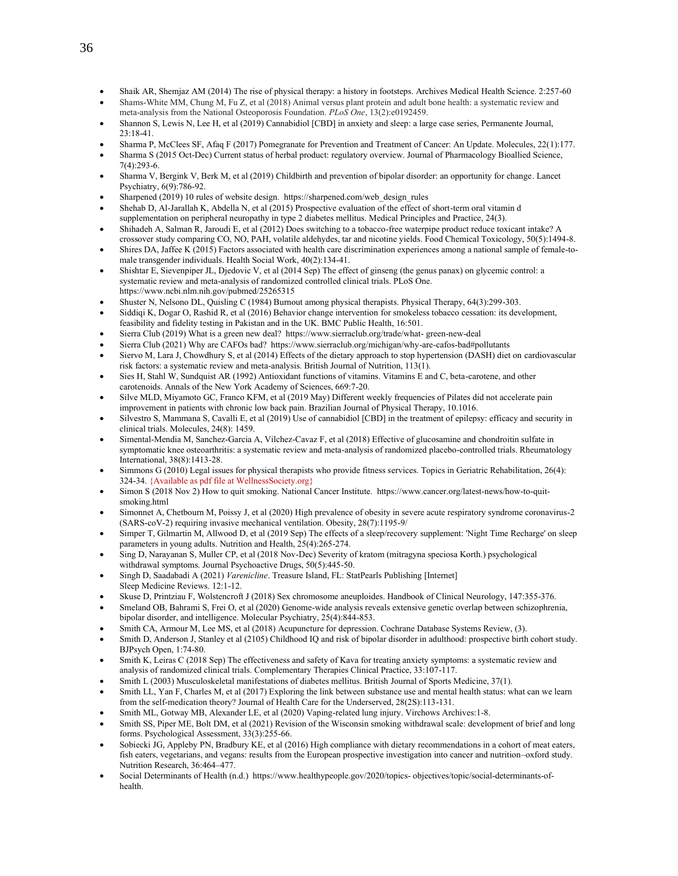- Shaik AR, Shemjaz AM (2014) The rise of physical therapy: a history in footsteps. Archives Medical Health Science. 2:257-60 • Shams-White MM, Chung M, Fu Z, et al (2018) Animal versus plant protein and adult bone health: a systematic review and
- meta-analysis from the National Osteoporosis Foundation. *PLoS One*, 13(2):e0192459.
- Shannon S, Lewis N, Lee H, et al (2019) Cannabidiol [CBD] in anxiety and sleep: a large case series, Permanente Journal, 23:18-41.
- Sharma P, McClees SF, Afaq F (2017) Pomegranate for Prevention and Treatment of Cancer: An Update. Molecules, 22(1):177.
- Sharma S (2015 Oct-Dec) Current status of herbal product: regulatory overview. Journal of Pharmacology Bioallied Science, 7(4):293-6.
- Sharma V, Bergink V, Berk M, et al (2019) Childbirth and prevention of bipolar disorder: an opportunity for change. Lancet Psychiatry, 6(9):786-92.
- Sharpened (2019) 10 rules of website design. https://sharpened.com/web\_design\_rules
- Shehab D, Al-Jarallah K, Abdella N, et al (2015) Prospective evaluation of the effect of short-term oral vitamin d supplementation on peripheral neuropathy in type 2 diabetes mellitus. Medical Principles and Practice, 24(3).
- Shihadeh A, Salman R, Jaroudi E, et al (2012) Does switching to a tobacco-free waterpipe product reduce toxicant intake? A crossover study comparing CO, NO, PAH, volatile aldehydes, tar and nicotine yields. Food Chemical Toxicology, 50(5):1494-8.
- Shires DA, Jaffee K (2015) Factors associated with health care discrimination experiences among a national sample of female-tomale transgender individuals. Health Social Work, 40(2):134-41.
- Shishtar E, Sievenpiper JL, Djedovic V, et al (2014 Sep) The effect of ginseng (the genus panax) on glycemic control: a systematic review and meta-analysis of randomized controlled clinical trials. PLoS One. https:[//www.ncbi.nlm.nih.gov/pubmed/25265315](http://www.ncbi.nlm.nih.gov/pubmed/25265315)
- Shuster N, Nelsono DL, Quisling C (1984) Burnout among physical therapists. Physical Therapy, 64(3):299-303.
- Siddiqi K, Dogar O, Rashid R, et al (2016) Behavior change intervention for smokeless tobacco cessation: its development, feasibility and fidelity testing in Pakistan and in the UK. BMC Public Health, 16:501.
- Sierra Club (2019) What is a green new deal? https:[//www.sierraclub.org/trade/what-](http://www.sierraclub.org/trade/what-) green-new-deal
- Sierra Club (2021) Why are CAFOs bad? https://www.sierraclub.org/michigan/why-are-cafos-bad#pollutants
- Siervo M, Lara J, Chowdhury S, et al (2014) Effects of the dietary approach to stop hypertension (DASH) diet on cardiovascular risk factors: a systematic review and meta-analysis. British Journal of Nutrition, 113(1).
- Sies H, Stahl W, Sundquist AR (1992) Antioxidant functions of vitamins. Vitamins E and C, beta-carotene, and other carotenoids. Annals of the New York Academy of Sciences, 669:7-20.
- Silve MLD, Miyamoto GC, Franco KFM, et al (2019 May) Different weekly frequencies of Pilates did not accelerate pain improvement in patients with chronic low back pain. Brazilian Journal of Physical Therapy, 10.1016.
- Silvestro S, Mammana S, Cavalli E, et al (2019) Use of cannabidiol [CBD] in the treatment of epilepsy: efficacy and security in clinical trials. Molecules, 24(8): 1459.
- Simental-Mendia M, Sanchez-Garcia A, Vilchez-Cavaz F, et al (2018) Effective of glucosamine and chondroitin sulfate in symptomatic knee osteoarthritis: a systematic review and meta-analysis of randomized placebo-controlled trials. Rheumatology International, 38(8):1413-28.
- Simmons G (2010) Legal issues for physical therapists who provide fitness services. Topics in Geriatric Rehabilitation, 26(4): 324-34. {Available as pdf file at WellnessSociety.org}
- Simon S (2018 Nov 2) How to quit smoking. National Cancer Institute. https:/[/www.cancer.org/latest-news/how-to-quit](http://www.cancer.org/latest-news/how-to-quit-smoking.html)[smoking.html](http://www.cancer.org/latest-news/how-to-quit-smoking.html)
- Simonnet A, Chetbourn M, Poissy J, et al (2020) High prevalence of obesity in severe acute respiratory syndrome coronavirus-2 (SARS-coV-2) requiring invasive mechanical ventilation. Obesity, 28(7):1195-9/
- Simper T, Gilmartin M, Allwood D, et al (2019 Sep) The effects of a sleep/recovery supplement: 'Night Time Recharge' on sleep parameters in young adults. Nutrition and Health, 25(4):265-274.
- Sing D, Narayanan S, Muller CP, et al (2018 Nov-Dec) Severity of kratom (mitragyna speciosa Korth.) psychological withdrawal symptoms. Journal Psychoactive Drugs, 50(5):445-50.
- Singh D, Saadabadi A (2021) *Varenicline*. Treasure Island, FL: StatPearls Publishing [Internet] Sleep Medicine Reviews. 12:1-12.
- Skuse D, Printziau F, Wolstencroft J (2018) Sex chromosome aneuploides. Handbook of Clinical Neurology, 147:355-376.
- Smeland OB, Bahrami S, Frei O, et al (2020) Genome-wide analysis reveals extensive genetic overlap between schizophrenia, bipolar disorder, and intelligence. Molecular Psychiatry, 25(4):844-853.
- Smith CA, Armour M, Lee MS, et al (2018) Acupuncture for depression. Cochrane Database Systems Review, (3).
- Smith D, Anderson J, Stanley et al (2105) Childhood IQ and risk of bipolar disorder in adulthood: prospective birth cohort study. BJPsych Open, 1:74-80.
- Smith K, Leiras C (2018 Sep) The effectiveness and safety of Kava for treating anxiety symptoms: a systematic review and analysis of randomized clinical trials. Complementary Therapies Clinical Practice, 33:107-117.
- Smith L (2003) Musculoskeletal manifestations of diabetes mellitus. British Journal of Sports Medicine, 37(1).
- Smith LL, Yan F, Charles M, et al (2017) Exploring the link between substance use and mental health status: what can we learn from the self-medication theory? Journal of Health Care for the Underserved, 28(2S):113-131.
- Smith ML, Gotway MB, Alexander LE, et al (2020) Vaping-related lung injury. Virchows Archives:1-8.
- Smith SS, Piper ME, Bolt DM, et al (2021) Revision of the Wisconsin smoking withdrawal scale: development of brief and long forms. Psychological Assessment, 33(3):255-66.
- Sobiecki JG, Appleby PN, Bradbury KE, et al (2016) High compliance with dietary recommendations in a cohort of meat eaters, fish eaters, vegetarians, and vegans: results from the European prospective investigation into cancer and nutrition–oxford study. Nutrition Research, 36:464–477.
- Social Determinants of Health (n.d.) https:[//www.healthypeople.gov/2020/topics-](http://www.healthypeople.gov/2020/topics-) objectives/topic/social-determinants-ofhealth.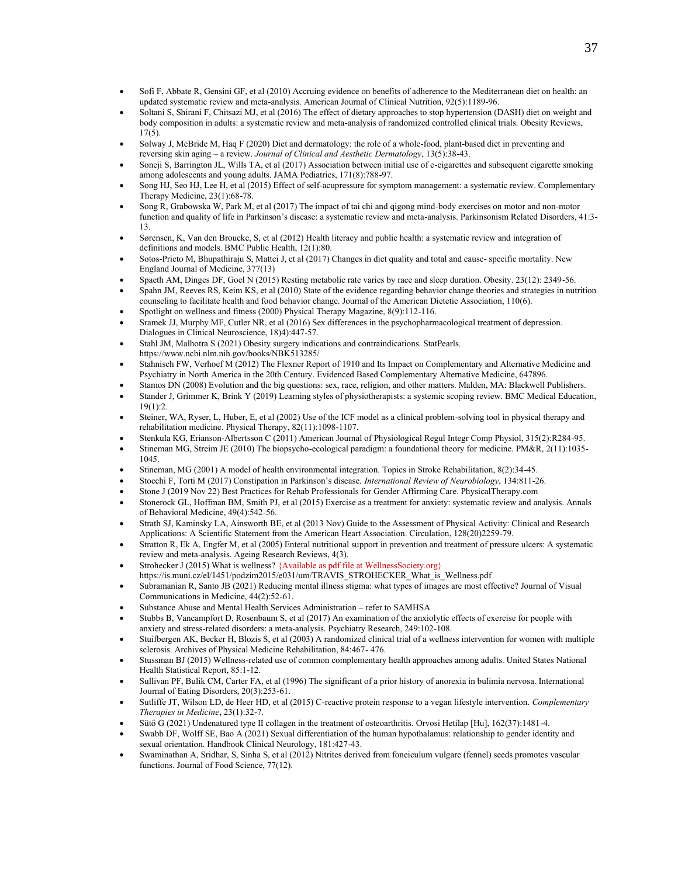- Sofi F, Abbate R, Gensini GF, et al (2010) Accruing evidence on benefits of adherence to the Mediterranean diet on health: an updated systematic review and meta-analysis. American Journal of Clinical Nutrition, 92(5):1189-96.
- Soltani S, Shirani F, Chitsazi MJ, et al (2016) The effect of dietary approaches to stop hypertension (DASH) diet on weight and body composition in adults: a systematic review and meta-analysis of randomized controlled clinical trials. Obesity Reviews, 17(5).
- Solway J, McBride M, Haq F (2020) Diet and dermatology: the role of a whole-food, plant-based diet in preventing and reversing skin aging – a review. *Journal of Clinical and Aesthetic Dermatology*, 13(5):38-43.
- Soneji S, Barrington JL, Wills TA, et al (2017) Association between initial use of e-cigarettes and subsequent cigarette smoking among adolescents and young adults. JAMA Pediatrics, 171(8):788-97.
- Song HJ, Seo HJ, Lee H, et al (2015) Effect of self-acupressure for symptom management: a systematic review. Complementary Therapy Medicine, 23(1):68-78.
- Song R, Grabowska W, Park M, et al (2017) The impact of tai chi and qigong mind-body exercises on motor and non-motor function and quality of life in Parkinson's disease: a systematic review and meta-analysis. Parkinsonism Related Disorders, 41:3- 13.
- Sørensen, K, Van den Broucke, S, et al (2012) Health literacy and public health: a systematic review and integration of definitions and models. BMC Public Health, 12(1):80.
- Sotos-Prieto M, Bhupathiraju S, Mattei J, et al (2017) Changes in diet quality and total and cause- specific mortality. New England Journal of Medicine, 377(13)
- Spaeth AM, Dinges DF, Goel N (2015) Resting metabolic rate varies by race and sleep duration. Obesity. 23(12): 2349-56.
- Spahn JM, Reeves RS, Keim KS, et al (2010) State of the evidence regarding behavior change theories and strategies in nutrition counseling to facilitate health and food behavior change. Journal of the American Dietetic Association, 110(6).
- Spotlight on wellness and fitness (2000) Physical Therapy Magazine, 8(9):112-116.
- Sramek JJ, Murphy MF, Cutler NR, et al (2016) Sex differences in the psychopharmacological treatment of depression. Dialogues in Clinical Neuroscience, 18)4):447-57.
- Stahl JM, Malhotra S (2021) Obesity surgery indications and contraindications. StatPearls. https://www.ncbi.nlm.nih.gov/books/NBK513285/
- Stahnisch FW, Verhoef M (2012) The Flexner Report of 1910 and Its Impact on Complementary and Alternative Medicine and Psychiatry in North America in the 20th Century. Evidenced Based Complementary Alternative Medicine, 647896.
- Stamos DN (2008) Evolution and the big questions: sex, race, religion, and other matters. Malden, MA: Blackwell Publishers.
- Stander J, Grimmer K, Brink Y (2019) Learning styles of physiotherapists: a systemic scoping review. BMC Medical Education, 19(1):2.
- Steiner, WA, Ryser, L, Huber, E, et al (2002) Use of the ICF model as a clinical problem-solving tool in physical therapy and rehabilitation medicine. Physical Therapy, 82(11):1098-1107.
- Stenkula KG, Erianson-Albertsson C (2011) American Journal of Physiological Regul Integr Comp Physiol, 315(2):R284-95.
- Stineman MG, Streim JE (2010) The biopsycho-ecological paradigm: a foundational theory for medicine. PM&R, 2(11):1035- 1045.
- Stineman, MG (2001) A model of health environmental integration. Topics in Stroke Rehabilitation, 8(2):34-45.
- Stocchi F, Torti M (2017) Constipation in Parkinson's disease. *International Review of Neurobiology*, 134:811-26.
- Stone J (2019 Nov 22) Best Practices for Rehab Professionals for Gender Affirming Care. PhysicalTherapy.com
- Stonerock GL, Hoffman BM, Smith PJ, et al (2015) Exercise as a treatment for anxiety: systematic review and analysis. Annals of Behavioral Medicine, 49(4):542-56.
- Strath SJ, Kaminsky LA, Ainsworth BE, et al (2013 Nov) Guide to the Assessment of Physical Activity: Clinical and Research Applications: A Scientific Statement from the American Heart Association. Circulation, 128(20)2259-79.
- Stratton R, Ek A, Engfer M, et al (2005) Enteral nutritional support in prevention and treatment of pressure ulcers: A systematic review and meta-analysis. Ageing Research Reviews, 4(3).
- Strohecker J (2015) What is wellness? {Available as pdf file at WellnessSociety.org} [https://is.muni.cz/el/1451/podzim2015/e031/um/TRAVIS\\_STROHECKER\\_What\\_is\\_Wellness.pdf](https://is.muni.cz/el/1451/podzim2015/e031/um/TRAVIS_STROHECKER_What_is_Wellness.pdf)
- Subramanian R, Santo JB (2021) Reducing mental illness stigma: what types of images are most effective? Journal of Visual Communications in Medicine, 44(2):52-61.
- Substance Abuse and Mental Health Services Administration refer to SAMHSA
- Stubbs B, Vancampfort D, Rosenbaum S, et al (2017) An examination of the anxiolytic effects of exercise for people with anxiety and stress-related disorders: a meta-analysis. Psychiatry Research, 249:102-108.
- Stuifbergen AK, Becker H, Blozis S, et al (2003) A randomized clinical trial of a wellness intervention for women with multiple sclerosis. Archives of Physical Medicine Rehabilitation, 84:467- 476.
- Stussman BJ (2015) Wellness-related use of common complementary health approaches among adults. United States National Health Statistical Report, 85:1-12.
- Sullivan PF, Bulik CM, Carter FA, et al (1996) The significant of a prior history of anorexia in bulimia nervosa. International Journal of Eating Disorders, 20(3):253-61.
- Sutliffe JT, Wilson LD, de Heer HD, et al (2015) C-reactive protein response to a vegan lifestyle intervention. *Complementary Therapies in Medicine*, 23(1):32-7.
- Sütő G (2021) Undenatured type II collagen in the treatment of osteoarthritis. Orvosi Hetilap [Hu], 162(37):1481-4.
- Swabb DF, Wolff SE, Bao A (2021) Sexual differentiation of the human hypothalamus: relationship to gender identity and sexual orientation. Handbook Clinical Neurology, 181:427-43.
- Swaminathan A, Sridhar, S, Sinha S, et al (2012) Nitrites derived from foneiculum vulgare (fennel) seeds promotes vascular functions. Journal of Food Science, 77(12).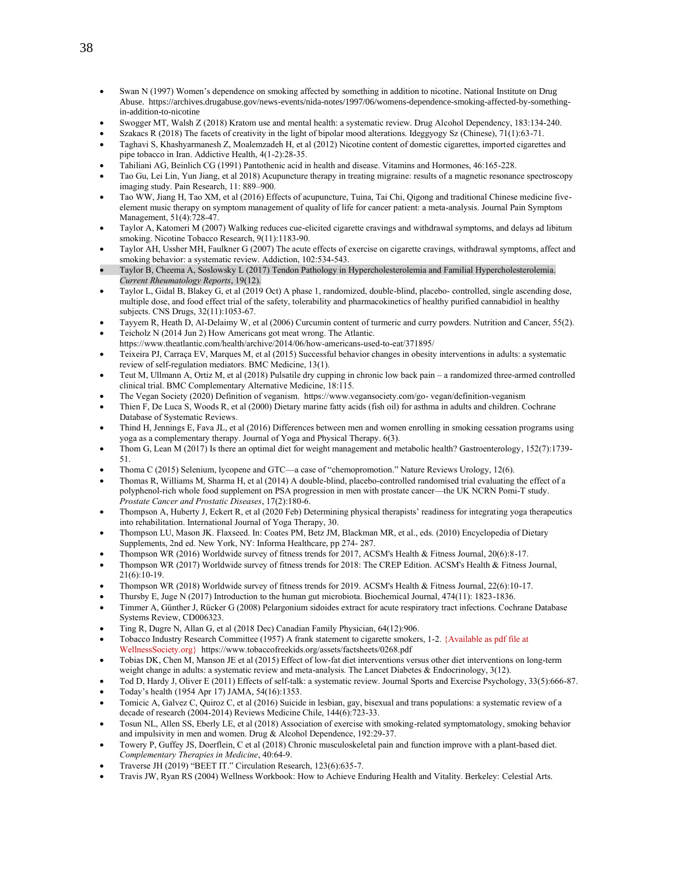- Swan N (1997) Women's dependence on smoking affected by something in addition to nicotine. National Institute on Drug Abuse. https://archives.drugabuse.gov/news-events/nida-notes/1997/06/womens-dependence-smoking-affected-by-somethingin-addition-to-nicotine
- Swogger MT, Walsh Z (2018) Kratom use and mental health: a systematic review. Drug Alcohol Dependency, 183:134-240.
- Szakacs R (2018) The facets of creativity in the light of bipolar mood alterations. Ideggyogy Sz (Chinese), 71(1):63-71.
- Taghavi S, Khashyarmanesh Z, Moalemzadeh H, et al (2012) Nicotine content of domestic cigarettes, imported cigarettes and pipe tobacco in Iran. Addictive Health, 4(1-2):28-35.
- Tahiliani AG, Beinlich CG (1991) Pantothenic acid in health and disease. Vitamins and Hormones, 46:165-228.
- Tao Gu, Lei Lin, Yun Jiang, et al 2018) Acupuncture therapy in treating migraine: results of a magnetic resonance spectroscopy imaging study. Pain Research, 11: 889–900.
- Tao WW, Jiang H, Tao XM, et al (2016) Effects of acupuncture, Tuina, Tai Chi, Qigong and traditional Chinese medicine fiveelement music therapy on symptom management of quality of life for cancer patient: a meta-analysis. Journal Pain Symptom Management, 51(4):728-47.
- Taylor A, Katomeri M (2007) Walking reduces cue-elicited cigarette cravings and withdrawal symptoms, and delays ad libitum smoking. Nicotine Tobacco Research, 9(11):1183-90.
- Taylor AH, Ussher MH, Faulkner G (2007) The acute effects of exercise on cigarette cravings, withdrawal symptoms, affect and smoking behavior: a systematic review. Addiction, 102:534-543.
- Taylor B, Cheema A, Soslowsky L (2017) Tendon Pathology in Hypercholesterolemia and Familial Hypercholesterolemia. *Current Rheumatology Reports*, 19(12).
- Taylor L, Gidal B, Blakey G, et al (2019 Oct) A phase 1, randomized, double-blind, placebo- controlled, single ascending dose, multiple dose, and food effect trial of the safety, tolerability and pharmacokinetics of healthy purified cannabidiol in healthy subjects. CNS Drugs, 32(11):1053-67.
- Tayyem R, Heath D, Al-Delaimy W, et al (2006) Curcumin content of turmeric and curry powders. Nutrition and Cancer, 55(2). • Teicholz N (2014 Jun 2) How Americans got meat wrong. The Atlantic.
- <https://www.theatlantic.com/health/archive/2014/06/how-americans-used-to-eat/371895/>
- Teixeira PJ, Carraça EV, Marques M, et al (2015) Successful behavior changes in obesity interventions in adults: a systematic review of self-regulation mediators. BMC Medicine, 13(1).
- Teut M, Ullmann A, Ortiz M, et al (2018) Pulsatile dry cupping in chronic low back pain a randomized three-armed controlled clinical trial. BMC Complementary Alternative Medicine, 18:115.
- The Vegan Society (2020) Definition of veganism. https:/[/www.vegansociety.com/go-](http://www.vegansociety.com/go-) vegan/definition-veganism
- Thien F, De Luca S, Woods R, et al (2000) Dietary marine fatty acids (fish oil) for asthma in adults and children. Cochrane Database of Systematic Reviews.
- Thind H, Jennings E, Fava JL, et al (2016) Differences between men and women enrolling in smoking cessation programs using yoga as a complementary therapy. Journal of Yoga and Physical Therapy. 6(3).
- Thom G, Lean M (2017) Is there an optimal diet for weight management and metabolic health? Gastroenterology, 152(7):1739- 51.
- Thoma C (2015) Selenium, lycopene and GTC—a case of "chemopromotion." Nature Reviews Urology, 12(6).
- Thomas R, Williams M, Sharma H, et al (2014) A double-blind, placebo-controlled randomised trial evaluating the effect of a polyphenol-rich whole food supplement on PSA progression in men with prostate cancer—the UK NCRN Pomi-T study. *Prostate Cancer and Prostatic Diseases*, 17(2):180-6.
- Thompson A, Huberty J, Eckert R, et al (2020 Feb) Determining physical therapists' readiness for integrating yoga therapeutics into rehabilitation. International Journal of Yoga Therapy, 30.
- Thompson LU, Mason JK. Flaxseed. In: Coates PM, Betz JM, Blackman MR, et al., eds. (2010) Encyclopedia of Dietary Supplements, 2nd ed. New York, NY: Informa Healthcare, pp 274- 287.
- Thompson WR (2016) Worldwide survey of fitness trends for 2017, ACSM's Health & Fitness Journal, 20(6):8-17.
- Thompson WR (2017) Worldwide survey of fitness trends for 2018: The CREP Edition. ACSM's Health & Fitness Journal, 21(6):10-19.
- Thompson WR (2018) Worldwide survey of fitness trends for 2019. ACSM's Health & Fitness Journal, 22(6):10-17.
- Thursby E, Juge N (2017) Introduction to the human gut microbiota. Biochemical Journal, 474(11): 1823-1836.
- Timmer A, Günther J, Rücker G (2008) Pelargonium sidoides extract for acute respiratory tract infections. Cochrane Database Systems Review, CD006323.
- Ting R, Dugre N, Allan G, et al (2018 Dec) Canadian Family Physician, 64(12):906.
- Tobacco Industry Research Committee (1957) A frank statement to cigarette smokers, 1-2. {Available as pdf file at WellnessSociety.org} https://www.tobaccofreekids.org/assets/factsheets/0268.pdf
- Tobias DK, Chen M, Manson JE et al (2015) Effect of low-fat diet interventions versus other diet interventions on long-term weight change in adults: a systematic review and meta-analysis. The Lancet Diabetes & Endocrinology, 3(12).
- Tod D, Hardy J, Oliver E (2011) Effects of self-talk: a systematic review. Journal Sports and Exercise Psychology, 33(5):666-87. • Today's health (1954 Apr 17) JAMA, 54(16):1353.
- Tomicic A, Galvez C, Quiroz C, et al (2016) Suicide in lesbian, gay, bisexual and trans populations: a systematic review of a decade of research (2004-2014) Reviews Medicine Chile, 144(6):723-33.
- Tosun NL, Allen SS, Eberly LE, et al (2018) Association of exercise with smoking-related symptomatology, smoking behavior and impulsivity in men and women. Drug & Alcohol Dependence, 192:29-37.
- Towery P, Guffey JS, Doerflein, C et al (2018) Chronic musculoskeletal pain and function improve with a plant-based diet. *Complementary Therapies in Medicine*, 40:64-9.
- Traverse JH (2019) "BEET IT." Circulation Research, 123(6):635-7.
- Travis JW, Ryan RS (2004) Wellness Workbook: How to Achieve Enduring Health and Vitality. Berkeley: Celestial Arts.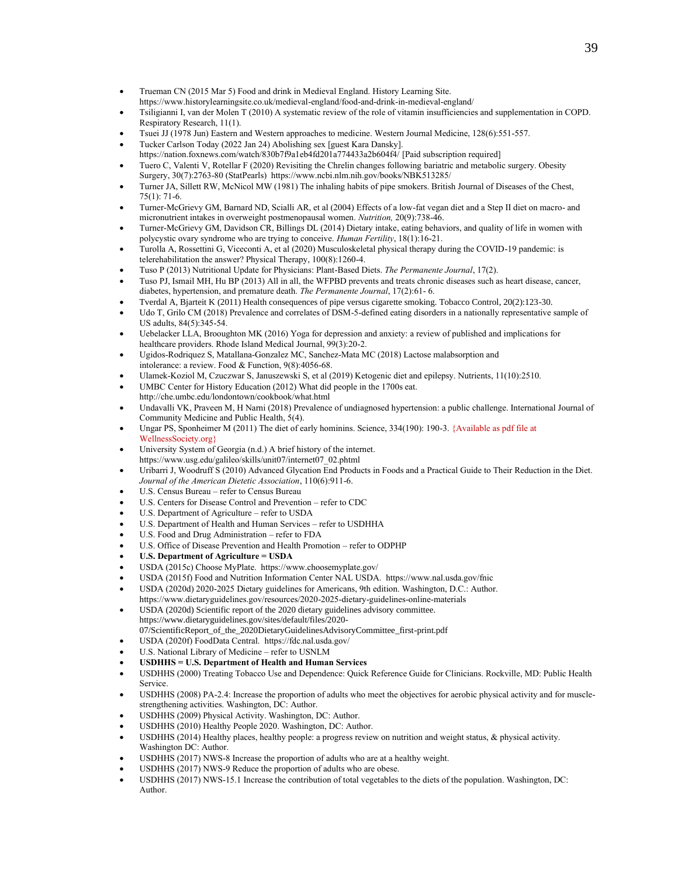- Trueman CN (2015 Mar 5) Food and drink in Medieval England. History Learning Site. <https://www.historylearningsite.co.uk/medieval-england/food-and-drink-in-medieval-england/>
- Tsiligianni I, van der Molen T (2010) A systematic review of the role of vitamin insufficiencies and supplementation in COPD. Respiratory Research, 11(1).
- Tsuei JJ (1978 Jun) Eastern and Western approaches to medicine. Western Journal Medicine, 128(6):551-557.
- Tucker Carlson Today (2022 Jan 24) Abolishing sex [guest Kara Dansky].
- <https://nation.foxnews.com/watch/830b7f9a1eb4fd201a774433a2b604f4/> [Paid subscription required]
- Tuero C, Valenti V, Rotellar F (2020) Revisiting the Chrelin changes following bariatric and metabolic surgery. Obesity Surgery, 30(7):2763-80 (StatPearls) https://www.ncbi.nlm.nih.gov/books/NBK513285/
- Turner JA, Sillett RW, McNicol MW (1981) The inhaling habits of pipe smokers. British Journal of Diseases of the Chest, 75(1): 71-6.
- Turner-McGrievy GM, Barnard ND, Scialli AR, et al (2004) Effects of a low-fat vegan diet and a Step II diet on macro- and micronutrient intakes in overweight postmenopausal women. *Nutrition,* 20(9):738-46.
- Turner-McGrievy GM, Davidson CR, Billings DL (2014) Dietary intake, eating behaviors, and quality of life in women with polycystic ovary syndrome who are trying to conceive. *Human Fertility*, 18(1):16-21.
- Turolla A, Rossettini G, Viceconti A, et al (2020) Musculoskeletal physical therapy during the COVID-19 pandemic: is telerehabilitation the answer? Physical Therapy, 100(8):1260-4.
- Tuso P (2013) Nutritional Update for Physicians: Plant-Based Diets. *The Permanente Journal*, 17(2).
- Tuso PJ, Ismail MH, Hu BP (2013) All in all, the WFPBD prevents and treats chronic diseases such as heart disease, cancer, diabetes, hypertension, and premature death. *The Permanente Journal*, 17(2):61- 6.
- Tverdal A, Bjarteit K (2011) Health consequences of pipe versus cigarette smoking. Tobacco Control, 20(2):123-30.
- Udo T, Grilo CM (2018) Prevalence and correlates of DSM-5-defined eating disorders in a nationally representative sample of US adults, 84(5):345-54.
- Uebelacker LLA, Brooughton MK (2016) Yoga for depression and anxiety: a review of published and implications for healthcare providers. Rhode Island Medical Journal, 99(3):20-2.
- Ugidos-Rodriquez S, Matallana-Gonzalez MC, Sanchez-Mata MC (2018) Lactose malabsorption and intolerance: a review. Food & Function, 9(8):4056-68.
- Ulamek-Koziol M, Czuczwar S, Januszewski S, et al (2019) Ketogenic diet and epilepsy. Nutrients, 11(10):2510.
- UMBC Center for History Education (2012) What did people in the 1700s eat. http://che.umbc.edu/londontown/cookbook/what.html
- Undavalli VK, Praveen M, H Narni (2018) Prevalence of undiagnosed hypertension: a public challenge. International Journal of Community Medicine and Public Health, 5(4).
- Ungar PS, Sponheimer M (2011) The diet of early hominins. Science, 334(190): 190-3. {Available as pdf file at WellnessSociety.org}
- University System of Georgia (n.d.) A brief history of the internet.
- https://www.usg.edu/galileo/skills/unit07/internet07\_02.phtml • Uribarri J, Woodruff S (2010) Advanced Glycation End Products in Foods and a Practical Guide to Their Reduction in the Diet.
- *Journal of the American Dietetic Association*, 110(6):911-6.
- U.S. Census Bureau refer to Census Bureau
- U.S. Centers for Disease Control and Prevention refer to CDC
- U.S. Department of Agriculture refer to USDA
- U.S. Department of Health and Human Services refer to USDHHA
- U.S. Food and Drug Administration refer to FDA
- U.S. Office of Disease Prevention and Health Promotion refer to ODPHP
- **U.S. Department of Agriculture = USDA**
- USDA (2015c) Choose MyPlate. https:/[/www.choosemyplate.gov/](http://www.choosemyplate.gov/)
- USDA (2015f) Food and Nutrition Information Center NAL USDA. https:/[/www.nal.usda.gov/fnic](http://www.nal.usda.gov/fnic)
- USDA (2020d) 2020-2025 Dietary guidelines for Americans, 9th edition. Washington, D.C.: Author. https://www.dietaryguidelines.gov/resources/2020-2025-dietary-guidelines-online-materials
- USDA (2020d) Scientific report of the 2020 dietary guidelines advisory committee. https://www.dietaryguidelines.gov/sites/default/files/2020-
- 07/ScientificReport\_of\_the\_2020DietaryGuidelinesAdvisoryCommittee\_first-print.pdf
- USDA (2020f) FoodData Central. <https://fdc.nal.usda.gov/>
- U.S. National Library of Medicine refer to USNLM
- **USDHHS = U.S. Department of Health and Human Services**
- USDHHS (2000) Treating Tobacco Use and Dependence: Quick Reference Guide for Clinicians. Rockville, MD: Public Health Service.
- USDHHS (2008) PA-2.4: Increase the proportion of adults who meet the objectives for aerobic physical activity and for musclestrengthening activities. Washington, DC: Author.
- USDHHS (2009) Physical Activity. Washington, DC: Author.
- USDHHS (2010) Healthy People 2020. Washington, DC: Author.
- USDHHS (2014) Healthy places, healthy people: a progress review on nutrition and weight status, & physical activity. Washington DC: Author.
- USDHHS (2017) NWS-8 Increase the proportion of adults who are at a healthy weight.
- USDHHS (2017) NWS-9 Reduce the proportion of adults who are obese.
- USDHHS (2017) NWS-15.1 Increase the contribution of total vegetables to the diets of the population. Washington, DC: Author.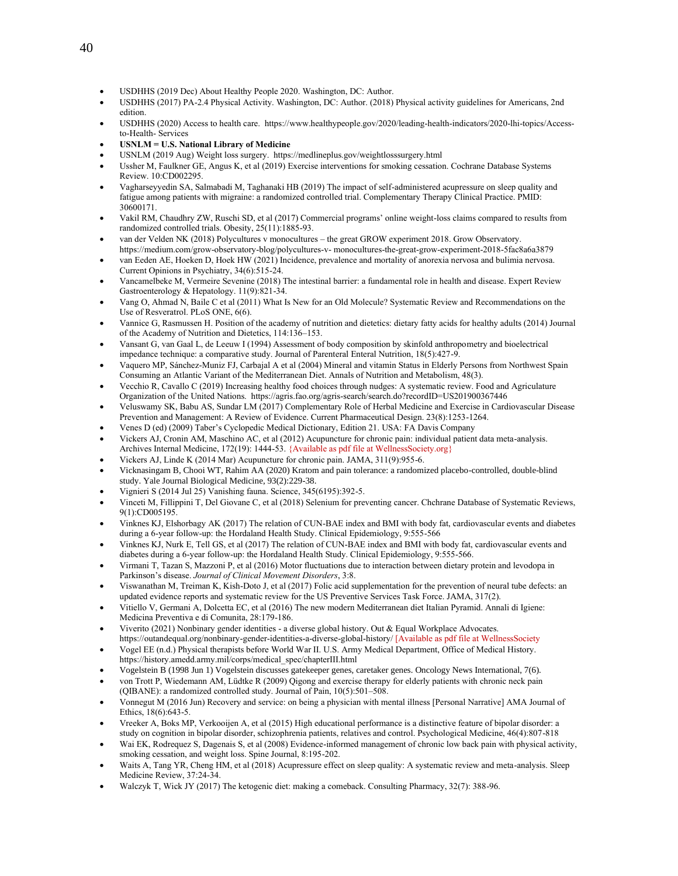- USDHHS (2019 Dec) About Healthy People 2020. Washington, DC: Author.
- USDHHS (2017) PA-2.4 Physical Activity. Washington, DC: Author. (2018) Physical activity guidelines for Americans, 2nd edition.
- USDHHS (2020) Access to health care. https:[//www.healthypeople.gov/2020/leading-health-indicators/2020-lhi-topics/Access](http://www.healthypeople.gov/2020/leading-health-indicators/2020-lhi-topics/Access-to-Health-)[to-Health-](http://www.healthypeople.gov/2020/leading-health-indicators/2020-lhi-topics/Access-to-Health-) Services
- **USNLM = U.S. National Library of Medicine**
- USNLM (2019 Aug) Weight loss surgery. https://medlineplus.gov/weightlosssurgery.html
- Ussher M, Faulkner GE, Angus K, et al (2019) Exercise interventions for smoking cessation. Cochrane Database Systems Review. 10:CD002295.
- Vagharseyyedin SA, Salmabadi M, Taghanaki HB (2019) The impact of self-administered acupressure on sleep quality and fatigue among patients with migraine: a randomized controlled trial. Complementary Therapy Clinical Practice. PMID: 30600171.
- Vakil RM, Chaudhry ZW, Ruschi SD, et al (2017) Commercial programs' online weight-loss claims compared to results from randomized controlled trials. Obesity, 25(11):1885-93.
- van der Velden NK (2018) Polycultures v monocultures the great GROW experiment 2018. Grow Observatory. https://medium.com/grow-observatory-blog/polycultures-v- monocultures-the-great-grow-experiment-2018-5fac8a6a3879
- van Eeden AE, Hoeken D, Hoek HW (2021) Incidence, prevalence and mortality of anorexia nervosa and bulimia nervosa. Current Opinions in Psychiatry, 34(6):515-24.
- Vancamelbeke M, Vermeire Sevenine (2018) The intestinal barrier: a fundamental role in health and disease. Expert Review Gastroenterology & Hepatology. 11(9):821-34.
- Vang O, Ahmad N, Baile C et al (2011) What Is New for an Old Molecule? Systematic Review and Recommendations on the Use of Resveratrol. PLoS ONE, 6(6).
- Vannice G, Rasmussen H. Position of the academy of nutrition and dietetics: dietary fatty acids for healthy adults (2014) Journal of the Academy of Nutrition and Dietetics, 114:136–153.
- Vansant G, van Gaal L, de Leeuw I (1994) Assessment of body composition by skinfold anthropometry and bioelectrical impedance technique: a comparative study. Journal of Parenteral Enteral Nutrition, 18(5):427-9.
- Vaquero MP, Sánchez-Muniz FJ, Carbajal A et al (2004) Mineral and vitamin Status in Elderly Persons from Northwest Spain Consuming an Atlantic Variant of the Mediterranean Diet. Annals of Nutrition and Metabolism, 48(3).
- Vecchio R, Cavallo C (2019) Increasing healthy food choices through nudges: A systematic review. Food and Agriculature Organization of the United Nations. https://agris.fao.org/agris-search/search.do?recordID=US201900367446
- Veluswamy SK, Babu AS, Sundar LM (2017) Complementary Role of Herbal Medicine and Exercise in Cardiovascular Disease Prevention and Management: A Review of Evidence. Current Pharmaceutical Design. 23(8):1253-1264.
- Venes D (ed) (2009) Taber's Cyclopedic Medical Dictionary, Edition 21. USA: FA Davis Company
- Vickers AJ, Cronin AM, Maschino AC, et al (2012) Acupuncture for chronic pain: individual patient data meta-analysis. Archives Internal Medicine, 172(19): 1444-53. {Available as pdf file at WellnessSociety.org}
- Vickers AJ, Linde K (2014 Mar) Acupuncture for chronic pain. JAMA, 311(9):955-6.
- Vicknasingam B, Chooi WT, Rahim AA (2020) Kratom and pain tolerance: a randomized placebo-controlled, double-blind study. Yale Journal Biological Medicine, 93(2):229-38.
- Vignieri S (2014 Jul 25) Vanishing fauna. Science, 345(6195):392-5.
- Vinceti M, Fillippini T, Del Giovane C, et al (2018) Selenium for preventing cancer. Chchrane Database of Systematic Reviews, 9(1):CD005195.
- Vinknes KJ, Elshorbagy AK (2017) The relation of CUN-BAE index and BMI with body fat, cardiovascular events and diabetes during a 6-year follow-up: the Hordaland Health Study. Clinical Epidemiology, 9:555-566
- Vinknes KJ, Nurk E, Tell GS, et al (2017) The relation of CUN-BAE index and BMI with body fat, cardiovascular events and diabetes during a 6-year follow-up: the Hordaland Health Study. Clinical Epidemiology, 9:555-566.
- Virmani T, Tazan S, Mazzoni P, et al (2016) Motor fluctuations due to interaction between dietary protein and levodopa in Parkinson's disease. *Journal of Clinical Movement Disorders*, 3:8.
- Viswanathan M, Treiman K, Kish-Doto J, et al (2017) Folic acid supplementation for the prevention of neural tube defects: an updated evidence reports and systematic review for the US Preventive Services Task Force. JAMA, 317(2).
- Vitiello V, Germani A, Dolcetta EC, et al (2016) The new modern Mediterranean diet Italian Pyramid. Annali di Igiene: Medicina Preventiva e di Comunita, 28:179-186.
- Viverito (2021) Nonbinary gender identities a diverse global history. Out & Equal Workplace Advocates. <https://outandequal.org/nonbinary-gender-identities-a-diverse-global-history/> [Available as pdf file at WellnessSociety
- Vogel EE (n.d.) Physical therapists before World War II. U.S. Army Medical Department, Office of Medical History. https://history.amedd.army.mil/corps/medical\_spec/chapterIII.html
- Vogelstein B (1998 Jun 1) Vogelstein discusses gatekeeper genes, caretaker genes. Oncology News International, 7(6).
- von Trott P, Wiedemann AM, Lüdtke R (2009) Qigong and exercise therapy for elderly patients with chronic neck pain (QIBANE): a randomized controlled study. Journal of Pain, 10(5):501–508.
- Vonnegut M (2016 Jun) Recovery and service: on being a physician with mental illness [Personal Narrative] AMA Journal of Ethics, 18(6):643-5.
- Vreeker A, Boks MP, Verkooijen A, et al (2015) High educational performance is a distinctive feature of bipolar disorder: a study on cognition in bipolar disorder, schizophrenia patients, relatives and control. Psychological Medicine, 46(4):807-818
- Wai EK, Rodrequez S, Dagenais S, et al (2008) Evidence-informed management of chronic low back pain with physical activity, smoking cessation, and weight loss. Spine Journal, 8:195-202.
- Waits A, Tang YR, Cheng HM, et al (2018) Acupressure effect on sleep quality: A systematic review and meta-analysis. Sleep Medicine Review, 37:24-34.
- Walczyk T, Wick JY (2017) The ketogenic diet: making a comeback. Consulting Pharmacy, 32(7): 388-96.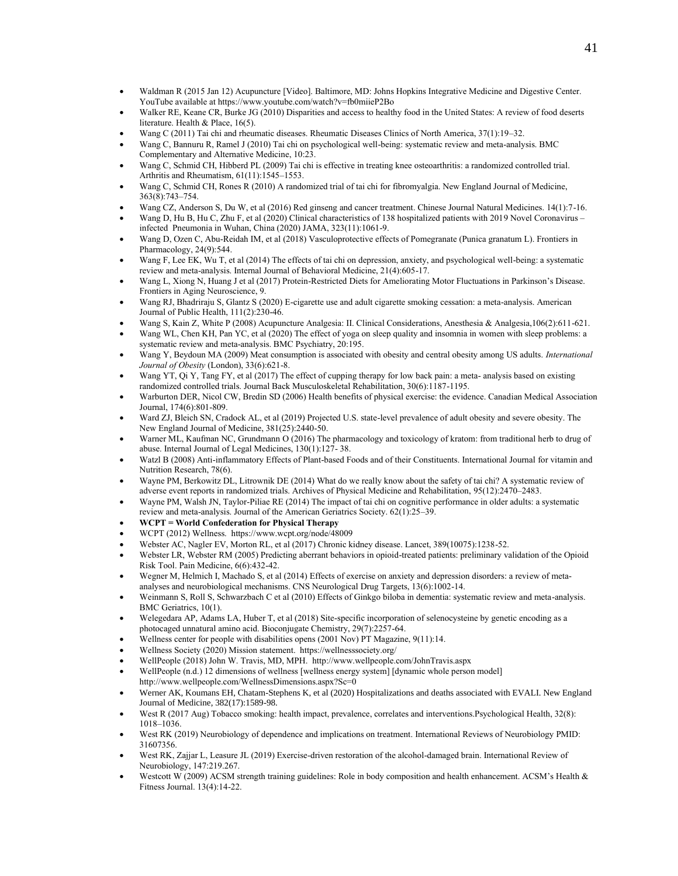- Waldman R (2015 Jan 12) Acupuncture [Video]. Baltimore, MD: Johns Hopkins Integrative Medicine and Digestive Center. YouTube available at https:/[/www.youtube.com/watch?v=fb0miieP2Bo](http://www.youtube.com/watch?v=fb0miieP2Bo)
- Walker RE, Keane CR, Burke JG (2010) Disparities and access to healthy food in the United States: A review of food deserts literature. Health & Place, 16(5).
- Wang C (2011) Tai chi and rheumatic diseases. Rheumatic Diseases Clinics of North America, 37(1):19–32.
- Wang C, Bannuru R, Ramel J (2010) Tai chi on psychological well-being: systematic review and meta-analysis. BMC Complementary and Alternative Medicine, 10:23.
- Wang C, Schmid CH, Hibberd PL (2009) Tai chi is effective in treating knee osteoarthritis: a randomized controlled trial. Arthritis and Rheumatism, 61(11):1545–1553.
- Wang C, Schmid CH, Rones R (2010) A randomized trial of tai chi for fibromyalgia. New England Journal of Medicine, 363(8):743–754.
- Wang CZ, Anderson S, Du W, et al (2016) Red ginseng and cancer treatment. Chinese Journal Natural Medicines. 14(1):7-16.
- Wang D, Hu B, Hu C, Zhu F, et al (2020) Clinical characteristics of 138 hospitalized patients with 2019 Novel Coronavirus infected Pneumonia in Wuhan, China (2020) JAMA, 323(11):1061-9.
- Wang D, Ozen C, Abu-Reidah IM, et al (2018) Vasculoprotective effects of Pomegranate (Punica granatum L). Frontiers in Pharmacology, 24(9):544.
- Wang F, Lee EK, Wu T, et al (2014) The effects of tai chi on depression, anxiety, and psychological well-being: a systematic review and meta-analysis. Internal Journal of Behavioral Medicine, 21(4):605-17.
- Wang L, Xiong N, Huang J et al (2017) Protein-Restricted Diets for Ameliorating Motor Fluctuations in Parkinson's Disease. Frontiers in Aging Neuroscience, 9.
- Wang RJ, Bhadriraju S, Glantz S (2020) E-cigarette use and adult cigarette smoking cessation: a meta-analysis. American Journal of Public Health, 111(2):230-46.
- Wang S, Kain Z, White P (2008) Acupuncture Analgesia: II. Clinical Considerations, Anesthesia & Analgesia,106(2):611-621.
- Wang WL, Chen KH, Pan YC, et al (2020) The effect of yoga on sleep quality and insomnia in women with sleep problems: a systematic review and meta-analysis. BMC Psychiatry, 20:195.
- Wang Y, Beydoun MA (2009) Meat consumption is associated with obesity and central obesity among US adults. *International Journal of Obesity* (London), 33(6):621-8.
- Wang YT, Qi Y, Tang FY, et al (2017) The effect of cupping therapy for low back pain: a meta- analysis based on existing randomized controlled trials. Journal Back Musculoskeletal Rehabilitation, 30(6):1187-1195.
- Warburton DER, Nicol CW, Bredin SD (2006) Health benefits of physical exercise: the evidence. Canadian Medical Association Journal, 174(6):801-809.
- Ward ZJ, Bleich SN, Cradock AL, et al (2019) Projected U.S. state-level prevalence of adult obesity and severe obesity. The New England Journal of Medicine, 381(25):2440-50.
- Warner ML, Kaufman NC, Grundmann O (2016) The pharmacology and toxicology of kratom: from traditional herb to drug of abuse. Internal Journal of Legal Medicines, 130(1):127- 38.
- Watzl B (2008) Anti-inflammatory Effects of Plant-based Foods and of their Constituents. International Journal for vitamin and Nutrition Research, 78(6).
- Wayne PM, Berkowitz DL, Litrownik DE (2014) What do we really know about the safety of tai chi? A systematic review of adverse event reports in randomized trials. Archives of Physical Medicine and Rehabilitation, 95(12):2470–2483.
- Wayne PM, Walsh JN, Taylor-Piliae RE (2014) The impact of tai chi on cognitive performance in older adults: a systematic review and meta-analysis. Journal of the American Geriatrics Society. 62(1):25–39.
- **WCPT = World Confederation for Physical Therapy**
- WCPT (2012) Wellness. https:/[/www.wcpt.org/node/48009](http://www.wcpt.org/node/48009)
- Webster AC, Nagler EV, Morton RL, et al (2017) Chronic kidney disease. Lancet, 389(10075):1238-52.
- Webster LR, Webster RM (2005) Predicting aberrant behaviors in opioid-treated patients: preliminary validation of the Opioid Risk Tool. Pain Medicine, 6(6):432-42.
- Wegner M, Helmich I, Machado S, et al (2014) Effects of exercise on anxiety and depression disorders: a review of metaanalyses and neurobiological mechanisms. CNS Neurological Drug Targets, 13(6):1002-14.
- Weinmann S, Roll S, Schwarzbach C et al (2010) Effects of Ginkgo biloba in dementia: systematic review and meta-analysis. BMC Geriatrics, 10(1).
- Welegedara AP, Adams LA, Huber T, et al (2018) Site-specific incorporation of selenocysteine by genetic encoding as a photocaged unnatural amino acid. Bioconjugate Chemistry, 29(7):2257-64.
- Wellness center for people with disabilities opens (2001 Nov) PT Magazine, 9(11):14.
- Wellness Society (2020) Mission statement. https://wellnesssociety.org/
- WellPeople (2018) John W. Travis, MD, MPH.<http://www.wellpeople.com/JohnTravis.aspx>
- WellPeople (n.d.) 12 dimensions of wellness [wellness energy system] [dynamic whole person model] <http://www.wellpeople.com/WellnessDimensions.aspx?Sc=0>
- Werner AK, Koumans EH, Chatam-Stephens K, et al (2020) Hospitalizations and deaths associated with EVALI. New England Journal of Medicine, 382(17):1589-98.
- West R (2017 Aug) Tobacco smoking: health impact, prevalence, correlates and interventions.Psychological Health, 32(8): 1018–1036.
- West RK (2019) Neurobiology of dependence and implications on treatment. International Reviews of Neurobiology PMID: 31607356.
- West RK, Zajjar L, Leasure JL (2019) Exercise-driven restoration of the alcohol-damaged brain. International Review of Neurobiology, 147:219.267.
- Westcott W (2009) ACSM strength training guidelines: Role in body composition and health enhancement. ACSM's Health & Fitness Journal. 13(4):14-22.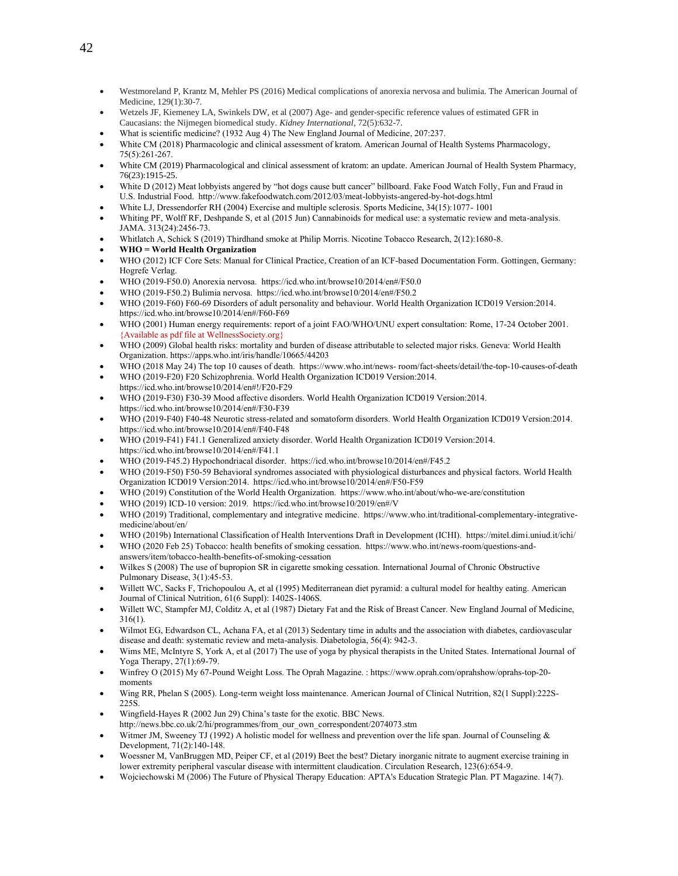- Westmoreland P, Krantz M, Mehler PS (2016) Medical complications of anorexia nervosa and bulimia. The American Journal of Medicine, 129(1):30-7.
- Wetzels JF, Kiemeney LA, Swinkels DW, et al (2007) Age- and gender-specific reference values of estimated GFR in Caucasians: the Nijmegen biomedical study. *Kidney International*, 72(5):632-7.
- What is scientific medicine? (1932 Aug 4) The New England Journal of Medicine, 207:237.
- White CM (2018) Pharmacologic and clinical assessment of kratom. American Journal of Health Systems Pharmacology, 75(5):261-267.
- White CM (2019) Pharmacological and clinical assessment of kratom: an update. American Journal of Health System Pharmacy, 76(23):1915-25.
- White D (2012) Meat lobbyists angered by "hot dogs cause butt cancer" billboard. Fake Food Watch Folly, Fun and Fraud in U.S. Industrial Food. http://www.fakefoodwatch.com/2012/03/meat-lobbyists-angered-by-hot-dogs.html
- White LJ, Dressendorfer RH (2004) Exercise and multiple sclerosis. Sports Medicine, 34(15):1077- 1001
- Whiting PF, Wolff RF, Deshpande S, et al (2015 Jun) Cannabinoids for medical use: a systematic review and meta-analysis. JAMA. 313(24):2456-73.
- Whitlatch A, Schick S (2019) Thirdhand smoke at Philip Morris. Nicotine Tobacco Research, 2(12):1680-8.
- **WHO = World Health Organization**
- WHO (2012) ICF Core Sets: Manual for Clinical Practice, Creation of an ICF-based Documentation Form. Gottingen, Germany: Hogrefe Verlag.
- WHO (2019-F50.0) Anorexia nervosa.<https://icd.who.int/browse10/2014/en#/F50.0>
- WHO (2019-F50.2) Bulimia nervosa. https://icd.who.int/browse10/2014/en#/F50.2
- WHO (2019-F60) F60-69 Disorders of adult personality and behaviour. World Health Organization ICD019 Version:2014. https://icd.who.int/browse10/2014/en#/F60-F69
- WHO (2001) Human energy requirements: report of a joint FAO/WHO/UNU expert consultation: Rome, 17-24 October 2001. {Available as pdf file at WellnessSociety.org}
- WHO (2009) Global health risks: mortality and burden of disease attributable to selected major risks. Geneva: World Health Organization. https://apps.who.int/iris/handle/10665/44203
- WHO (2018 May 24) The top 10 causes of death. https:/[/www.who.int/news-](http://www.who.int/news-) room/fact-sheets/detail/the-top-10-causes-of-death • WHO (2019-F20) F20 Schizophrenia. World Health Organization ICD019 Version:2014.
- <https://icd.who.int/browse10/2014/en#!/F20-F29>
- WHO (2019-F30) F30-39 Mood affective disorders. World Health Organization ICD019 Version:2014. <https://icd.who.int/browse10/2014/en#/F30-F39>
- WHO (2019-F40) F40-48 Neurotic stress-related and somatoform disorders. World Health Organization ICD019 Version:2014. <https://icd.who.int/browse10/2014/en#/F40-F48>
- WHO (2019-F41) F41.1 Generalized anxiety disorder. World Health Organization ICD019 Version:2014. https://icd.who.int/browse10/2014/en#/F41.1
- WHO (2019-F45.2) Hypochondriacal disorder. https://icd.who.int/browse10/2014/en#/F45.2
- WHO (2019-F50) F50-59 Behavioral syndromes associated with physiological disturbances and physical factors. World Health Organization ICD019 Version:2014. https://icd.who.int/browse10/2014/en#/F50-F59
- WHO (2019) Constitution of the World Health Organization. https:/[/www.who.int/about/who-we-are/constitution](http://www.who.int/about/who-we-are/constitution)
- WHO (2019) ICD-10 version: 2019.<https://icd.who.int/browse10/2019/en#/V>
- WHO (2019) Traditional, complementary and integrative medicine. https:/[/www.who.int/traditional-complementary-integrative](http://www.who.int/traditional-complementary-integrative-medicine/about/en/)[medicine/about/en/](http://www.who.int/traditional-complementary-integrative-medicine/about/en/)
- WHO (2019b) International Classification of Health Interventions Draft in Development (ICHI). https://mitel.dimi.uniud.it/ichi/
- WHO (2020 Feb 25) Tobacco: health benefits of smoking cessation. https://www.who.int/news-room/questions-andanswers/item/tobacco-health-benefits-of-smoking-cessation
- Wilkes S (2008) The use of bupropion SR in cigarette smoking cessation. International Journal of Chronic Obstructive Pulmonary Disease, 3(1):45-53.
- Willett WC, Sacks F, Trichopoulou A, et al (1995) Mediterranean diet pyramid: a cultural model for healthy eating. American Journal of Clinical Nutrition, 61(6 Suppl): 1402S-1406S.
- Willett WC, Stampfer MJ, Colditz A, et al (1987) Dietary Fat and the Risk of Breast Cancer. New England Journal of Medicine, 316(1).
- Wilmot EG, Edwardson CL, Achana FA, et al (2013) Sedentary time in adults and the association with diabetes, cardiovascular disease and death: systematic review and meta-analysis. Diabetologia, 56(4): 942-3.
- Wims ME, McIntyre S, York A, et al (2017) The use of yoga by physical therapists in the United States. International Journal of Yoga Therapy, 27(1):69-79.
- Winfrey O (2015) My 67-Pound Weight Loss. The Oprah Magazine. : https:/[/www.oprah.com/oprahshow/oprahs-top-20](http://www.oprah.com/oprahshow/oprahs-top-20-moments) [moments](http://www.oprah.com/oprahshow/oprahs-top-20-moments)
- Wing RR, Phelan S (2005). Long-term weight loss maintenance. American Journal of Clinical Nutrition, 82(1 Suppl):222S-225S.
- Wingfield-Hayes R (2002 Jun 29) China's taste for the exotic. BBC News.
- http://news.bbc.co.uk/2/hi/programmes/from\_our\_own\_correspondent/2074073.stm
- Witmer JM, Sweeney TJ (1992) A holistic model for wellness and prevention over the life span. Journal of Counseling & Development, 71(2):140-148.
- Woessner M, VanBruggen MD, Peiper CF, et al (2019) Beet the best? Dietary inorganic nitrate to augment exercise training in lower extremity peripheral vascular disease with intermittent claudication. Circulation Research, 123(6):654-9.
- Wojciechowski M (2006) The Future of Physical Therapy Education: APTA's Education Strategic Plan. PT Magazine. 14(7).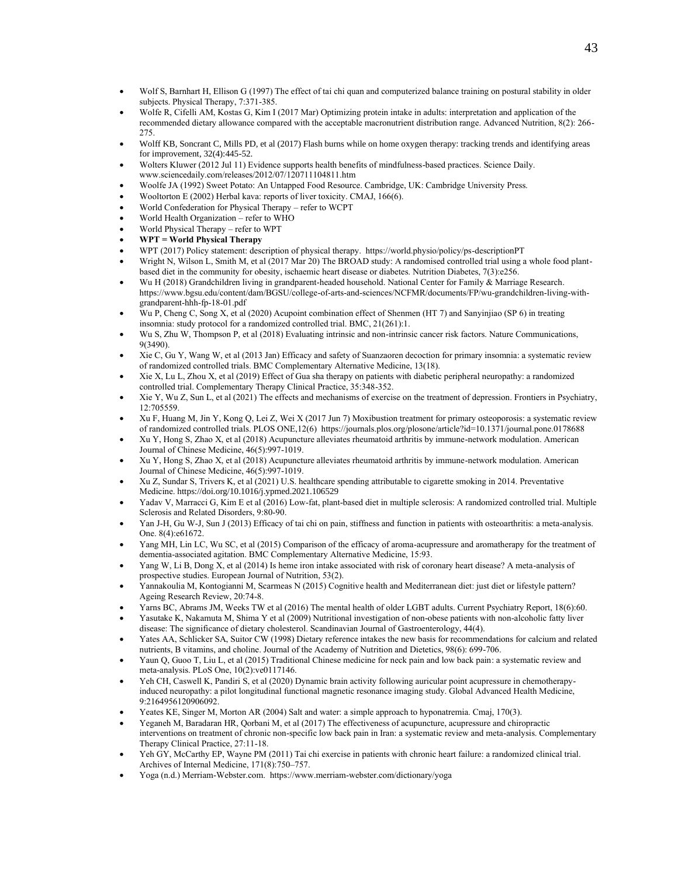- Wolf S, Barnhart H, Ellison G (1997) The effect of tai chi quan and computerized balance training on postural stability in older subjects. Physical Therapy, 7:371-385.
- Wolfe R, Cifelli AM, Kostas G, Kim I (2017 Mar) Optimizing protein intake in adults: interpretation and application of the recommended dietary allowance compared with the acceptable macronutrient distribution range. Advanced Nutrition, 8(2): 266- 275.
- Wolff KB, Soncrant C, Mills PD, et al (2017) Flash burns while on home oxygen therapy: tracking trends and identifying areas for improvement, 32(4):445-52.
- Wolters Kluwer (2012 Jul 11) Evidence supports health benefits of mindfulness-based practices. Science Daily. [www.sciencedaily.com/releases/2012/07/120711104811.htm](http://www.sciencedaily.com/releases/2012/07/120711104811.htm)
- Woolfe JA (1992) Sweet Potato: An Untapped Food Resource. Cambridge, UK: Cambridge University Press.
- Wooltorton E (2002) Herbal kava: reports of liver toxicity. CMAJ, 166(6).
- World Confederation for Physical Therapy refer to WCPT
- World Health Organization refer to WHO
- World Physical Therapy refer to WPT
- **WPT = World Physical Therapy**
- WPT (2017) Policy statement: description of physical therapy. https://world.physio/policy/ps-descriptionPT
- Wright N, Wilson L, Smith M, et al (2017 Mar 20) The BROAD study: A randomised controlled trial using a whole food plantbased diet in the community for obesity, ischaemic heart disease or diabetes. Nutrition Diabetes, 7(3):e256.
- Wu H (2018) Grandchildren living in grandparent-headed household. National Center for Family & Marriage Research. https://www.bgsu.edu/content/dam/BGSU/college-of-arts-and-sciences/NCFMR/documents/FP/wu-grandchildren-living-withgrandparent-hhh-fp-18-01.pdf
- Wu P, Cheng C, Song X, et al (2020) Acupoint combination effect of Shenmen (HT 7) and Sanyinjiao (SP 6) in treating insomnia: study protocol for a randomized controlled trial. BMC, 21(261):1.
- Wu S, Zhu W, Thompson P, et al (2018) Evaluating intrinsic and non-intrinsic cancer risk factors. Nature Communications, 9(3490).
- Xie C, Gu Y, Wang W, et al (2013 Jan) Efficacy and safety of Suanzaoren decoction for primary insomnia: a systematic review of randomized controlled trials. BMC Complementary Alternative Medicine, 13(18).
- Xie X, Lu L, Zhou X, et al (2019) Effect of Gua sha therapy on patients with diabetic peripheral neuropathy: a randomized controlled trial. Complementary Therapy Clinical Practice, 35:348-352.
- Xie Y, Wu Z, Sun L, et al (2021) The effects and mechanisms of exercise on the treatment of depression. Frontiers in Psychiatry, 12:705559.
- Xu F, Huang M, Jin Y, Kong Q, Lei Z, Wei X (2017 Jun 7) Moxibustion treatment for primary osteoporosis: a systematic review of randomized controlled trials. PLOS ONE,12(6)<https://journals.plos.org/plosone/article?id=10.1371/journal.pone.0178688>
- Xu Y, Hong S, Zhao X, et al (2018) Acupuncture alleviates rheumatoid arthritis by immune-network modulation. American Journal of Chinese Medicine, 46(5):997-1019.
- Xu Y, Hong S, Zhao X, et al (2018) Acupuncture alleviates rheumatoid arthritis by immune-network modulation. American Journal of Chinese Medicine, 46(5):997-1019.
- Xu Z, Sundar S, Trivers K, et al (2021) U.S. healthcare spending attributable to cigarette smoking in 2014. Preventative Medicine. <https://doi.org/10.1016/j.ypmed.2021.106529>
- Yadav V, Marracci G, Kim E et al (2016) Low-fat, plant-based diet in multiple sclerosis: A randomized controlled trial. Multiple Sclerosis and Related Disorders, 9:80-90.
- Yan J-H, Gu W-J, Sun J (2013) Efficacy of tai chi on pain, stiffness and function in patients with osteoarthritis: a meta-analysis. One. 8(4):e61672.
- Yang MH, Lin LC, Wu SC, et al (2015) Comparison of the efficacy of aroma-acupressure and aromatherapy for the treatment of dementia-associated agitation. BMC Complementary Alternative Medicine, 15:93.
- Yang W, Li B, Dong X, et al (2014) Is heme iron intake associated with risk of coronary heart disease? A meta-analysis of prospective studies. European Journal of Nutrition, 53(2).
- Yannakoulia M, Kontogianni M, Scarmeas N (2015) Cognitive health and Mediterranean diet: just diet or lifestyle pattern? Ageing Research Review, 20:74-8.
- Yarns BC, Abrams JM, Weeks TW et al (2016) The mental health of older LGBT adults. Current Psychiatry Report, 18(6):60.
- Yasutake K, Nakamuta M, Shima Y et al (2009) Nutritional investigation of non-obese patients with non-alcoholic fatty liver disease: The significance of dietary cholesterol. Scandinavian Journal of Gastroenterology, 44(4).
- Yates AA, Schlicker SA, Suitor CW (1998) Dietary reference intakes the new basis for recommendations for calcium and related nutrients, B vitamins, and choline. Journal of the Academy of Nutrition and Dietetics, 98(6): 699-706.
- Yaun Q, Guoo T, Liu L, et al (2015) Traditional Chinese medicine for neck pain and low back pain: a systematic review and meta-analysis. PLoS One, 10(2):ve0117146.
- Yeh CH, Caswell K, Pandiri S, et al (2020) Dynamic brain activity following auricular point acupressure in chemotherapyinduced neuropathy: a pilot longitudinal functional magnetic resonance imaging study. Global Advanced Health Medicine, 9:2164956120906092.
- Yeates KE, Singer M, Morton AR (2004) Salt and water: a simple approach to hyponatremia. Cmaj, 170(3).
- Yeganeh M, Baradaran HR, Qorbani M, et al (2017) The effectiveness of acupuncture, acupressure and chiropractic interventions on treatment of chronic non-specific low back pain in Iran: a systematic review and meta-analysis. Complementary Therapy Clinical Practice, 27:11-18.
- Yeh GY, McCarthy EP, Wayne PM (2011) Tai chi exercise in patients with chronic heart failure: a randomized clinical trial. Archives of Internal Medicine, 171(8):750–757.
- Yoga (n.d.) Merriam-Webster.com. https://www.merriam-webster.com/dictionary/yoga